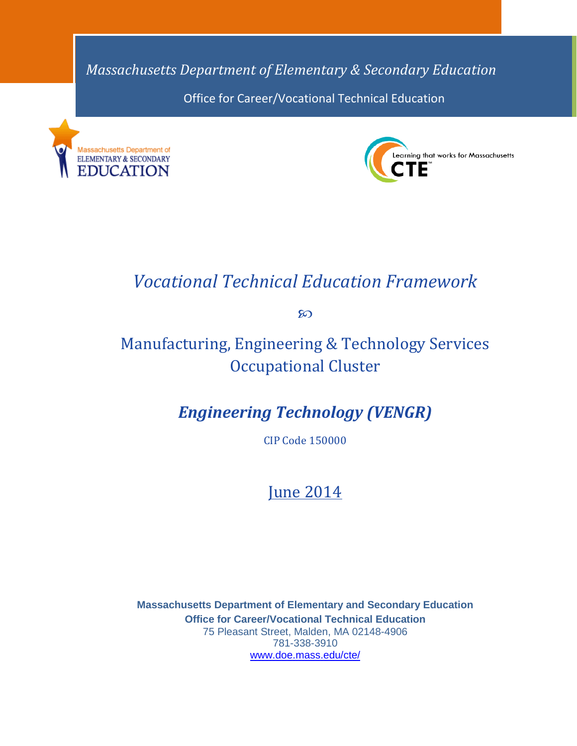*Massachusetts Department of Elementary & Secondary Education* Office for Career/Vocational Technical Education





# *Vocational Technical Education Framework*

ထ

# Manufacturing, Engineering & Technology Services Occupational Cluster

# *Engineering Technology (VENGR)*

CIP Code 150000

# June 2014

**Massachusetts Department of Elementary and Secondary Education Office for Career/Vocational Technical Education** 75 Pleasant Street, Malden, MA 02148-4906 781-338-3910 [www.doe.mass.edu/cte/](http://www.doe.mass.edu/cte/)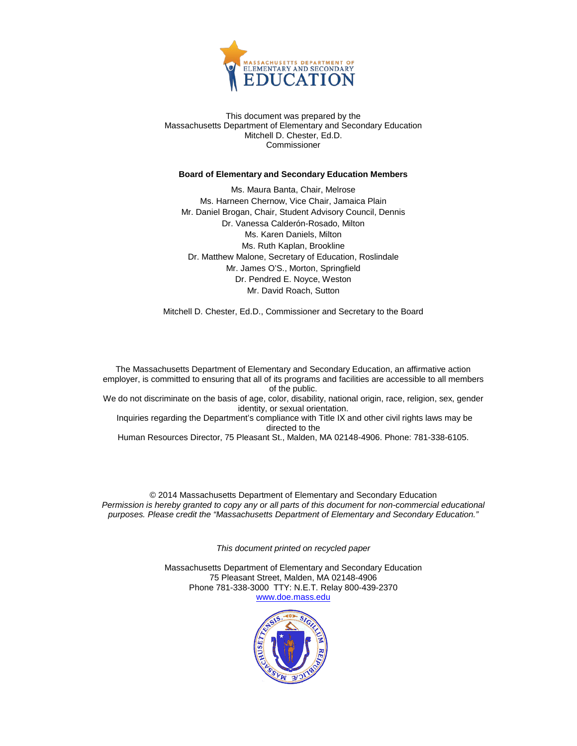

This document was prepared by the Massachusetts Department of Elementary and Secondary Education Mitchell D. Chester, Ed.D. Commissioner

#### **Board of Elementary and Secondary Education Members**

Ms. Maura Banta, Chair, Melrose Ms. Harneen Chernow, Vice Chair, Jamaica Plain Mr. Daniel Brogan, Chair, Student Advisory Council, Dennis Dr. Vanessa Calderón-Rosado, Milton Ms. Karen Daniels, Milton Ms. Ruth Kaplan, Brookline Dr. Matthew Malone, Secretary of Education, Roslindale Mr. James O'S., Morton, Springfield Dr. Pendred E. Noyce, Weston Mr. David Roach, Sutton

Mitchell D. Chester, Ed.D., Commissioner and Secretary to the Board

The Massachusetts Department of Elementary and Secondary Education, an affirmative action employer, is committed to ensuring that all of its programs and facilities are accessible to all members of the public. We do not discriminate on the basis of age, color, disability, national origin, race, religion, sex, gender identity, or sexual orientation.

Inquiries regarding the Department's compliance with Title IX and other civil rights laws may be directed to the

Human Resources Director, 75 Pleasant St., Malden, MA 02148-4906. Phone: 781-338-6105.

© 2014 Massachusetts Department of Elementary and Secondary Education *Permission is hereby granted to copy any or all parts of this document for non-commercial educational purposes. Please credit the "Massachusetts Department of Elementary and Secondary Education."*

*This document printed on recycled paper*

Massachusetts Department of Elementary and Secondary Education 75 Pleasant Street, Malden, MA 02148-4906 Phone 781-338-3000 TTY: N.E.T. Relay 800-439-2370 [www.doe.mass.edu](http://www.doe.mass.edu/)

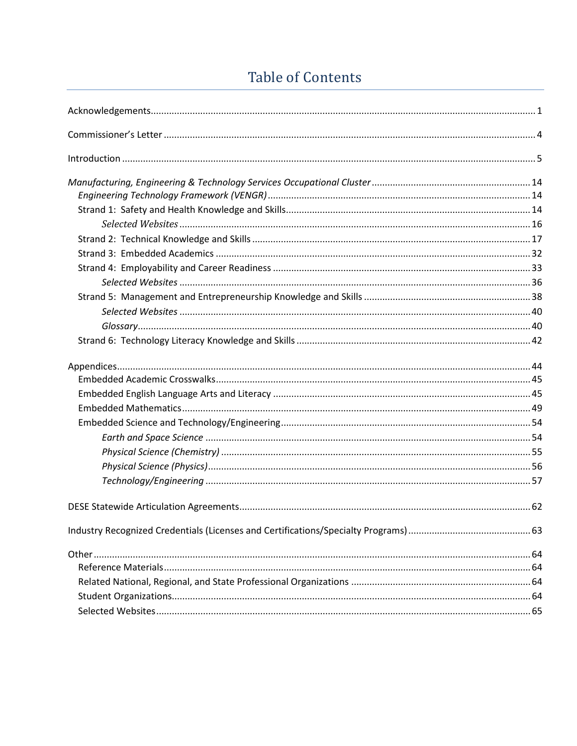# **Table of Contents**

<span id="page-2-0"></span>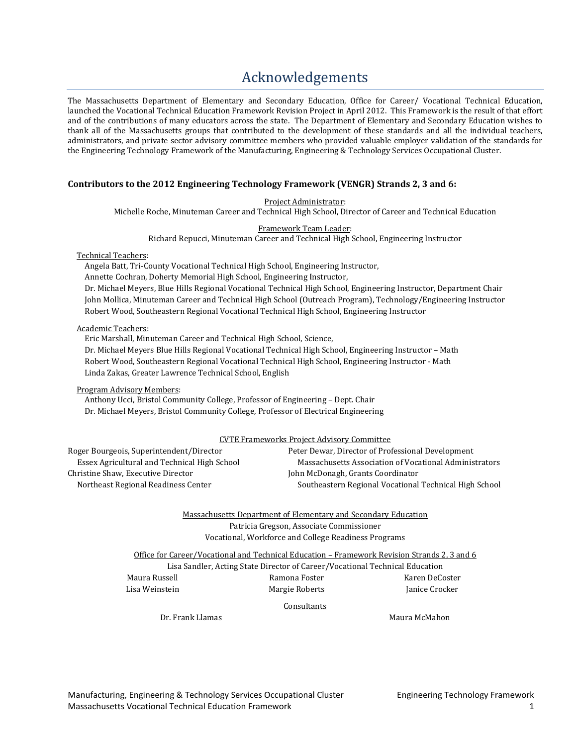# [Acknowledgements](#page-2-0)

<span id="page-3-0"></span>The Massachusetts Department of Elementary and Secondary Education, Office for Career/ Vocational Technical Education, launched the Vocational Technical Education Framework Revision Project in April 2012. This Framework is the result of that effort and of the contributions of many educators across the state. The Department of Elementary and Secondary Education wishes to thank all of the Massachusetts groups that contributed to the development of these standards and all the individual teachers, administrators, and private sector advisory committee members who provided valuable employer validation of the standards for the Engineering Technology Framework of the Manufacturing, Engineering & Technology Services Occupational Cluster.

#### **Contributors to the 2012 Engineering Technology Framework (VENGR) Strands 2, 3 and 6:**

Project Administrator:

Michelle Roche, Minuteman Career and Technical High School, Director of Career and Technical Education

Framework Team Leader:

Richard Repucci, Minuteman Career and Technical High School, Engineering Instructor

Technical Teachers:

Angela Batt, Tri-County Vocational Technical High School, Engineering Instructor,

Annette Cochran, Doherty Memorial High School, Engineering Instructor,

Dr. Michael Meyers, Blue Hills Regional Vocational Technical High School, Engineering Instructor, Department Chair John Mollica, Minuteman Career and Technical High School (Outreach Program), Technology/Engineering Instructor Robert Wood, Southeastern Regional Vocational Technical High School, Engineering Instructor

#### Academic Teachers:

Eric Marshall, Minuteman Career and Technical High School, Science,

Dr. Michael Meyers Blue Hills Regional Vocational Technical High School, Engineering Instructor – Math Robert Wood, Southeastern Regional Vocational Technical High School, Engineering Instructor - Math Linda Zakas, Greater Lawrence Technical School, English

Program Advisory Members:

Anthony Ucci, Bristol Community College, Professor of Engineering – Dept. Chair Dr. Michael Meyers, Bristol Community College, Professor of Electrical Engineering

|                                              | CVTE Frameworks Project Advisory Committee             |
|----------------------------------------------|--------------------------------------------------------|
| Roger Bourgeois, Superintendent/Director     | Peter Dewar, Director of Professional Development      |
| Essex Agricultural and Technical High School | Massachusetts Association of Vocational Administrators |
| Christine Shaw. Executive Director           | John McDonagh, Grants Coordinator                      |

Northeast Regional Readiness Center Southeastern Regional Vocational Technical High School

Massachusetts Department of Elementary and Secondary Education Patricia Gregson, Associate Commissioner Vocational, Workforce and College Readiness Programs

Office for Career/Vocational and Technical Education – Framework Revision Strands 2, 3 and 6 Lisa Sandler, Acting State Director of Career/Vocational Technical Education

Maura Russell Ramona Foster Karen DeCoster Lisa Weinstein Margie Roberts Janice Crocker

**Consultants** 

Dr. Frank Llamas National School and Maura McMahon

Manufacturing, Engineering & Technology Services Occupational Cluster Engineering Technology Framework Massachusetts Vocational Technical Education Framework 1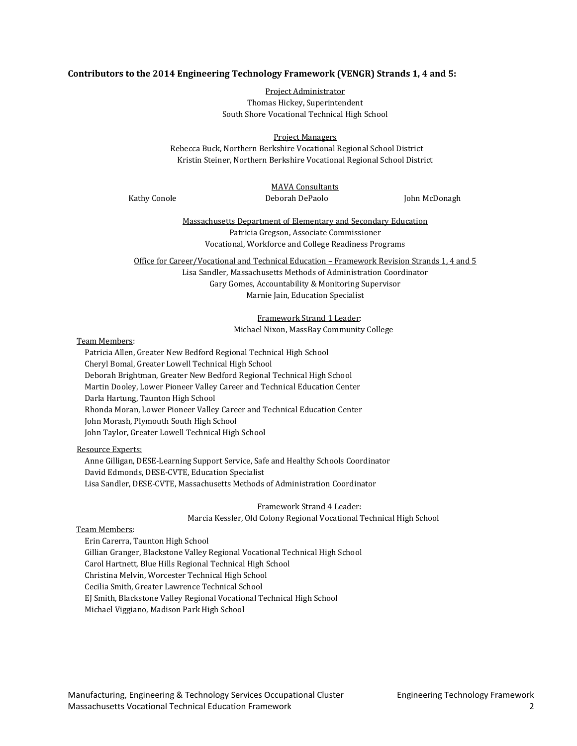#### **Contributors to the 2014 Engineering Technology Framework (VENGR) Strands 1, 4 and 5:**

Project Administrator Thomas Hickey, Superintendent South Shore Vocational Technical High School

Project Managers

Rebecca Buck, Northern Berkshire Vocational Regional School District Kristin Steiner, Northern Berkshire Vocational Regional School District

# MAVA Consultants

Kathy Conole **Deborah DePaolo** John McDonagh

Massachusetts Department of Elementary and Secondary Education Patricia Gregson, Associate Commissioner Vocational, Workforce and College Readiness Programs

Office for Career/Vocational and Technical Education – Framework Revision Strands 1, 4 and 5 Lisa Sandler, Massachusetts Methods of Administration Coordinator Gary Gomes, Accountability & Monitoring Supervisor Marnie Jain, Education Specialist

> Framework Strand 1 Leader: Michael Nixon, MassBay Community College

#### Team Members:

Patricia Allen, Greater New Bedford Regional Technical High School Cheryl Bomal, Greater Lowell Technical High School Deborah Brightman, Greater New Bedford Regional Technical High School Martin Dooley, Lower Pioneer Valley Career and Technical Education Center Darla Hartung, Taunton High School Rhonda Moran, Lower Pioneer Valley Career and Technical Education Center John Morash, Plymouth South High School John Taylor, Greater Lowell Technical High School

#### Resource Experts:

Anne Gilligan, DESE-Learning Support Service, Safe and Healthy Schools Coordinator David Edmonds, DESE-CVTE, Education Specialist Lisa Sandler, DESE-CVTE, Massachusetts Methods of Administration Coordinator

Framework Strand 4 Leader:

Marcia Kessler, Old Colony Regional Vocational Technical High School

#### Team Members:

Erin Carerra, Taunton High School Gillian Granger, Blackstone Valley Regional Vocational Technical High School Carol Hartnett, Blue Hills Regional Technical High School Christina Melvin, Worcester Technical High School Cecilia Smith, Greater Lawrence Technical School EJ Smith, Blackstone Valley Regional Vocational Technical High School Michael Viggiano, Madison Park High School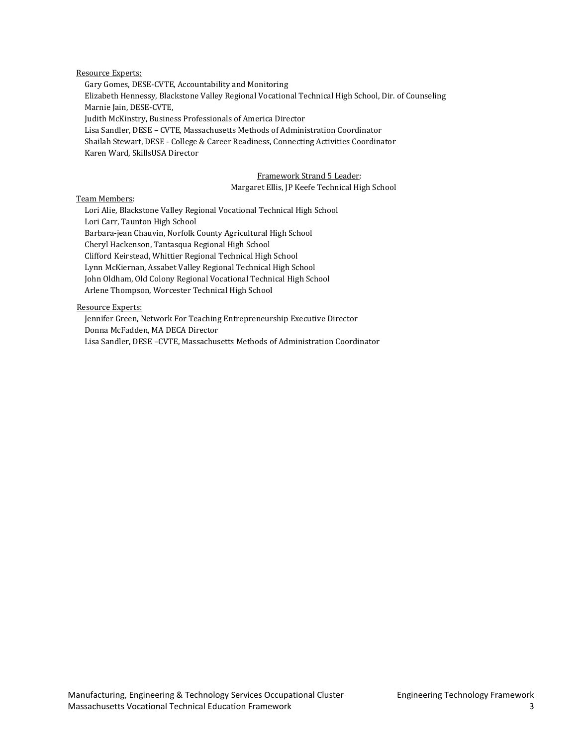#### Resource Experts:

Gary Gomes, DESE-CVTE, Accountability and Monitoring Elizabeth Hennessy, Blackstone Valley Regional Vocational Technical High School, Dir. of Counseling Marnie Jain, DESE-CVTE, Judith McKinstry, Business Professionals of America Director Lisa Sandler, DESE – CVTE, Massachusetts Methods of Administration Coordinator Shailah Stewart, DESE - College & Career Readiness, Connecting Activities Coordinator Karen Ward, SkillsUSA Director

#### Framework Strand 5 Leader: Margaret Ellis, JP Keefe Technical High School

#### Team Members:

Lori Alie, Blackstone Valley Regional Vocational Technical High School Lori Carr, Taunton High School Barbara-jean Chauvin, Norfolk County Agricultural High School Cheryl Hackenson, Tantasqua Regional High School Clifford Keirstead, Whittier Regional Technical High School Lynn McKiernan, Assabet Valley Regional Technical High School John Oldham, Old Colony Regional Vocational Technical High School Arlene Thompson, Worcester Technical High School

#### Resource Experts:

Jennifer Green, Network For Teaching Entrepreneurship Executive Director Donna McFadden, MA DECA Director Lisa Sandler, DESE –CVTE, Massachusetts Methods of Administration Coordinator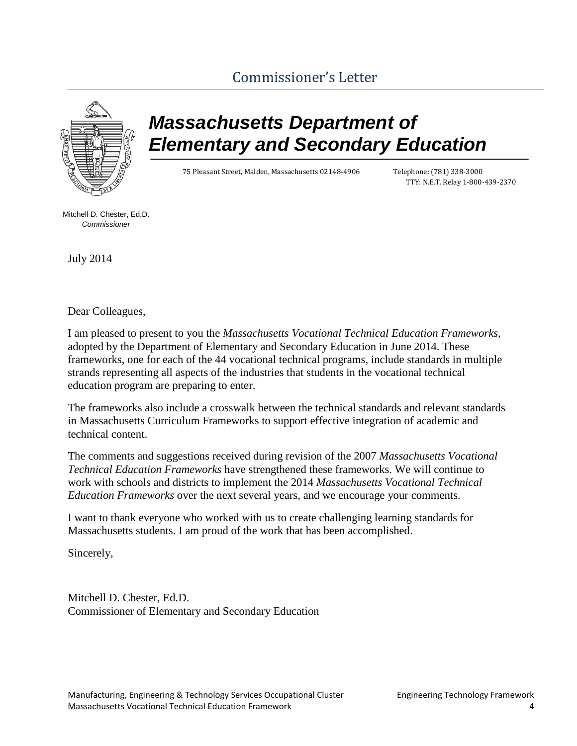# [Commissioner's Letter](#page-2-0)

<span id="page-6-0"></span>

# *Massachusetts Department of Elementary and Secondary Education*

75 Pleasant Street, Malden, Massachusetts 02148-4906 Telephone: (781) 338-3000

TTY: N.E.T. Relay 1-800-439-2370

Mitchell D. Chester, Ed.D. *Commissioner*

July 2014

Dear Colleagues,

I am pleased to present to you the *Massachusetts Vocational Technical Education Frameworks,*  adopted by the Department of Elementary and Secondary Education in June 2014. These frameworks, one for each of the 44 vocational technical programs, include standards in multiple strands representing all aspects of the industries that students in the vocational technical education program are preparing to enter.

The frameworks also include a crosswalk between the technical standards and relevant standards in Massachusetts Curriculum Frameworks to support effective integration of academic and technical content.

The comments and suggestions received during revision of the 2007 *Massachusetts Vocational Technical Education Frameworks* have strengthened these frameworks. We will continue to work with schools and districts to implement the 2014 *Massachusetts Vocational Technical Education Frameworks* over the next several years, and we encourage your comments.

I want to thank everyone who worked with us to create challenging learning standards for Massachusetts students. I am proud of the work that has been accomplished.

Sincerely,

Mitchell D. Chester, Ed.D. Commissioner of Elementary and Secondary Education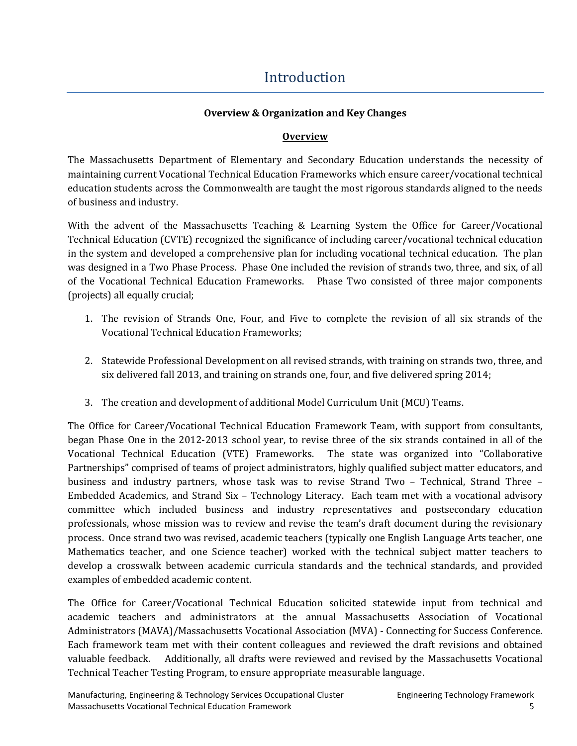# [Introduction](#page-2-0)

## **Overview & Organization and Key Changes**

### **Overview**

<span id="page-7-0"></span>The Massachusetts Department of Elementary and Secondary Education understands the necessity of maintaining current Vocational Technical Education Frameworks which ensure career/vocational technical education students across the Commonwealth are taught the most rigorous standards aligned to the needs of business and industry.

With the advent of the Massachusetts Teaching & Learning System the Office for Career/Vocational Technical Education (CVTE) recognized the significance of including career/vocational technical education in the system and developed a comprehensive plan for including vocational technical education. The plan was designed in a Two Phase Process. Phase One included the revision of strands two, three, and six, of all of the Vocational Technical Education Frameworks. Phase Two consisted of three major components (projects) all equally crucial;

- 1. The revision of Strands One, Four, and Five to complete the revision of all six strands of the Vocational Technical Education Frameworks;
- 2. Statewide Professional Development on all revised strands, with training on strands two, three, and six delivered fall 2013, and training on strands one, four, and five delivered spring 2014;
- 3. The creation and development of additional Model Curriculum Unit (MCU) Teams.

The Office for Career/Vocational Technical Education Framework Team, with support from consultants, began Phase One in the 2012-2013 school year, to revise three of the six strands contained in all of the Vocational Technical Education (VTE) Frameworks. The state was organized into "Collaborative Partnerships" comprised of teams of project administrators, highly qualified subject matter educators, and business and industry partners, whose task was to revise Strand Two – Technical, Strand Three – Embedded Academics, and Strand Six – Technology Literacy. Each team met with a vocational advisory committee which included business and industry representatives and postsecondary education professionals, whose mission was to review and revise the team's draft document during the revisionary process. Once strand two was revised, academic teachers (typically one English Language Arts teacher, one Mathematics teacher, and one Science teacher) worked with the technical subject matter teachers to develop a crosswalk between academic curricula standards and the technical standards, and provided examples of embedded academic content.

The Office for Career/Vocational Technical Education solicited statewide input from technical and academic teachers and administrators at the annual Massachusetts Association of Vocational Administrators (MAVA)/Massachusetts Vocational Association (MVA) - Connecting for Success Conference. Each framework team met with their content colleagues and reviewed the draft revisions and obtained valuable feedback. Additionally, all drafts were reviewed and revised by the Massachusetts Vocational Technical Teacher Testing Program, to ensure appropriate measurable language.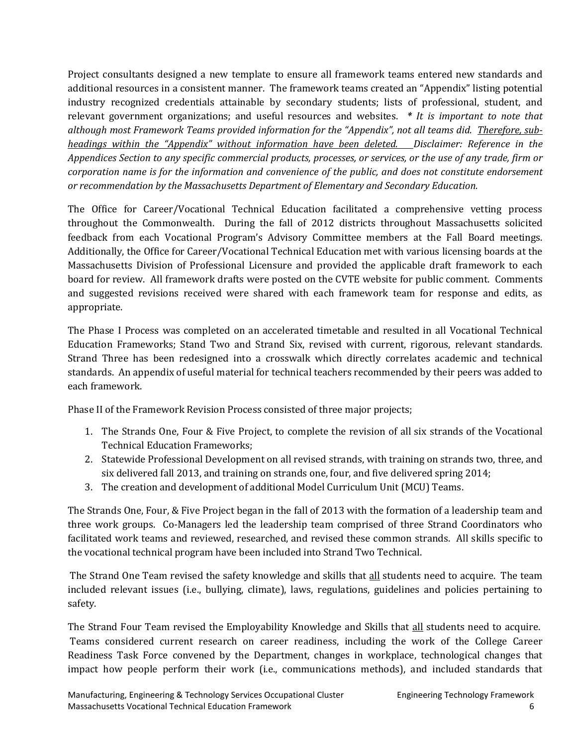Project consultants designed a new template to ensure all framework teams entered new standards and additional resources in a consistent manner. The framework teams created an "Appendix" listing potential industry recognized credentials attainable by secondary students; lists of professional, student, and relevant government organizations; and useful resources and websites. *\* It is important to note that although most Framework Teams provided information for the "Appendix", not all teams did. Therefore, subheadings within the "Appendix" without information have been deleted. Disclaimer: Reference in the Appendices Section to any specific commercial products, processes, or services, or the use of any trade, firm or corporation name is for the information and convenience of the public, and does not constitute endorsement or recommendation by the Massachusetts Department of Elementary and Secondary Education.* 

The Office for Career/Vocational Technical Education facilitated a comprehensive vetting process throughout the Commonwealth. During the fall of 2012 districts throughout Massachusetts solicited feedback from each Vocational Program's Advisory Committee members at the Fall Board meetings. Additionally, the Office for Career/Vocational Technical Education met with various licensing boards at the Massachusetts Division of Professional Licensure and provided the applicable draft framework to each board for review. All framework drafts were posted on the CVTE website for public comment. Comments and suggested revisions received were shared with each framework team for response and edits, as appropriate.

The Phase I Process was completed on an accelerated timetable and resulted in all Vocational Technical Education Frameworks; Stand Two and Strand Six, revised with current, rigorous, relevant standards. Strand Three has been redesigned into a crosswalk which directly correlates academic and technical standards. An appendix of useful material for technical teachers recommended by their peers was added to each framework.

Phase II of the Framework Revision Process consisted of three major projects;

- 1. The Strands One, Four & Five Project, to complete the revision of all six strands of the Vocational Technical Education Frameworks;
- 2. Statewide Professional Development on all revised strands, with training on strands two, three, and six delivered fall 2013, and training on strands one, four, and five delivered spring 2014;
- 3. The creation and development of additional Model Curriculum Unit (MCU) Teams.

The Strands One, Four, & Five Project began in the fall of 2013 with the formation of a leadership team and three work groups. Co-Managers led the leadership team comprised of three Strand Coordinators who facilitated work teams and reviewed, researched, and revised these common strands. All skills specific to the vocational technical program have been included into Strand Two Technical.

The Strand One Team revised the safety knowledge and skills that all students need to acquire. The team included relevant issues (i.e., bullying, climate), laws, regulations, guidelines and policies pertaining to safety.

The Strand Four Team revised the Employability Knowledge and Skills that all students need to acquire. Teams considered current research on career readiness, including the work of the College Career Readiness Task Force convened by the Department, changes in workplace, technological changes that impact how people perform their work (i.e., communications methods), and included standards that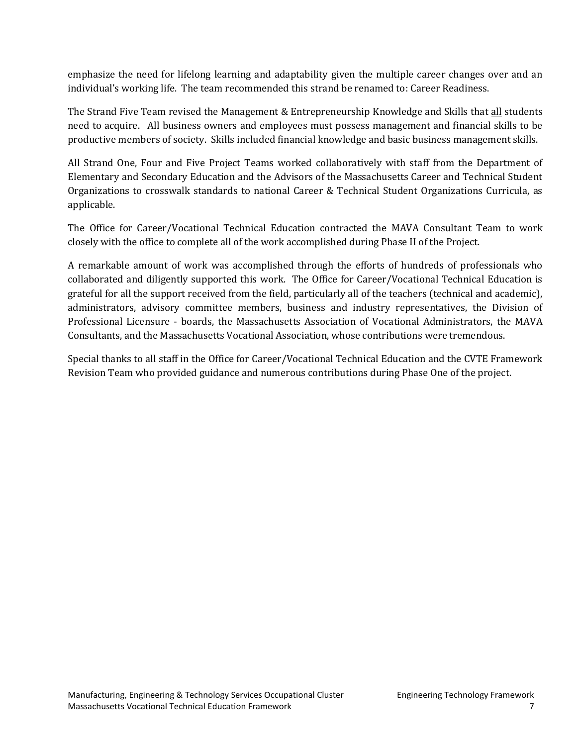emphasize the need for lifelong learning and adaptability given the multiple career changes over and an individual's working life. The team recommended this strand be renamed to: Career Readiness.

The Strand Five Team revised the Management & Entrepreneurship Knowledge and Skills that all students need to acquire. All business owners and employees must possess management and financial skills to be productive members of society. Skills included financial knowledge and basic business management skills.

All Strand One, Four and Five Project Teams worked collaboratively with staff from the Department of Elementary and Secondary Education and the Advisors of the Massachusetts Career and Technical Student Organizations to crosswalk standards to national Career & Technical Student Organizations Curricula, as applicable.

The Office for Career/Vocational Technical Education contracted the MAVA Consultant Team to work closely with the office to complete all of the work accomplished during Phase II of the Project.

A remarkable amount of work was accomplished through the efforts of hundreds of professionals who collaborated and diligently supported this work. The Office for Career/Vocational Technical Education is grateful for all the support received from the field, particularly all of the teachers (technical and academic), administrators, advisory committee members, business and industry representatives, the Division of Professional Licensure - boards, the Massachusetts Association of Vocational Administrators, the MAVA Consultants, and the Massachusetts Vocational Association, whose contributions were tremendous.

Special thanks to all staff in the Office for Career/Vocational Technical Education and the CVTE Framework Revision Team who provided guidance and numerous contributions during Phase One of the project.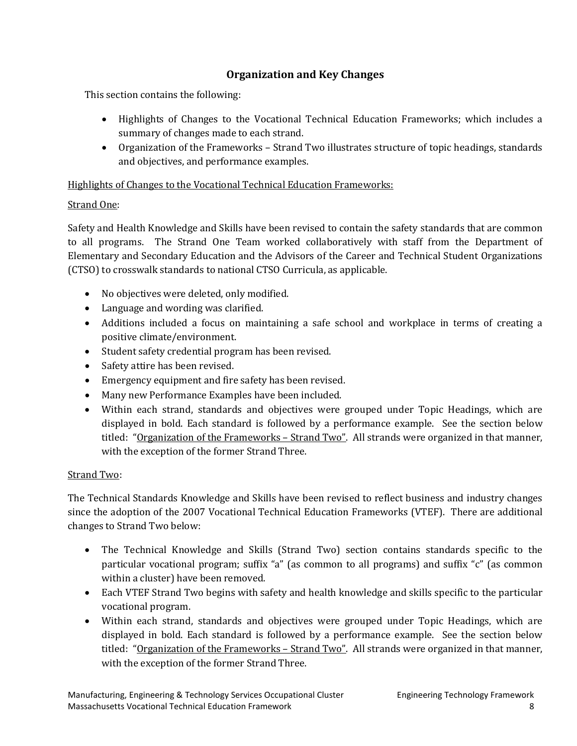## **Organization and Key Changes**

This section contains the following:

- Highlights of Changes to the Vocational Technical Education Frameworks; which includes a summary of changes made to each strand.
- Organization of the Frameworks Strand Two illustrates structure of topic headings, standards and objectives, and performance examples.

Highlights of Changes to the Vocational Technical Education Frameworks:

## Strand One:

Safety and Health Knowledge and Skills have been revised to contain the safety standards that are common to all programs. The Strand One Team worked collaboratively with staff from the Department of Elementary and Secondary Education and the Advisors of the Career and Technical Student Organizations (CTSO) to crosswalk standards to national CTSO Curricula, as applicable.

- No objectives were deleted, only modified.
- Language and wording was clarified.
- Additions included a focus on maintaining a safe school and workplace in terms of creating a positive climate/environment.
- Student safety credential program has been revised.
- Safety attire has been revised.
- Emergency equipment and fire safety has been revised.
- Many new Performance Examples have been included.
- Within each strand, standards and objectives were grouped under Topic Headings, which are displayed in bold. Each standard is followed by a performance example. See the section below titled: "Organization of the Frameworks - Strand Two". All strands were organized in that manner, with the exception of the former Strand Three.

## Strand Two:

The Technical Standards Knowledge and Skills have been revised to reflect business and industry changes since the adoption of the 2007 Vocational Technical Education Frameworks (VTEF). There are additional changes to Strand Two below:

- The Technical Knowledge and Skills (Strand Two) section contains standards specific to the particular vocational program; suffix "a" (as common to all programs) and suffix "c" (as common within a cluster) have been removed.
- Each VTEF Strand Two begins with safety and health knowledge and skills specific to the particular vocational program.
- Within each strand, standards and objectives were grouped under Topic Headings, which are displayed in bold. Each standard is followed by a performance example. See the section below titled: "Organization of the Frameworks – Strand Two". All strands were organized in that manner, with the exception of the former Strand Three.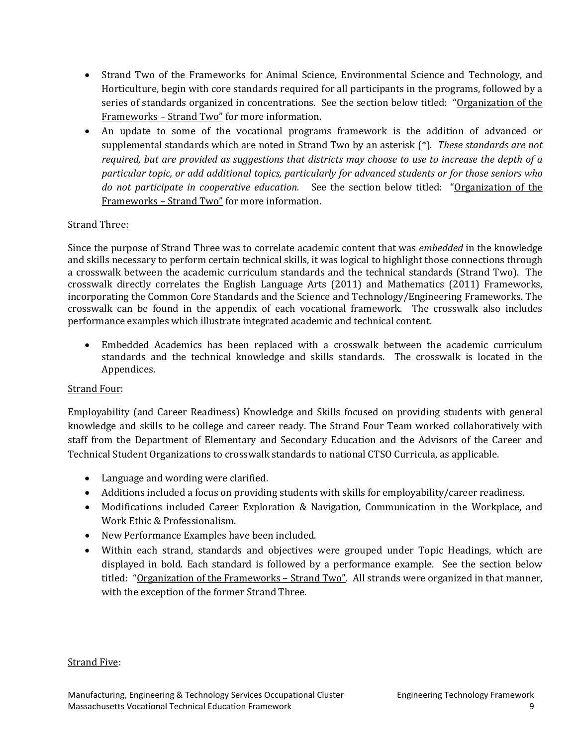- Strand Two of the Frameworks for Animal Science, Environmental Science and Technology, and Horticulture, begin with core standards required for all participants in the programs, followed by a series of standards organized in concentrations. See the section below titled: "Organization of the Frameworks – Strand Two" for more information.
- An update to some of the vocational programs framework is the addition of advanced or supplemental standards which are noted in Strand Two by an asterisk (\*). *These standards are not required, but are provided as suggestions that districts may choose to use to increase the depth of a particular topic, or add additional topics, particularly for advanced students or for those seniors who do not participate in cooperative education.* See the section below titled: "Organization of the Frameworks – Strand Two" for more information.

## Strand Three:

Since the purpose of Strand Three was to correlate academic content that was *embedded* in the knowledge and skills necessary to perform certain technical skills, it was logical to highlight those connections through a crosswalk between the academic curriculum standards and the technical standards (Strand Two). The crosswalk directly correlates the English Language Arts (2011) and Mathematics (2011) Frameworks, incorporating the Common Core Standards and the Science and Technology/Engineering Frameworks. The crosswalk can be found in the appendix of each vocational framework. The crosswalk also includes performance examples which illustrate integrated academic and technical content.

• Embedded Academics has been replaced with a crosswalk between the academic curriculum standards and the technical knowledge and skills standards. The crosswalk is located in the Appendices.

#### Strand Four:

Employability (and Career Readiness) Knowledge and Skills focused on providing students with general knowledge and skills to be college and career ready. The Strand Four Team worked collaboratively with staff from the Department of Elementary and Secondary Education and the Advisors of the Career and Technical Student Organizations to crosswalk standards to national CTSO Curricula, as applicable.

- Language and wording were clarified.
- Additions included a focus on providing students with skills for employability/career readiness.
- Modifications included Career Exploration & Navigation, Communication in the Workplace, and Work Ethic & Professionalism.
- New Performance Examples have been included.
- Within each strand, standards and objectives were grouped under Topic Headings, which are displayed in bold. Each standard is followed by a performance example. See the section below titled: "Organization of the Frameworks - Strand Two". All strands were organized in that manner, with the exception of the former Strand Three.

#### Strand Five: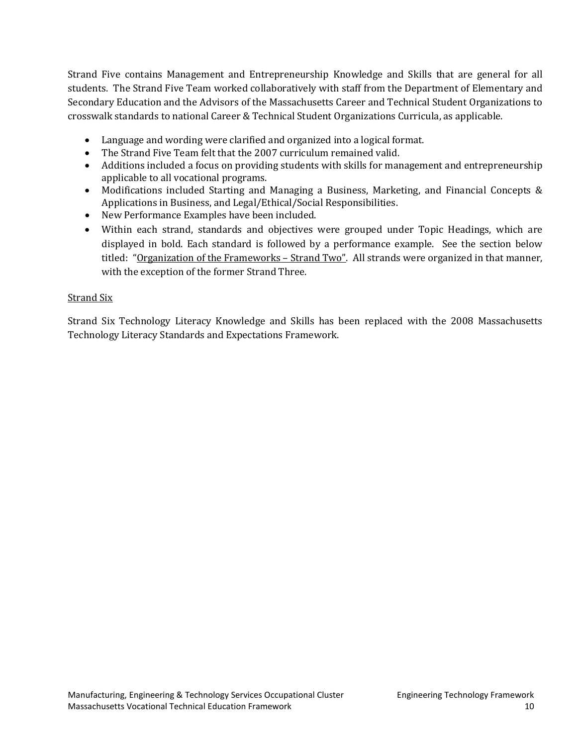Strand Five contains Management and Entrepreneurship Knowledge and Skills that are general for all students. The Strand Five Team worked collaboratively with staff from the Department of Elementary and Secondary Education and the Advisors of the Massachusetts Career and Technical Student Organizations to crosswalk standards to national Career & Technical Student Organizations Curricula, as applicable.

- Language and wording were clarified and organized into a logical format.
- The Strand Five Team felt that the 2007 curriculum remained valid.
- Additions included a focus on providing students with skills for management and entrepreneurship applicable to all vocational programs.
- Modifications included Starting and Managing a Business, Marketing, and Financial Concepts & Applications in Business, and Legal/Ethical/Social Responsibilities.
- New Performance Examples have been included.
- Within each strand, standards and objectives were grouped under Topic Headings, which are displayed in bold. Each standard is followed by a performance example. See the section below titled: "Organization of the Frameworks – Strand Two". All strands were organized in that manner, with the exception of the former Strand Three.

## Strand Six

Strand Six Technology Literacy Knowledge and Skills has been replaced with the 2008 Massachusetts Technology Literacy Standards and Expectations Framework.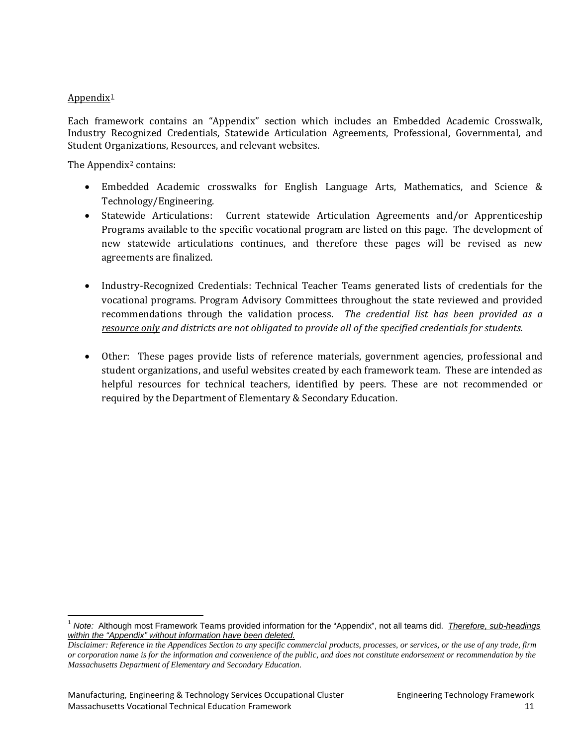#### Appendix $1$

Each framework contains an "Appendix" section which includes an Embedded Academic Crosswalk, Industry Recognized Credentials, Statewide Articulation Agreements, Professional, Governmental, and Student Organizations, Resources, and relevant websites.

The Appendix<sup>[2](#page-13-1)</sup> contains:

- Embedded Academic crosswalks for English Language Arts, Mathematics, and Science & Technology/Engineering.
- Statewide Articulations: Current statewide Articulation Agreements and/or Apprenticeship Programs available to the specific vocational program are listed on this page. The development of new statewide articulations continues, and therefore these pages will be revised as new agreements are finalized.
- Industry-Recognized Credentials: Technical Teacher Teams generated lists of credentials for the vocational programs. Program Advisory Committees throughout the state reviewed and provided recommendations through the validation process. *The credential list has been provided as a resource only and districts are not obligated to provide all of the specified credentials for students.*
- Other: These pages provide lists of reference materials, government agencies, professional and student organizations, and useful websites created by each framework team. These are intended as helpful resources for technical teachers, identified by peers. These are not recommended or required by the Department of Elementary & Secondary Education.

<span id="page-13-0"></span><sup>1</sup> *Note:* Although most Framework Teams provided information for the "Appendix", not all teams did. *Therefore, sub-headings within the "Appendix" without information have been deleted.* 

<span id="page-13-1"></span>*Disclaimer: Reference in the Appendices Section to any specific commercial products, processes, or services, or the use of any trade, firm or corporation name is for the information and convenience of the public, and does not constitute endorsement or recommendation by the Massachusetts Department of Elementary and Secondary Education.*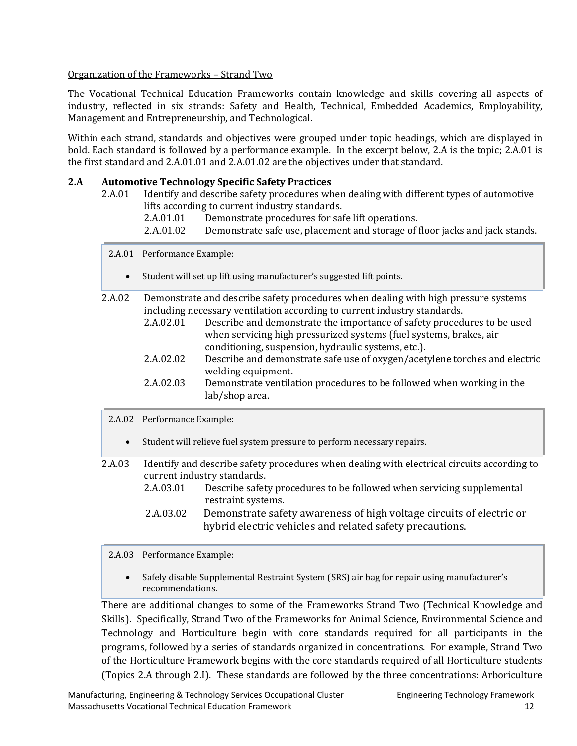#### Organization of the Frameworks – Strand Two

The Vocational Technical Education Frameworks contain knowledge and skills covering all aspects of industry, reflected in six strands: Safety and Health, Technical, Embedded Academics, Employability, Management and Entrepreneurship, and Technological.

Within each strand, standards and objectives were grouped under topic headings, which are displayed in bold. Each standard is followed by a performance example. In the excerpt below, 2.A is the topic; 2.A.01 is the first standard and 2.A.01.01 and 2.A.01.02 are the objectives under that standard.

#### **2.A Automotive Technology Specific Safety Practices**

- 2.A.01 Identify and describe safety procedures when dealing with different types of automotive lifts according to current industry standards.<br>2.A.01.01 Demonstrate procedures for saf
	- 2.A.01.01 Demonstrate procedures for safe lift operations.<br>2.A.01.02 Demonstrate safe use, placement and storage of f
	- Demonstrate safe use, placement and storage of floor jacks and jack stands.
	- 2.A.01 Performance Example:
		- Student will set up lift using manufacturer's suggested lift points.
- 2.A.02 Demonstrate and describe safety procedures when dealing with high pressure systems including necessary ventilation according to current industry standards.<br>2.A.02.01 Describe and demonstrate the importance of safety proced
	- Describe and demonstrate the importance of safety procedures to be used when servicing high pressurized systems (fuel systems, brakes, air conditioning, suspension, hydraulic systems, etc.).
	- 2.A.02.02 Describe and demonstrate safe use of oxygen/acetylene torches and electric welding equipment.
	- 2.A.02.03 Demonstrate ventilation procedures to be followed when working in the lab/shop area.
	- 2.A.02 Performance Example:
		- Student will relieve fuel system pressure to perform necessary repairs.

2.A.03 Identify and describe safety procedures when dealing with electrical circuits according to current industry standards.<br>2.A.03.01 Describe safet Describe safety procedures to be followed when servicing supplemental

- restraint systems.
- 2.A.03.02 Demonstrate safety awareness of high voltage circuits of electric or hybrid electric vehicles and related safety precautions.

#### 2.A.03 Performance Example:

• Safely disable Supplemental Restraint System (SRS) air bag for repair using manufacturer's recommendations.

There are additional changes to some of the Frameworks Strand Two (Technical Knowledge and Skills). Specifically, Strand Two of the Frameworks for Animal Science, Environmental Science and Technology and Horticulture begin with core standards required for all participants in the programs, followed by a series of standards organized in concentrations. For example, Strand Two of the Horticulture Framework begins with the core standards required of all Horticulture students (Topics 2.A through 2.I). These standards are followed by the three concentrations: Arboriculture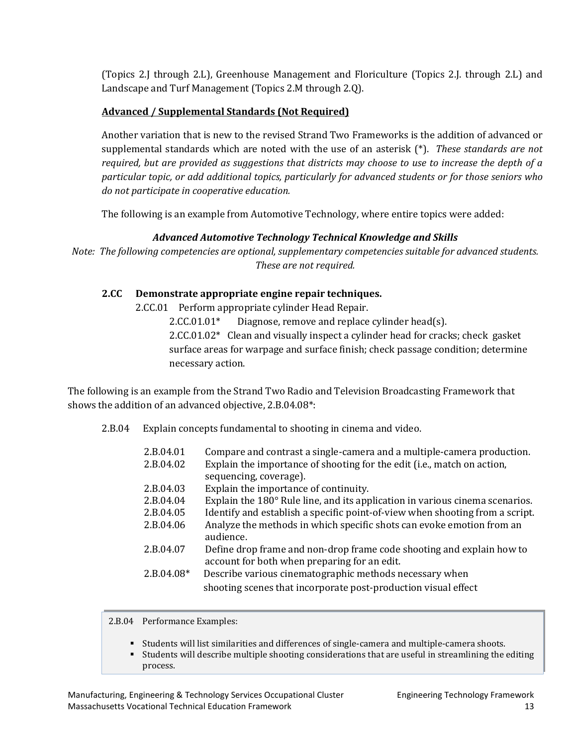(Topics 2.J through 2.L), Greenhouse Management and Floriculture (Topics 2.J. through 2.L) and Landscape and Turf Management (Topics 2.M through 2.Q).

## **Advanced / Supplemental Standards (Not Required)**

Another variation that is new to the revised Strand Two Frameworks is the addition of advanced or supplemental standards which are noted with the use of an asterisk (\*). *These standards are not required, but are provided as suggestions that districts may choose to use to increase the depth of a particular topic, or add additional topics, particularly for advanced students or for those seniors who do not participate in cooperative education.* 

The following is an example from Automotive Technology, where entire topics were added:

## *Advanced Automotive Technology Technical Knowledge and Skills*

*Note: The following competencies are optional, supplementary competencies suitable for advanced students. These are not required.*

## **2.CC Demonstrate appropriate engine repair techniques.**

2.CC.01 Perform appropriate cylinder Head Repair.

2.CC.01.01\* Diagnose, remove and replace cylinder head(s). 2.CC.01.02\* Clean and visually inspect a cylinder head for cracks; check gasket surface areas for warpage and surface finish; check passage condition; determine necessary action.

The following is an example from the Strand Two Radio and Television Broadcasting Framework that shows the addition of an advanced objective, 2.B.04.08\*:

2.B.04 Explain concepts fundamental to shooting in cinema and video.

| 2.B.04.01    | Compare and contrast a single-camera and a multiple-camera production.             |
|--------------|------------------------------------------------------------------------------------|
| 2.B.04.02    | Explain the importance of shooting for the edit (i.e., match on action,            |
|              | sequencing, coverage).                                                             |
| 2.B.04.03    | Explain the importance of continuity.                                              |
| 2.B.04.04    | Explain the 180° Rule line, and its application in various cinema scenarios.       |
| 2.B.04.05    | Identify and establish a specific point-of-view when shooting from a script.       |
| 2.B.04.06    | Analyze the methods in which specific shots can evoke emotion from an<br>audience. |
| 2.B.04.07    | Define drop frame and non-drop frame code shooting and explain how to              |
|              | account for both when preparing for an edit.                                       |
| $2.B.04.08*$ | Describe various cinematographic methods necessary when                            |
|              | shooting scenes that incorporate post-production visual effect                     |
|              |                                                                                    |

2.B.04 Performance Examples:

- Students will list similarities and differences of single-camera and multiple-camera shoots.
- Students will describe multiple shooting considerations that are useful in streamlining the editing process.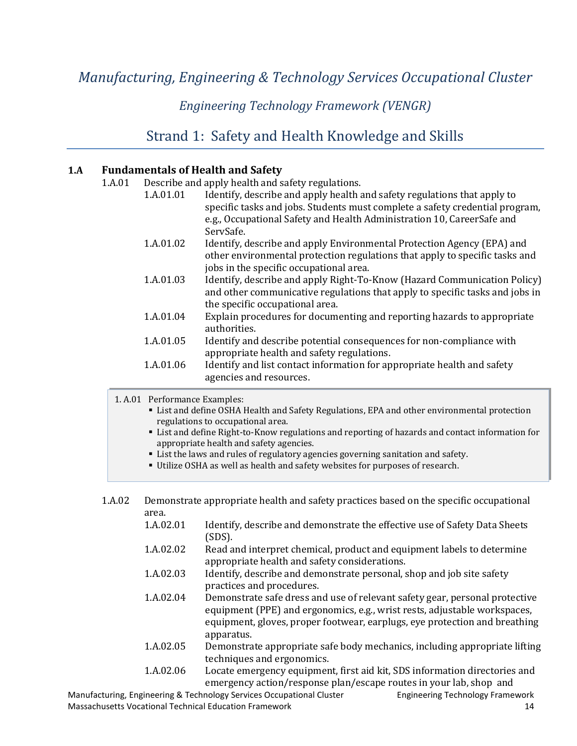# <span id="page-16-1"></span><span id="page-16-0"></span>*Manufacturing, Engineering & Technology Services Occupational Cluster*

## *Engineering Technology Framework (VENGR)*

## [Strand 1: Safety and Health Knowledge and Skills](#page-2-0)

#### <span id="page-16-2"></span>**1.A Fundamentals of Health and Safety**

1.A.01 Describe and apply health and safety regulations.<br>1.A.01.01 Identify, describe and apply health a Identify, describe and apply health and safety regulations that apply to specific tasks and jobs. Students must complete a safety credential program, e.g., Occupational Safety and Health Administration 10, CareerSafe and ServSafe. 1.A.01.02 Identify, describe and apply Environmental Protection Agency (EPA) and other environmental protection regulations that apply to specific tasks and jobs in the specific occupational area. 1.A.01.03 Identify, describe and apply Right-To-Know (Hazard Communication Policy) and other communicative regulations that apply to specific tasks and jobs in the specific occupational area. 1.A.01.04 Explain procedures for documenting and reporting hazards to appropriate authorities. 1.A.01.05 Identify and describe potential consequences for non-compliance with appropriate health and safety regulations. 1.A.01.06 Identify and list contact information for appropriate health and safety agencies and resources.

1. A.01 Performance Examples:

- List and define OSHA Health and Safety Regulations, EPA and other environmental protection regulations to occupational area.
- List and define Right-to-Know regulations and reporting of hazards and contact information for appropriate health and safety agencies.
- List the laws and rules of regulatory agencies governing sanitation and safety.
- Utilize OSHA as well as health and safety websites for purposes of research.
- 1.A.02 Demonstrate appropriate health and safety practices based on the specific occupational area.

| 1.A.02.01 | Identify, describe and demonstrate the effective use of Safety Data Sheets<br>$(SDS)$ .                                 |
|-----------|-------------------------------------------------------------------------------------------------------------------------|
| 1.A.02.02 | Read and interpret chemical, product and equipment labels to determine<br>appropriate health and safety considerations. |
| 1.A.02.03 | Identify, describe and demonstrate personal, shop and job site safety<br>practices and procedures.                      |
| 1.A.02.04 | Demonstrate safe dress and use of relevant safety gear, personal protective                                             |

equipment (PPE) and ergonomics, e.g., wrist rests, adjustable workspaces, equipment, gloves, proper footwear, earplugs, eye protection and breathing apparatus.

- 1.A.02.05 Demonstrate appropriate safe body mechanics, including appropriate lifting techniques and ergonomics.
- 1.A.02.06 Locate emergency equipment, first aid kit, SDS information directories and emergency action/response plan/escape routes in your lab, shop and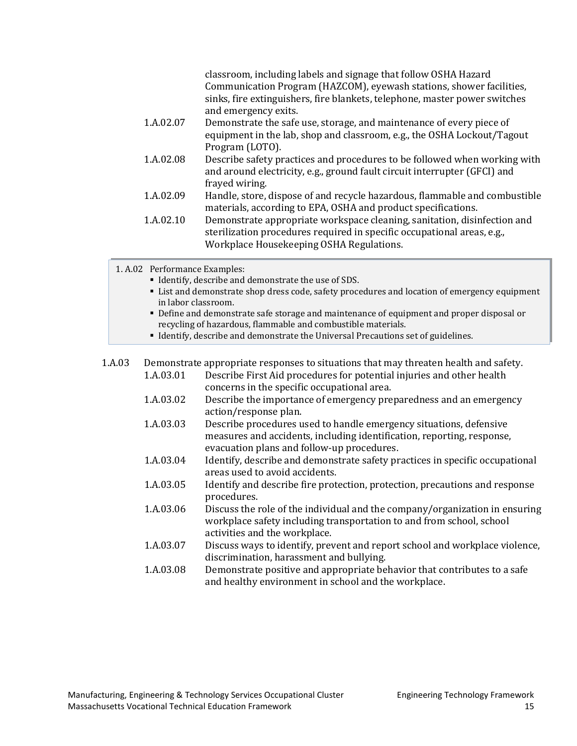|           | classroom, including labels and signage that follow OSHA Hazard<br>Communication Program (HAZCOM), eyewash stations, shower facilities,<br>sinks, fire extinguishers, fire blankets, telephone, master power switches<br>and emergency exits. |
|-----------|-----------------------------------------------------------------------------------------------------------------------------------------------------------------------------------------------------------------------------------------------|
| 1.A.02.07 | Demonstrate the safe use, storage, and maintenance of every piece of                                                                                                                                                                          |
|           | equipment in the lab, shop and classroom, e.g., the OSHA Lockout/Tagout                                                                                                                                                                       |
|           | Program (LOTO).                                                                                                                                                                                                                               |
| 1.A.02.08 | Describe safety practices and procedures to be followed when working with                                                                                                                                                                     |
|           | and around electricity, e.g., ground fault circuit interrupter (GFCI) and                                                                                                                                                                     |
|           | frayed wiring.                                                                                                                                                                                                                                |
| 1.A.02.09 | Handle, store, dispose of and recycle hazardous, flammable and combustible<br>materials, according to EPA, OSHA and product specifications.                                                                                                   |
| 1.A.02.10 | Demonstrate appropriate workspace cleaning, sanitation, disinfection and                                                                                                                                                                      |
|           | sterilization procedures required in specific occupational areas, e.g.,                                                                                                                                                                       |
|           | Workplace Housekeeping OSHA Regulations.                                                                                                                                                                                                      |

1. A.02 Performance Examples:

- **IDENTIFY, describe and demonstrate the use of SDS.**
- List and demonstrate shop dress code, safety procedures and location of emergency equipment in labor classroom.
- Define and demonstrate safe storage and maintenance of equipment and proper disposal or recycling of hazardous, flammable and combustible materials.
- Identify, describe and demonstrate the Universal Precautions set of guidelines.

1.A.03 Demonstrate appropriate responses to situations that may threaten health and safety.<br>1.A.03.01 Describe First Aid procedures for potential injuries and other health Describe First Aid procedures for potential injuries and other health concerns in the specific occupational area. 1.A.03.02 Describe the importance of emergency preparedness and an emergency action/response plan. 1.A.03.03 Describe procedures used to handle emergency situations, defensive measures and accidents, including identification, reporting, response, evacuation plans and follow-up procedures. 1.A.03.04 Identify, describe and demonstrate safety practices in specific occupational areas used to avoid accidents. 1.A.03.05 Identify and describe fire protection, protection, precautions and response procedures. 1.A.03.06 Discuss the role of the individual and the company/organization in ensuring workplace safety including transportation to and from school, school activities and the workplace. 1.A.03.07 Discuss ways to identify, prevent and report school and workplace violence, discrimination, harassment and bullying. 1.A.03.08 Demonstrate positive and appropriate behavior that contributes to a safe and healthy environment in school and the workplace.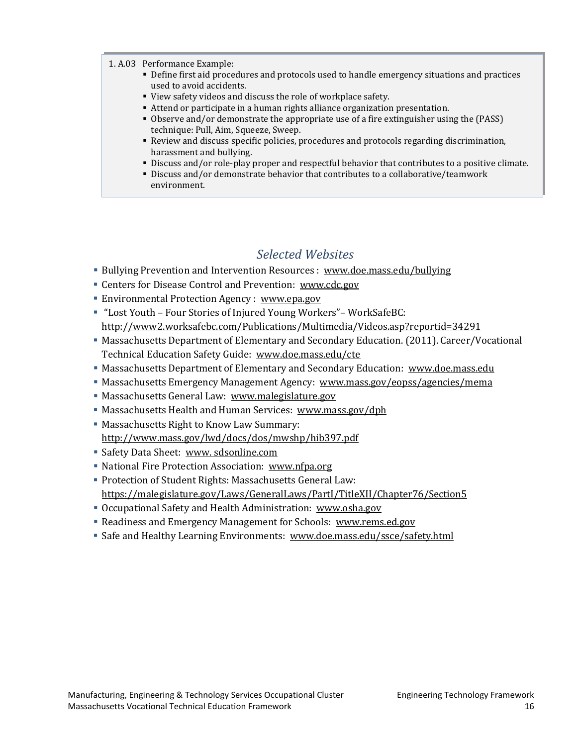#### 1. A.03 Performance Example:

- Define first aid procedures and protocols used to handle emergency situations and practices used to avoid accidents.
- View safety videos and discuss the role of workplace safety.
- Attend or participate in a human rights alliance organization presentation.
- Observe and/or demonstrate the appropriate use of a fire extinguisher using the (PASS) technique: Pull, Aim, Squeeze, Sweep.
- Review and discuss specific policies, procedures and protocols regarding discrimination, harassment and bullying.
- Discuss and/or role-play proper and respectful behavior that contributes to a positive climate.
- Discuss and/or demonstrate behavior that contributes to a collaborative/teamwork environment.

## *Selected Websites*

- <span id="page-18-0"></span>Bullying Prevention and Intervention Resources : [www.doe.mass.edu/bullying](http://www.doe.mass.edu/bullying)
- Centers for Disease Control and Prevention: [www.cdc.gov](http://www.cdc.gov/)
- **Environmental Protection Agency : [www.epa.gov](http://www.epa.gov/)**
- "Lost Youth Four Stories of Injured Young Workers"– WorkSafeBC: <http://www2.worksafebc.com/Publications/Multimedia/Videos.asp?reportid=34291>
- Massachusetts Department of Elementary and Secondary Education. (2011). Career/Vocational Technical Education Safety Guide: [www.doe.mass.edu/cte](http://www.doe.mass.edu/cte)
- **Massachusetts Department of Elementary and Secondary Education: [www.doe.mass.edu](http://www.doe.mass.edu/)**
- Massachusetts Emergency Management Agency: [www.mass.gov/eopss/agencies/mema](http://www.mass.gov/eopss/agencies/mema)
- Massachusetts General Law: [www.malegislature.gov](http://www.malegislature.gov/)
- Massachusetts Health and Human Services: [www.mass.gov/dph](http://www.mass.gov/dph)
- Massachusetts Right to Know Law Summary:
- <http://www.mass.gov/lwd/docs/dos/mwshp/hib397.pdf>
- Safety Data Sheet: [www. sdsonline.com](http://www.msdsonline.com/)
- National Fire Protection Association: [www.nfpa.org](http://www.nfpa.org/)
- Protection of Student Rights: Massachusetts General Law: <https://malegislature.gov/Laws/GeneralLaws/PartI/TitleXII/Chapter76/Section5>
- Occupational Safety and Health Administration: [www.osha.gov](http://www.osha.gov/)
- Readiness and Emergency Management for Schools: [www.rems.ed.gov](http://www.rems.ed.gov/)
- Safe and Healthy Learning Environments: [www.doe.mass.edu/ssce/safety.html](http://www.doe.mass.edu/ssce/safety.html)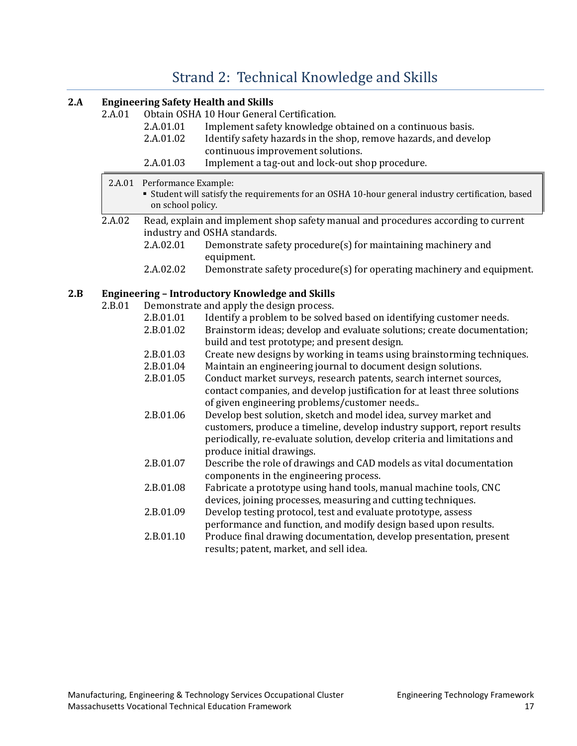# [Strand 2: Technical Knowledge and Skills](#page-2-0)

### <span id="page-19-0"></span>**2.A Engineering Safety Health and Skills**

| 2.A.01.01<br>Implement safety knowledge obtained on a continuous basis.                                                                                                                                                                                          |  |
|------------------------------------------------------------------------------------------------------------------------------------------------------------------------------------------------------------------------------------------------------------------|--|
| 2.A.01.02<br>Identify safety hazards in the shop, remove hazards, and develop                                                                                                                                                                                    |  |
| continuous improvement solutions.                                                                                                                                                                                                                                |  |
| 2.A.01.03<br>Implement a tag-out and lock-out shop procedure.                                                                                                                                                                                                    |  |
| 2.A.01<br>Performance Example:                                                                                                                                                                                                                                   |  |
| • Student will satisfy the requirements for an OSHA 10-hour general industry certification, based<br>on school policy.                                                                                                                                           |  |
| 2.A.02<br>Read, explain and implement shop safety manual and procedures according to current<br>industry and OSHA standards.                                                                                                                                     |  |
| 2.A.02.01<br>Demonstrate safety procedure(s) for maintaining machinery and<br>equipment.                                                                                                                                                                         |  |
| 2.A.02.02<br>Demonstrate safety procedure(s) for operating machinery and equipment.                                                                                                                                                                              |  |
| 2.B<br><b>Engineering - Introductory Knowledge and Skills</b>                                                                                                                                                                                                    |  |
| 2.B.01<br>Demonstrate and apply the design process.                                                                                                                                                                                                              |  |
| 2.B.01.01<br>Identify a problem to be solved based on identifying customer needs.                                                                                                                                                                                |  |
| 2.B.01.02<br>Brainstorm ideas; develop and evaluate solutions; create documentation;                                                                                                                                                                             |  |
| build and test prototype; and present design.                                                                                                                                                                                                                    |  |
| 2.B.01.03<br>Create new designs by working in teams using brainstorming techniques.                                                                                                                                                                              |  |
| 2.B.01.04<br>Maintain an engineering journal to document design solutions.                                                                                                                                                                                       |  |
| 2.B.01.05<br>Conduct market surveys, research patents, search internet sources,<br>contact companies, and develop justification for at least three solutions<br>of given engineering problems/customer needs                                                     |  |
| 2.B.01.06<br>Develop best solution, sketch and model idea, survey market and<br>customers, produce a timeline, develop industry support, report results<br>periodically, re-evaluate solution, develop criteria and limitations and<br>produce initial drawings. |  |
| 2.B.01.07<br>Describe the role of drawings and CAD models as vital documentation<br>components in the engineering process.                                                                                                                                       |  |
| Fabricate a prototype using hand tools, manual machine tools, CNC<br>2.B.01.08<br>devices, joining processes, measuring and cutting techniques.                                                                                                                  |  |
| 2.B.01.09<br>Develop testing protocol, test and evaluate prototype, assess<br>performance and function, and modify design based upon results.                                                                                                                    |  |
| 2.B.01.10<br>Produce final drawing documentation, develop presentation, present<br>results; patent, market, and sell idea.                                                                                                                                       |  |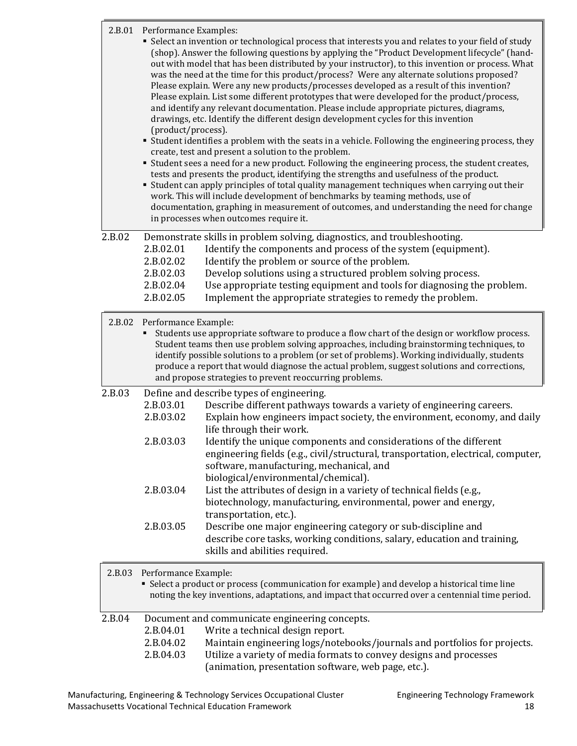|        | 2.B.01 Performance Examples:<br>(product/process).            | • Select an invention or technological process that interests you and relates to your field of study<br>(shop). Answer the following questions by applying the "Product Development lifecycle" (hand-<br>out with model that has been distributed by your instructor), to this invention or process. What<br>was the need at the time for this product/process? Were any alternate solutions proposed?<br>Please explain. Were any new products/processes developed as a result of this invention?<br>Please explain. List some different prototypes that were developed for the product/process,<br>and identify any relevant documentation. Please include appropriate pictures, diagrams,<br>drawings, etc. Identify the different design development cycles for this invention<br>• Student identifies a problem with the seats in a vehicle. Following the engineering process, they<br>create, test and present a solution to the problem.<br>" Student sees a need for a new product. Following the engineering process, the student creates,<br>tests and presents the product, identifying the strengths and usefulness of the product.<br>" Student can apply principles of total quality management techniques when carrying out their<br>work. This will include development of benchmarks by teaming methods, use of<br>documentation, graphing in measurement of outcomes, and understanding the need for change<br>in processes when outcomes require it. |
|--------|---------------------------------------------------------------|--------------------------------------------------------------------------------------------------------------------------------------------------------------------------------------------------------------------------------------------------------------------------------------------------------------------------------------------------------------------------------------------------------------------------------------------------------------------------------------------------------------------------------------------------------------------------------------------------------------------------------------------------------------------------------------------------------------------------------------------------------------------------------------------------------------------------------------------------------------------------------------------------------------------------------------------------------------------------------------------------------------------------------------------------------------------------------------------------------------------------------------------------------------------------------------------------------------------------------------------------------------------------------------------------------------------------------------------------------------------------------------------------------------------------------------------------------------------------|
| 2.B.02 | 2.B.02.01<br>2.B.02.02<br>2.B.02.03<br>2.B.02.04<br>2.B.02.05 | Demonstrate skills in problem solving, diagnostics, and troubleshooting.<br>Identify the components and process of the system (equipment).<br>Identify the problem or source of the problem.<br>Develop solutions using a structured problem solving process.<br>Use appropriate testing equipment and tools for diagnosing the problem.<br>Implement the appropriate strategies to remedy the problem.                                                                                                                                                                                                                                                                                                                                                                                                                                                                                                                                                                                                                                                                                                                                                                                                                                                                                                                                                                                                                                                                  |
| 2.B.02 | Performance Example:                                          | Students use appropriate software to produce a flow chart of the design or workflow process.<br>Student teams then use problem solving approaches, including brainstorming techniques, to<br>identify possible solutions to a problem (or set of problems). Working individually, students<br>produce a report that would diagnose the actual problem, suggest solutions and corrections,<br>and propose strategies to prevent reoccurring problems.                                                                                                                                                                                                                                                                                                                                                                                                                                                                                                                                                                                                                                                                                                                                                                                                                                                                                                                                                                                                                     |
| 2.B.03 |                                                               | Define and describe types of engineering.                                                                                                                                                                                                                                                                                                                                                                                                                                                                                                                                                                                                                                                                                                                                                                                                                                                                                                                                                                                                                                                                                                                                                                                                                                                                                                                                                                                                                                |
|        | 2.B.03.01<br>2.B.03.02                                        | Describe different pathways towards a variety of engineering careers.<br>Explain how engineers impact society, the environment, economy, and daily<br>life through their work.                                                                                                                                                                                                                                                                                                                                                                                                                                                                                                                                                                                                                                                                                                                                                                                                                                                                                                                                                                                                                                                                                                                                                                                                                                                                                           |
|        | 2.B.03.03                                                     | Identify the unique components and considerations of the different<br>engineering fields (e.g., civil/structural, transportation, electrical, computer,<br>software, manufacturing, mechanical, and<br>biological/environmental/chemical).                                                                                                                                                                                                                                                                                                                                                                                                                                                                                                                                                                                                                                                                                                                                                                                                                                                                                                                                                                                                                                                                                                                                                                                                                               |
|        | 2.B.03.04                                                     | List the attributes of design in a variety of technical fields (e.g.,<br>biotechnology, manufacturing, environmental, power and energy,<br>transportation, etc.).                                                                                                                                                                                                                                                                                                                                                                                                                                                                                                                                                                                                                                                                                                                                                                                                                                                                                                                                                                                                                                                                                                                                                                                                                                                                                                        |
|        | 2.B.03.05                                                     | Describe one major engineering category or sub-discipline and<br>describe core tasks, working conditions, salary, education and training,<br>skills and abilities required.                                                                                                                                                                                                                                                                                                                                                                                                                                                                                                                                                                                                                                                                                                                                                                                                                                                                                                                                                                                                                                                                                                                                                                                                                                                                                              |
|        | 2R02 Dorformance Evample                                      |                                                                                                                                                                                                                                                                                                                                                                                                                                                                                                                                                                                                                                                                                                                                                                                                                                                                                                                                                                                                                                                                                                                                                                                                                                                                                                                                                                                                                                                                          |

|        | 2.B.03 Performance Example:                    | • Select a product or process (communication for example) and develop a historical time line<br>noting the key inventions, adaptations, and impact that occurred over a centennial time period. |
|--------|------------------------------------------------|-------------------------------------------------------------------------------------------------------------------------------------------------------------------------------------------------|
| 2.B.04 | Document and communicate engineering concepts. |                                                                                                                                                                                                 |
|        | 2.B.04.01                                      | Write a technical design report.                                                                                                                                                                |
|        | 2.B.04.02                                      | Maintain engineering logs/notebooks/journals and portfolios for projects.                                                                                                                       |
|        | 2.B.04.03                                      | Utilize a variety of media formats to convey designs and processes<br>(animation, presentation software, web page, etc.).                                                                       |
|        |                                                |                                                                                                                                                                                                 |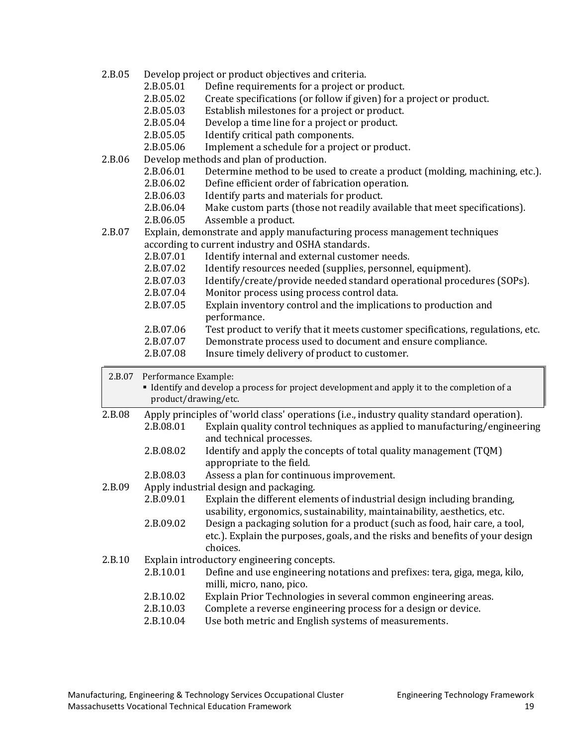- 2.B.05 Develop project or product objectives and criteria.<br>2.B.05.01 Define requirements for a project or
	- 2.B.05.01 Define requirements for a project or product.<br>2.B.05.02 Create specifications (or follow if given) for a
	- 2.B.05.02 Create specifications (or follow if given) for a project or product.<br>2.B.05.03 Establish milestones for a project or product.
	- 2.B.05.03 Establish milestones for a project or product.<br>2.B.05.04 Develop a time line for a project or product.
	- 2.B.05.04 Develop a time line for a project or product.<br>2.B.05.05 Identify critical path components.
	- 2.B.05.05 Identify critical path components.<br>2.B.05.06 Implement a schedule for a project
	- Implement a schedule for a project or product.
- 2.B.06 Develop methods and plan of production.<br>2.B.06.01 Determine method to be use
	- 2.B.06.01 Determine method to be used to create a product (molding, machining, etc.).<br>2.B.06.02 Define efficient order of fabrication operation.
	- 2.B.06.02 Define efficient order of fabrication operation.<br>2.B.06.03 Identify parts and materials for product.
	- 2.B.06.03 Identify parts and materials for product.<br>2.B.06.04 Make custom parts (those not readily ava
	- 2.B.06.04 Make custom parts (those not readily available that meet specifications).<br>2.B.06.05 Assemble a product.
	- Assemble a product.
- 2.B.07 Explain, demonstrate and apply manufacturing process management techniques according to current industry and OSHA standards.<br>2.B.07.01 ldentify internal and external custome
	- 2.B.07.01 Identify internal and external customer needs.<br>2.B.07.02 Identify resources needed (supplies, personnel
	- 2.B.07.02 Identify resources needed (supplies, personnel, equipment).<br>2.B.07.03 Identify/create/provide needed standard operational proced
	- 2.B.07.03 Identify/create/provide needed standard operational procedures (SOPs).<br>2.B.07.04 Monitor process using process control data.
	- 2.B.07.04 Monitor process using process control data.<br>2.B.07.05 Explain inventory control and the implication
	- Explain inventory control and the implications to production and performance.
	- 2.B.07.06 Test product to verify that it meets customer specifications, regulations, etc.<br>2.B.07.07 Demonstrate process used to document and ensure compliance.
	- 2.B.07.07 Demonstrate process used to document and ensure compliance.<br>2.B.07.08 Insure timely delivery of product to customer.
	- Insure timely delivery of product to customer.

| 2.B.07 | Performance Example:<br>product/drawing/etc. | Identify and develop a process for project development and apply it to the completion of a                                                                               |
|--------|----------------------------------------------|--------------------------------------------------------------------------------------------------------------------------------------------------------------------------|
| 2.B.08 |                                              | Apply principles of 'world class' operations (i.e., industry quality standard operation).                                                                                |
|        | 2.B.08.01                                    | Explain quality control techniques as applied to manufacturing/engineering<br>and technical processes.                                                                   |
|        | 2.B.08.02                                    | Identify and apply the concepts of total quality management (TQM)<br>appropriate to the field.                                                                           |
|        | 2.B.08.03                                    | Assess a plan for continuous improvement.                                                                                                                                |
| 2.B.09 |                                              | Apply industrial design and packaging.                                                                                                                                   |
|        | 2.B.09.01                                    | Explain the different elements of industrial design including branding,                                                                                                  |
|        |                                              | usability, ergonomics, sustainability, maintainability, aesthetics, etc.                                                                                                 |
|        | 2.B.09.02                                    | Design a packaging solution for a product (such as food, hair care, a tool,<br>etc.). Explain the purposes, goals, and the risks and benefits of your design<br>choices. |
| 2.B.10 |                                              | Explain introductory engineering concepts.                                                                                                                               |
|        | 2.B.10.01                                    | Define and use engineering notations and prefixes: tera, giga, mega, kilo,<br>milli, micro, nano, pico.                                                                  |
|        | 2.B.10.02                                    | Explain Prior Technologies in several common engineering areas.                                                                                                          |
|        | 2.B.10.03                                    | Complete a reverse engineering process for a design or device.                                                                                                           |
|        | 2.B.10.04                                    | Use both metric and English systems of measurements.                                                                                                                     |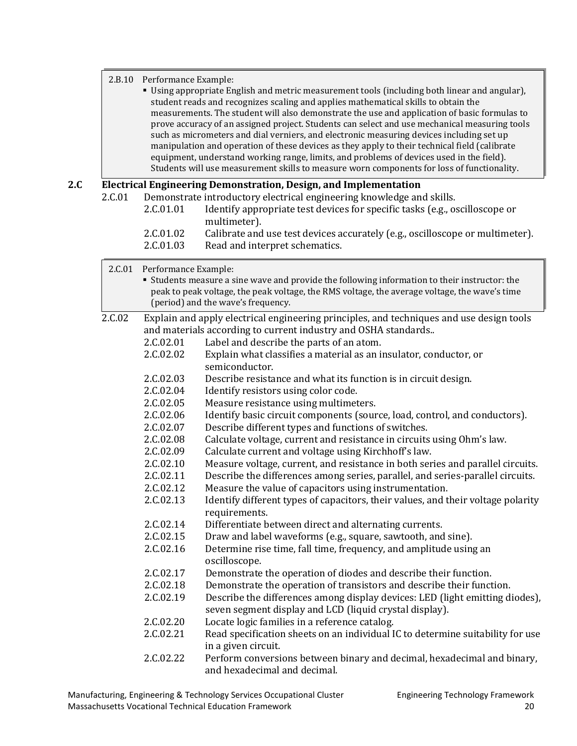#### 2.B.10 Performance Example:

| • Using appropriate English and metric measurement tools (including both linear and angular), |
|-----------------------------------------------------------------------------------------------|
| student reads and recognizes scaling and applies mathematical skills to obtain the            |
| measurements. The student will also demonstrate the use and application of basic formulas to  |
| prove accuracy of an assigned project. Students can select and use mechanical measuring tools |
| such as micrometers and dial verniers, and electronic measuring devices including set up      |
| manipulation and operation of these devices as they apply to their technical field (calibrate |
| equipment, understand working range, limits, and problems of devices used in the field).      |
| Students will use measurement skills to measure worn components for loss of functionality.    |
|                                                                                               |

#### **2.C Electrical Engineering Demonstration, Design, and Implementation**

| 2.C.01 |           | Demonstrate introductory electrical engineering knowledge and skills.         |
|--------|-----------|-------------------------------------------------------------------------------|
|        | 2.C.01.01 | Identify appropriate test devices for specific tasks (e.g., oscilloscope or   |
|        |           | multimeter).                                                                  |
|        | 2.C.01.02 | Calibrate and use test devices accurately (e.g., oscilloscope or multimeter). |
|        |           |                                                                               |

2.C.01.03 Read and interpret schematics.

| 2.C.01 | Performance Example: | " Students measure a sine wave and provide the following information to their instructor: the<br>peak to peak voltage, the peak voltage, the RMS voltage, the average voltage, the wave's time<br>(period) and the wave's frequency. |  |  |
|--------|----------------------|--------------------------------------------------------------------------------------------------------------------------------------------------------------------------------------------------------------------------------------|--|--|
| 2.C.02 |                      | Explain and apply electrical engineering principles, and techniques and use design tools                                                                                                                                             |  |  |
|        |                      | and materials according to current industry and OSHA standards                                                                                                                                                                       |  |  |
|        | 2.C.02.01            | Label and describe the parts of an atom.                                                                                                                                                                                             |  |  |
|        | 2.C.02.02            | Explain what classifies a material as an insulator, conductor, or<br>semiconductor.                                                                                                                                                  |  |  |
|        | 2.C.02.03            | Describe resistance and what its function is in circuit design.                                                                                                                                                                      |  |  |
|        | 2.C.02.04            | Identify resistors using color code.                                                                                                                                                                                                 |  |  |
|        | 2.C.02.05            | Measure resistance using multimeters.                                                                                                                                                                                                |  |  |
|        | 2.C.02.06            | Identify basic circuit components (source, load, control, and conductors).                                                                                                                                                           |  |  |
|        | 2.C.02.07            | Describe different types and functions of switches.                                                                                                                                                                                  |  |  |
|        | 2.C.02.08            | Calculate voltage, current and resistance in circuits using Ohm's law.                                                                                                                                                               |  |  |
|        | 2.C.02.09            | Calculate current and voltage using Kirchhoff's law.                                                                                                                                                                                 |  |  |
|        | 2.C.02.10            | Measure voltage, current, and resistance in both series and parallel circuits.                                                                                                                                                       |  |  |
|        | 2.C.02.11            | Describe the differences among series, parallel, and series-parallel circuits.                                                                                                                                                       |  |  |
|        | 2.C.02.12            | Measure the value of capacitors using instrumentation.                                                                                                                                                                               |  |  |
|        | 2.C.02.13            | Identify different types of capacitors, their values, and their voltage polarity<br>requirements.                                                                                                                                    |  |  |
|        | 2.C.02.14            | Differentiate between direct and alternating currents.                                                                                                                                                                               |  |  |
|        | 2.C.02.15            | Draw and label waveforms (e.g., square, sawtooth, and sine).                                                                                                                                                                         |  |  |
|        | 2.C.02.16            | Determine rise time, fall time, frequency, and amplitude using an<br>oscilloscope.                                                                                                                                                   |  |  |
|        | 2.C.02.17            | Demonstrate the operation of diodes and describe their function.                                                                                                                                                                     |  |  |
|        | 2.C.02.18            | Demonstrate the operation of transistors and describe their function.                                                                                                                                                                |  |  |
|        | 2.C.02.19            | Describe the differences among display devices: LED (light emitting diodes),<br>seven segment display and LCD (liquid crystal display).                                                                                              |  |  |
|        | 2.C.02.20            | Locate logic families in a reference catalog.                                                                                                                                                                                        |  |  |
|        | 2.C.02.21            | Read specification sheets on an individual IC to determine suitability for use<br>in a given circuit.                                                                                                                                |  |  |
|        | 2.C.02.22            | Perform conversions between binary and decimal, hexadecimal and binary,<br>and hexadecimal and decimal.                                                                                                                              |  |  |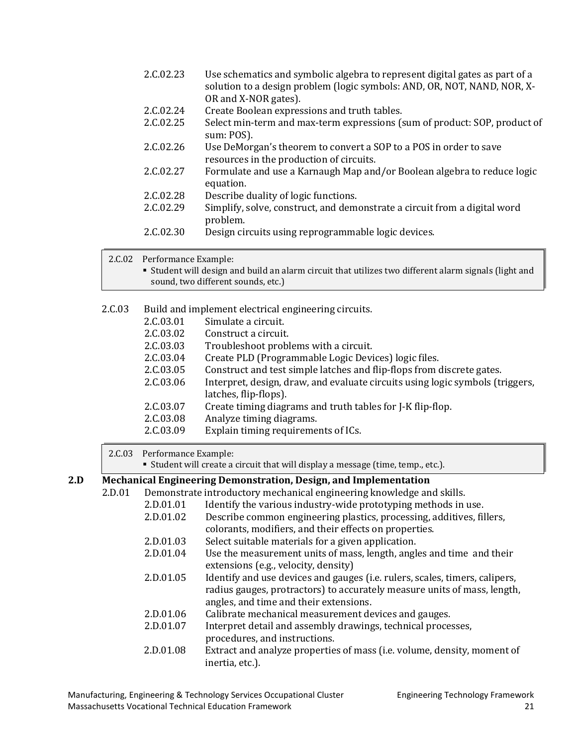| 2.C.02.23 | Use schematics and symbolic algebra to represent digital gates as part of a<br>solution to a design problem (logic symbols: AND, OR, NOT, NAND, NOR, X- |
|-----------|---------------------------------------------------------------------------------------------------------------------------------------------------------|
|           | OR and X-NOR gates).                                                                                                                                    |
| 2.C.02.24 | Create Boolean expressions and truth tables.                                                                                                            |
| 2.C.02.25 | Select min-term and max-term expressions (sum of product: SOP, product of<br>sum: POS).                                                                 |
| 2.C.02.26 | Use DeMorgan's theorem to convert a SOP to a POS in order to save<br>resources in the production of circuits.                                           |
| 2.C.02.27 | Formulate and use a Karnaugh Map and/or Boolean algebra to reduce logic<br>equation.                                                                    |
| 2.C.02.28 | Describe duality of logic functions.                                                                                                                    |
| 2.C.02.29 | Simplify, solve, construct, and demonstrate a circuit from a digital word<br>problem.                                                                   |
| 2.C.02.30 | Design circuits using reprogrammable logic devices.                                                                                                     |

 $\mathbb{R}^2$ 

2.C.02 Performance Example:

 Student will design and build an alarm circuit that utilizes two different alarm signals (light and sound, two different sounds, etc.)

| 2.C.03 |           | Build and implement electrical engineering circuits.                          |
|--------|-----------|-------------------------------------------------------------------------------|
|        | 2.C.03.01 | Simulate a circuit.                                                           |
|        | 2.C.03.02 | Construct a circuit.                                                          |
|        | 2.C.03.03 | Troubleshoot problems with a circuit.                                         |
|        | 2.C.03.04 | Create PLD (Programmable Logic Devices) logic files.                          |
|        | 2.C.03.05 | Construct and test simple latches and flip-flops from discrete gates.         |
|        | 2.C.03.06 | Interpret, design, draw, and evaluate circuits using logic symbols (triggers, |
|        |           | latches, flip-flops).                                                         |
|        | 2.C.03.07 | Create timing diagrams and truth tables for J-K flip-flop.                    |
|        | 2.C.03.08 | Analyze timing diagrams.                                                      |
|        | 2.C.03.09 | Explain timing requirements of ICs.                                           |
|        |           |                                                                               |

2.C.03 Performance Example:

Student will create a circuit that will display a message (time, temp., etc.).

# **2.D Mechanical Engineering Demonstration, Design, and Implementation**

| 2.D.01 | Demonstrate introductory mechanical engineering knowledge and skills. |                                                                                                                                                                                                   |  |  |  |
|--------|-----------------------------------------------------------------------|---------------------------------------------------------------------------------------------------------------------------------------------------------------------------------------------------|--|--|--|
|        | 2.D.01.01                                                             | Identify the various industry-wide prototyping methods in use.                                                                                                                                    |  |  |  |
|        | 2.D.01.02                                                             | Describe common engineering plastics, processing, additives, fillers,<br>colorants, modifiers, and their effects on properties.                                                                   |  |  |  |
|        | 2.D.01.03                                                             | Select suitable materials for a given application.                                                                                                                                                |  |  |  |
|        | 2.D.01.04                                                             | Use the measurement units of mass, length, angles and time and their<br>extensions (e.g., velocity, density)                                                                                      |  |  |  |
|        | 2.D.01.05                                                             | Identify and use devices and gauges (i.e. rulers, scales, timers, calipers,<br>radius gauges, protractors) to accurately measure units of mass, length,<br>angles, and time and their extensions. |  |  |  |
|        | 2.D.01.06                                                             | Calibrate mechanical measurement devices and gauges.                                                                                                                                              |  |  |  |
|        | 2.D.01.07                                                             | Interpret detail and assembly drawings, technical processes,<br>procedures, and instructions.                                                                                                     |  |  |  |
|        | 2.D.01.08                                                             | Extract and analyze properties of mass (i.e. volume, density, moment of<br>inertia, etc.).                                                                                                        |  |  |  |
|        |                                                                       |                                                                                                                                                                                                   |  |  |  |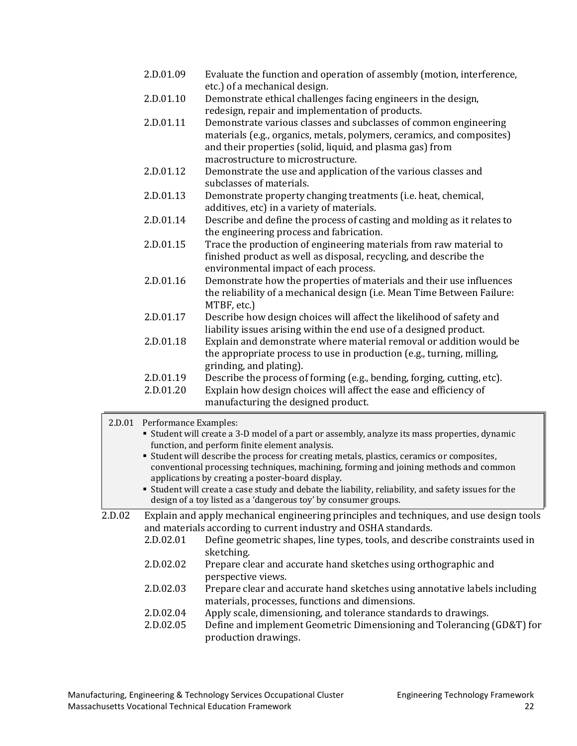| 2.D.01.09 | Evaluate the function and operation of assembly (motion, interference,<br>etc.) of a mechanical design. |
|-----------|---------------------------------------------------------------------------------------------------------|
| 2.D.01.10 | Demonstrate ethical challenges facing engineers in the design,                                          |
|           | redesign, repair and implementation of products.                                                        |
| 2.D.01.11 | Demonstrate various classes and subclasses of common engineering                                        |
|           | materials (e.g., organics, metals, polymers, ceramics, and composites)                                  |
|           | and their properties (solid, liquid, and plasma gas) from                                               |
|           | macrostructure to microstructure.                                                                       |
| 2.D.01.12 | Demonstrate the use and application of the various classes and                                          |
|           | subclasses of materials.                                                                                |
| 2.D.01.13 | Demonstrate property changing treatments (i.e. heat, chemical,                                          |
|           | additives, etc) in a variety of materials.                                                              |
| 2.D.01.14 | Describe and define the process of casting and molding as it relates to                                 |
|           | the engineering process and fabrication.                                                                |
| 2.D.01.15 | Trace the production of engineering materials from raw material to                                      |
|           | finished product as well as disposal, recycling, and describe the                                       |
|           | environmental impact of each process.                                                                   |
| 2.D.01.16 | Demonstrate how the properties of materials and their use influences                                    |
|           | the reliability of a mechanical design (i.e. Mean Time Between Failure:                                 |
|           | MTBF, etc.)                                                                                             |
| 2.D.01.17 | Describe how design choices will affect the likelihood of safety and                                    |
|           | liability issues arising within the end use of a designed product.                                      |
| 2.D.01.18 | Explain and demonstrate where material removal or addition would be                                     |
|           | the appropriate process to use in production (e.g., turning, milling,                                   |
|           | grinding, and plating).                                                                                 |
| 2.D.01.19 | Describe the process of forming (e.g., bending, forging, cutting, etc).                                 |
| 2.D.01.20 | Explain how design choices will affect the ease and efficiency of                                       |
|           | manufacturing the designed product.                                                                     |
|           |                                                                                                         |

|  | 2.D.01 Performance Examples: |  |
|--|------------------------------|--|
|--|------------------------------|--|

| • Student will create a 3-D model of a part or assembly, analyze its mass properties, dynamic |
|-----------------------------------------------------------------------------------------------|
| function, and perform finite element analysis.                                                |

 Student will describe the process for creating metals, plastics, ceramics or composites, conventional processing techniques, machining, forming and joining methods and common applications by creating a poster-board display.

 Student will create a case study and debate the liability, reliability, and safety issues for the design of a toy listed as a 'dangerous toy' by consumer groups.

2.D.02 Explain and apply mechanical engineering principles and techniques, and use design tools and materials according to current industry and OSHA standards.<br>2.D.02.01 Define geometric shapes, line types, tools, and descr

- Define geometric shapes, line types, tools, and describe constraints used in sketching.
- 2.D.02.02 Prepare clear and accurate hand sketches using orthographic and perspective views.
- 2.D.02.03 Prepare clear and accurate hand sketches using annotative labels including materials, processes, functions and dimensions.
- 2.D.02.04 Apply scale, dimensioning, and tolerance standards to drawings.<br>2.D.02.05 Define and implement Geometric Dimensioning and Tolerancing
- Define and implement Geometric Dimensioning and Tolerancing (GD&T) for production drawings.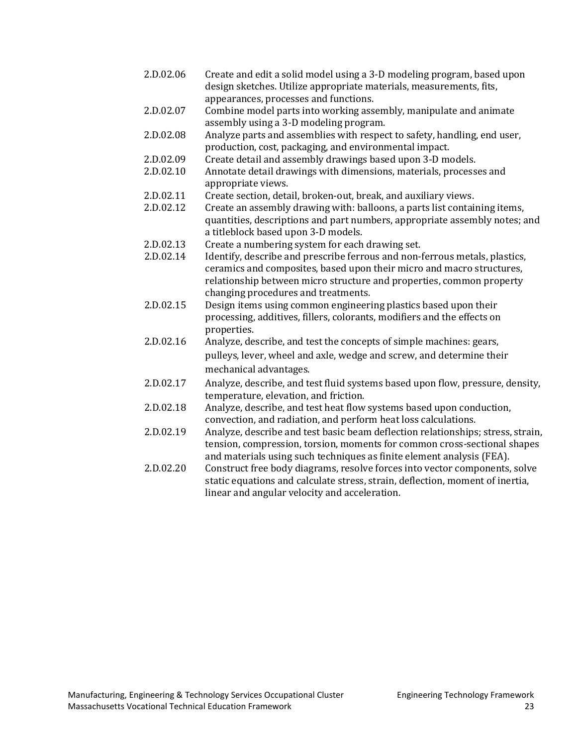| 2.D.02.06 | Create and edit a solid model using a 3-D modeling program, based upon<br>design sketches. Utilize appropriate materials, measurements, fits,<br>appearances, processes and functions.                                                                             |
|-----------|--------------------------------------------------------------------------------------------------------------------------------------------------------------------------------------------------------------------------------------------------------------------|
| 2.D.02.07 | Combine model parts into working assembly, manipulate and animate<br>assembly using a 3-D modeling program.                                                                                                                                                        |
| 2.D.02.08 | Analyze parts and assemblies with respect to safety, handling, end user,<br>production, cost, packaging, and environmental impact.                                                                                                                                 |
| 2.D.02.09 | Create detail and assembly drawings based upon 3-D models.                                                                                                                                                                                                         |
| 2.D.02.10 | Annotate detail drawings with dimensions, materials, processes and<br>appropriate views.                                                                                                                                                                           |
| 2.D.02.11 | Create section, detail, broken-out, break, and auxiliary views.                                                                                                                                                                                                    |
| 2.D.02.12 | Create an assembly drawing with: balloons, a parts list containing items,<br>quantities, descriptions and part numbers, appropriate assembly notes; and<br>a titleblock based upon 3-D models.                                                                     |
| 2.D.02.13 | Create a numbering system for each drawing set.                                                                                                                                                                                                                    |
| 2.D.02.14 | Identify, describe and prescribe ferrous and non-ferrous metals, plastics,<br>ceramics and composites, based upon their micro and macro structures,<br>relationship between micro structure and properties, common property<br>changing procedures and treatments. |
| 2.D.02.15 | Design items using common engineering plastics based upon their                                                                                                                                                                                                    |
|           | processing, additives, fillers, colorants, modifiers and the effects on<br>properties.                                                                                                                                                                             |
| 2.D.02.16 | Analyze, describe, and test the concepts of simple machines: gears,                                                                                                                                                                                                |
|           | pulleys, lever, wheel and axle, wedge and screw, and determine their<br>mechanical advantages.                                                                                                                                                                     |
| 2.D.02.17 | Analyze, describe, and test fluid systems based upon flow, pressure, density,<br>temperature, elevation, and friction.                                                                                                                                             |
| 2.D.02.18 | Analyze, describe, and test heat flow systems based upon conduction,<br>convection, and radiation, and perform heat loss calculations.                                                                                                                             |
| 2.D.02.19 | Analyze, describe and test basic beam deflection relationships; stress, strain,<br>tension, compression, torsion, moments for common cross-sectional shapes<br>and materials using such techniques as finite element analysis (FEA).                               |
| 2.D.02.20 | Construct free body diagrams, resolve forces into vector components, solve<br>static equations and calculate stress, strain, deflection, moment of inertia,<br>linear and angular velocity and acceleration.                                                       |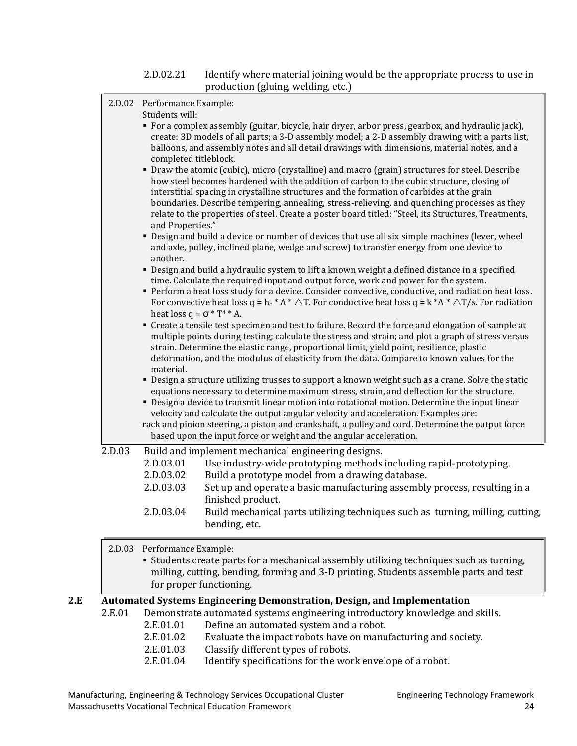#### 2.D.02.21 Identify where material joining would be the appropriate process to use in production (gluing, welding, etc.)

|        | 2.D.02 Performance Example:                                                                                                                                                                                                                                                        |                                                                                                                                                                                                                                                                                                                                                                                                                                                                                                                                                                    |  |  |
|--------|------------------------------------------------------------------------------------------------------------------------------------------------------------------------------------------------------------------------------------------------------------------------------------|--------------------------------------------------------------------------------------------------------------------------------------------------------------------------------------------------------------------------------------------------------------------------------------------------------------------------------------------------------------------------------------------------------------------------------------------------------------------------------------------------------------------------------------------------------------------|--|--|
|        | Students will:<br>completed titleblock.                                                                                                                                                                                                                                            | • For a complex assembly (guitar, bicycle, hair dryer, arbor press, gearbox, and hydraulic jack),<br>create: 3D models of all parts; a 3-D assembly model; a 2-D assembly drawing with a parts list,<br>balloons, and assembly notes and all detail drawings with dimensions, material notes, and a                                                                                                                                                                                                                                                                |  |  |
|        | and Properties."                                                                                                                                                                                                                                                                   | • Draw the atomic (cubic), micro (crystalline) and macro (grain) structures for steel. Describe<br>how steel becomes hardened with the addition of carbon to the cubic structure, closing of<br>interstitial spacing in crystalline structures and the formation of carbides at the grain<br>boundaries. Describe tempering, annealing, stress-relieving, and quenching processes as they<br>relate to the properties of steel. Create a poster board titled: "Steel, its Structures, Treatments,                                                                  |  |  |
|        | another.                                                                                                                                                                                                                                                                           | " Design and build a device or number of devices that use all six simple machines (lever, wheel<br>and axle, pulley, inclined plane, wedge and screw) to transfer energy from one device to                                                                                                                                                                                                                                                                                                                                                                        |  |  |
|        |                                                                                                                                                                                                                                                                                    | • Design and build a hydraulic system to lift a known weight a defined distance in a specified<br>time. Calculate the required input and output force, work and power for the system.                                                                                                                                                                                                                                                                                                                                                                              |  |  |
|        | • Perform a heat loss study for a device. Consider convective, conductive, and radiation heat loss.<br>For convective heat loss q = h <sub>c</sub> * A * $\triangle T$ . For conductive heat loss q = k *A * $\triangle T$ /s. For radiation<br>heat loss $q = \sigma * T^4 * A$ . |                                                                                                                                                                                                                                                                                                                                                                                                                                                                                                                                                                    |  |  |
|        | material.                                                                                                                                                                                                                                                                          | " Create a tensile test specimen and test to failure. Record the force and elongation of sample at<br>multiple points during testing; calculate the stress and strain; and plot a graph of stress versus<br>strain. Determine the elastic range, proportional limit, yield point, resilience, plastic<br>deformation, and the modulus of elasticity from the data. Compare to known values for the                                                                                                                                                                 |  |  |
|        |                                                                                                                                                                                                                                                                                    | " Design a structure utilizing trusses to support a known weight such as a crane. Solve the static<br>equations necessary to determine maximum stress, strain, and deflection for the structure.<br>" Design a device to transmit linear motion into rotational motion. Determine the input linear<br>velocity and calculate the output angular velocity and acceleration. Examples are:<br>rack and pinion steering, a piston and crankshaft, a pulley and cord. Determine the output force<br>based upon the input force or weight and the angular acceleration. |  |  |
| 2.D.03 | 2.D.03.01                                                                                                                                                                                                                                                                          | Build and implement mechanical engineering designs.<br>Use industry-wide prototyping methods including rapid-prototyping.                                                                                                                                                                                                                                                                                                                                                                                                                                          |  |  |
|        | 2.D.03.02                                                                                                                                                                                                                                                                          | Build a prototype model from a drawing database.                                                                                                                                                                                                                                                                                                                                                                                                                                                                                                                   |  |  |
|        | 2.D.03.03                                                                                                                                                                                                                                                                          | Set up and operate a basic manufacturing assembly process, resulting in a<br>finished product.                                                                                                                                                                                                                                                                                                                                                                                                                                                                     |  |  |
|        | 2.D.03.04                                                                                                                                                                                                                                                                          | Build mechanical parts utilizing techniques such as turning, milling, cutting,<br>bending, etc.                                                                                                                                                                                                                                                                                                                                                                                                                                                                    |  |  |
|        | 2.D.03 Performance Example:                                                                                                                                                                                                                                                        | • Students create parts for a mechanical assembly utilizing techniques such as turning,<br>milling, cutting, bending, forming and 3-D printing. Students assemble parts and test<br>for proper functioning.                                                                                                                                                                                                                                                                                                                                                        |  |  |
|        |                                                                                                                                                                                                                                                                                    | Automated Systems Engineering Demonstration, Design, and Implementation                                                                                                                                                                                                                                                                                                                                                                                                                                                                                            |  |  |

#### **2.E Automated Systems Engineering Demonstration, Design, and Implementation**

- 2.E.01 Demonstrate automated systems engineering introductory knowledge and skills.<br>2.E.01.01 Define an automated system and a robot.
	- 2.E.01.01 Define an automated system and a robot.<br>2.E.01.02 Evaluate the impact robots have on manu
	- 2.E.01.02 Evaluate the impact robots have on manufacturing and society.<br>2.E.01.03 Classify different types of robots.
	- 2.E.01.03 Classify different types of robots.<br>2.E.01.04 Identify specifications for the wor
	- Identify specifications for the work envelope of a robot.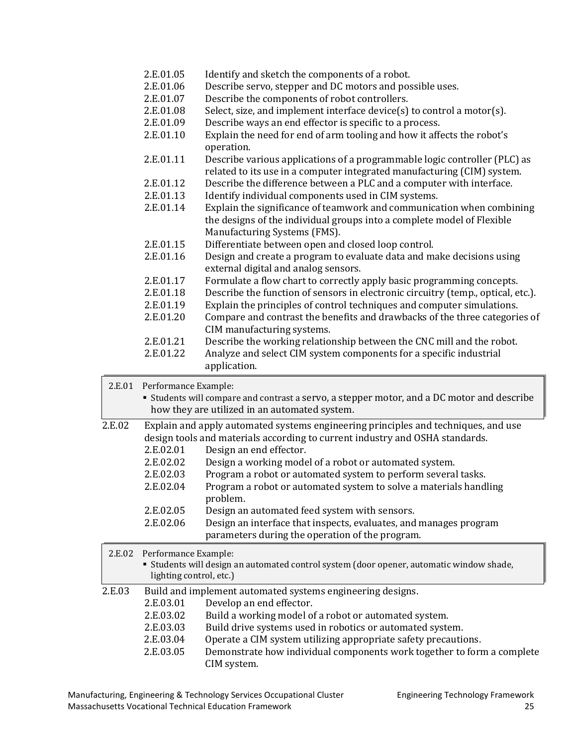|        | 2.E.01.05               | Identify and sketch the components of a robot.                                                                                                                                  |
|--------|-------------------------|---------------------------------------------------------------------------------------------------------------------------------------------------------------------------------|
|        | 2.E.01.06               | Describe servo, stepper and DC motors and possible uses.                                                                                                                        |
|        | 2.E.01.07               | Describe the components of robot controllers.                                                                                                                                   |
|        | 2.E.01.08               | Select, size, and implement interface device(s) to control a motor(s).                                                                                                          |
|        | 2.E.01.09               | Describe ways an end effector is specific to a process.                                                                                                                         |
|        | 2.E.01.10               | Explain the need for end of arm tooling and how it affects the robot's<br>operation.                                                                                            |
|        | 2.E.01.11               | Describe various applications of a programmable logic controller (PLC) as<br>related to its use in a computer integrated manufacturing (CIM) system.                            |
|        | 2.E.01.12               | Describe the difference between a PLC and a computer with interface.                                                                                                            |
|        | 2.E.01.13               | Identify individual components used in CIM systems.                                                                                                                             |
|        | 2.E.01.14               | Explain the significance of teamwork and communication when combining<br>the designs of the individual groups into a complete model of Flexible<br>Manufacturing Systems (FMS). |
|        | 2.E.01.15               | Differentiate between open and closed loop control.                                                                                                                             |
|        | 2.E.01.16               | Design and create a program to evaluate data and make decisions using<br>external digital and analog sensors.                                                                   |
|        | 2.E.01.17               | Formulate a flow chart to correctly apply basic programming concepts.                                                                                                           |
|        | 2.E.01.18               | Describe the function of sensors in electronic circuitry (temp., optical, etc.).                                                                                                |
|        | 2.E.01.19               | Explain the principles of control techniques and computer simulations.                                                                                                          |
|        | 2.E.01.20               | Compare and contrast the benefits and drawbacks of the three categories of                                                                                                      |
|        |                         | CIM manufacturing systems.                                                                                                                                                      |
|        | 2.E.01.21               | Describe the working relationship between the CNC mill and the robot.                                                                                                           |
|        | 2.E.01.22               | Analyze and select CIM system components for a specific industrial                                                                                                              |
|        |                         | application.                                                                                                                                                                    |
| 2.E.01 | Performance Example:    |                                                                                                                                                                                 |
|        |                         | <b>Students will compare and contrast a servo, a stepper motor, and a DC motor and describe</b><br>how they are utilized in an automated system.                                |
| 2.E.02 |                         | Explain and apply automated systems engineering principles and techniques, and use<br>design tools and materials according to current industry and OSHA standards.              |
|        | 2.E.02.01               | Design an end effector.                                                                                                                                                         |
|        | 2.E.02.02               | Design a working model of a robot or automated system.                                                                                                                          |
|        | 2.E.02.03               | Program a robot or automated system to perform several tasks.                                                                                                                   |
|        | 2.E.02.04               | Program a robot or automated system to solve a materials handling<br>problem.                                                                                                   |
|        | 2.E.02.05               | Design an automated feed system with sensors.                                                                                                                                   |
|        | 2.E.02.06               | Design an interface that inspects, evaluates, and manages program                                                                                                               |
|        |                         | parameters during the operation of the program.                                                                                                                                 |
| 2.E.02 | Performance Example:    |                                                                                                                                                                                 |
|        | lighting control, etc.) | " Students will design an automated control system (door opener, automatic window shade,                                                                                        |
| 2.E.03 |                         | Build and implement automated systems engineering designs.                                                                                                                      |
|        | 2.E.03.01               | Develop an end effector.                                                                                                                                                        |
|        | 2.E.03.02               | Build a working model of a robot or automated system.                                                                                                                           |
|        | 2.E.03.03               | Build drive systems used in robotics or automated system.                                                                                                                       |
|        | 2.E.03.04               | Operate a CIM system utilizing appropriate safety precautions.                                                                                                                  |
|        | 2.E.03.05               | Demonstrate how individual components work together to form a complete<br>CIM system.                                                                                           |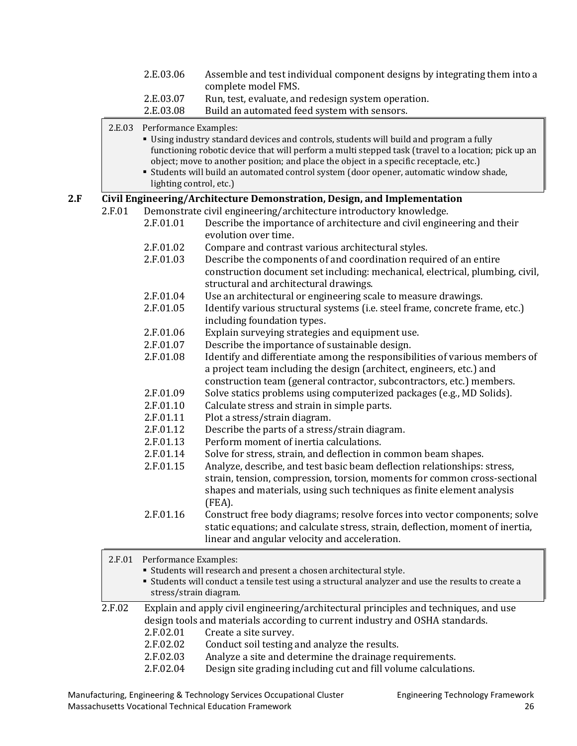|        | 2.E.03.06                                        | Assemble and test individual component designs by integrating them into a<br>complete model FMS.                                                                                                                                                                                                                                                                                    |
|--------|--------------------------------------------------|-------------------------------------------------------------------------------------------------------------------------------------------------------------------------------------------------------------------------------------------------------------------------------------------------------------------------------------------------------------------------------------|
|        | 2.E.03.07<br>2.E.03.08                           | Run, test, evaluate, and redesign system operation.<br>Build an automated feed system with sensors.                                                                                                                                                                                                                                                                                 |
| 2.E.03 | Performance Examples:<br>lighting control, etc.) | " Using industry standard devices and controls, students will build and program a fully<br>functioning robotic device that will perform a multi stepped task (travel to a location; pick up an<br>object; move to another position; and place the object in a specific receptacle, etc.)<br>" Students will build an automated control system (door opener, automatic window shade, |
|        |                                                  | Civil Engineering/Architecture Demonstration, Design, and Implementation                                                                                                                                                                                                                                                                                                            |
| 2.F.01 | 2.F.01.01                                        | Demonstrate civil engineering/architecture introductory knowledge.<br>Describe the importance of architecture and civil engineering and their<br>evolution over time.                                                                                                                                                                                                               |
|        | 2.F.01.02<br>2.F.01.03                           | Compare and contrast various architectural styles.<br>Describe the components of and coordination required of an entire<br>construction document set including: mechanical, electrical, plumbing, civil,                                                                                                                                                                            |
|        |                                                  | structural and architectural drawings.                                                                                                                                                                                                                                                                                                                                              |
|        | 2.F.01.04                                        | Use an architectural or engineering scale to measure drawings.                                                                                                                                                                                                                                                                                                                      |
|        | 2.F.01.05                                        | Identify various structural systems (i.e. steel frame, concrete frame, etc.)<br>including foundation types.                                                                                                                                                                                                                                                                         |
|        | 2.F.01.06                                        | Explain surveying strategies and equipment use.                                                                                                                                                                                                                                                                                                                                     |
|        | 2.F.01.07                                        | Describe the importance of sustainable design.                                                                                                                                                                                                                                                                                                                                      |
|        | 2.F.01.08                                        | Identify and differentiate among the responsibilities of various members of<br>a project team including the design (architect, engineers, etc.) and<br>construction team (general contractor, subcontractors, etc.) members.                                                                                                                                                        |
|        | 2.F.01.09                                        | Solve statics problems using computerized packages (e.g., MD Solids).                                                                                                                                                                                                                                                                                                               |
|        | 2.F.01.10                                        | Calculate stress and strain in simple parts.                                                                                                                                                                                                                                                                                                                                        |
|        | 2.F.01.11                                        | Plot a stress/strain diagram.                                                                                                                                                                                                                                                                                                                                                       |
|        | 2.F.01.12                                        | Describe the parts of a stress/strain diagram.                                                                                                                                                                                                                                                                                                                                      |
|        | 2.F.01.13                                        | Perform moment of inertia calculations.                                                                                                                                                                                                                                                                                                                                             |
|        | 2.F.01.14<br>2.F.01.15                           | Solve for stress, strain, and deflection in common beam shapes.<br>Analyze, describe, and test basic beam deflection relationships: stress,                                                                                                                                                                                                                                         |
|        |                                                  | strain, tension, compression, torsion, moments for common cross-sectional<br>shapes and materials, using such techniques as finite element analysis<br>(FEA).                                                                                                                                                                                                                       |
|        | 2.F.01.16                                        | Construct free body diagrams; resolve forces into vector components; solve<br>static equations; and calculate stress, strain, deflection, moment of inertia,<br>linear and angular velocity and acceleration.                                                                                                                                                                       |
| 2.F.01 | Performance Examples:                            | • Students will research and present a chosen architectural style.<br>" Students will conduct a tensile test using a structural analyzer and use the results to create a<br>stress/strain diagram.                                                                                                                                                                                  |
| 2.F.02 | 2.F.02.01                                        | Explain and apply civil engineering/architectural principles and techniques, and use<br>design tools and materials according to current industry and OSHA standards.<br>Create a site survey.                                                                                                                                                                                       |
|        | 2.F.02.02                                        | Conduct soil testing and analyze the results.                                                                                                                                                                                                                                                                                                                                       |
|        | 2.F.02.03<br>2.F.02.04                           | Analyze a site and determine the drainage requirements.<br>Design site grading including cut and fill volume calculations.                                                                                                                                                                                                                                                          |
|        |                                                  |                                                                                                                                                                                                                                                                                                                                                                                     |

Manufacturing, Engineering & Technology Services Occupational Cluster Engineering Technology Framework Massachusetts Vocational Technical Education Framework 26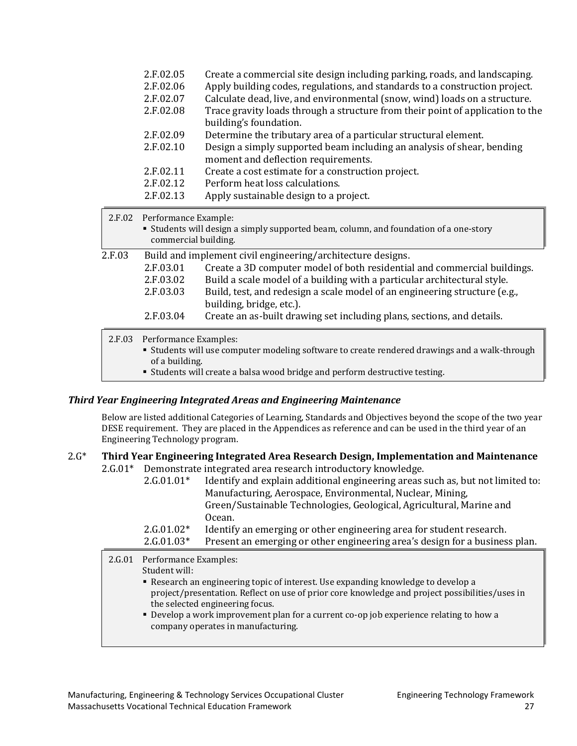|        | 2.F.02.05<br>2.F.02.06<br>2.F.02.07<br>2.F.02.08 | Create a commercial site design including parking, roads, and landscaping.<br>Apply building codes, regulations, and standards to a construction project.<br>Calculate dead, live, and environmental (snow, wind) loads on a structure.<br>Trace gravity loads through a structure from their point of application to the<br>building's foundation.                                                     |
|--------|--------------------------------------------------|---------------------------------------------------------------------------------------------------------------------------------------------------------------------------------------------------------------------------------------------------------------------------------------------------------------------------------------------------------------------------------------------------------|
|        | 2.F.02.09                                        | Determine the tributary area of a particular structural element.                                                                                                                                                                                                                                                                                                                                        |
|        | 2.F.02.10                                        | Design a simply supported beam including an analysis of shear, bending<br>moment and deflection requirements.                                                                                                                                                                                                                                                                                           |
|        | 2.F.02.11                                        | Create a cost estimate for a construction project.                                                                                                                                                                                                                                                                                                                                                      |
|        | 2.F.02.12                                        | Perform heat loss calculations.                                                                                                                                                                                                                                                                                                                                                                         |
|        | 2.F.02.13                                        | Apply sustainable design to a project.                                                                                                                                                                                                                                                                                                                                                                  |
| 2.F.02 | Performance Example:<br>commercial building.     | " Students will design a simply supported beam, column, and foundation of a one-story                                                                                                                                                                                                                                                                                                                   |
| 2.F.03 | 2.F.03.01<br>2.F.03.02<br>2.F.03.03<br>2.F.03.04 | Build and implement civil engineering/architecture designs.<br>Create a 3D computer model of both residential and commercial buildings.<br>Build a scale model of a building with a particular architectural style.<br>Build, test, and redesign a scale model of an engineering structure (e.g.,<br>building, bridge, etc.).<br>Create an as-built drawing set including plans, sections, and details. |
|        |                                                  |                                                                                                                                                                                                                                                                                                                                                                                                         |
| 2.F.03 | Performance Examples:<br>of a building.          | " Students will use computer modeling software to create rendered drawings and a walk-through                                                                                                                                                                                                                                                                                                           |

Students will create a balsa wood bridge and perform destructive testing.

#### *Third Year Engineering Integrated Areas and Engineering Maintenance*

Below are listed additional Categories of Learning, Standards and Objectives beyond the scope of the two year DESE requirement. They are placed in the Appendices as reference and can be used in the third year of an Engineering Technology program.

## 2.G\* **Third Year Engineering Integrated Area Research Design, Implementation and Maintenance**

2.G.01\* Demonstrate integrated area research introductory knowledge.

| $2.G.01.01*$ | Identify and explain additional engineering areas such as, but not limited to: |
|--------------|--------------------------------------------------------------------------------|
|              |                                                                                |
|              | Manufacturing, Aerospace, Environmental, Nuclear, Mining,                      |
|              | Green/Sustainable Technologies, Geological, Agricultural, Marine and           |
|              | Ocean.                                                                         |
| $2.G.01.02*$ | Identify an emerging or other engineering area for student research.           |
| $2.G.01.03*$ | Present an emerging or other engineering area's design for a business plan.    |

#### 2.G.01 Performance Examples:

Student will:

- Research an engineering topic of interest. Use expanding knowledge to develop a project/presentation. Reflect on use of prior core knowledge and project possibilities/uses in the selected engineering focus.
- Develop a work improvement plan for a current co-op job experience relating to how a company operates in manufacturing.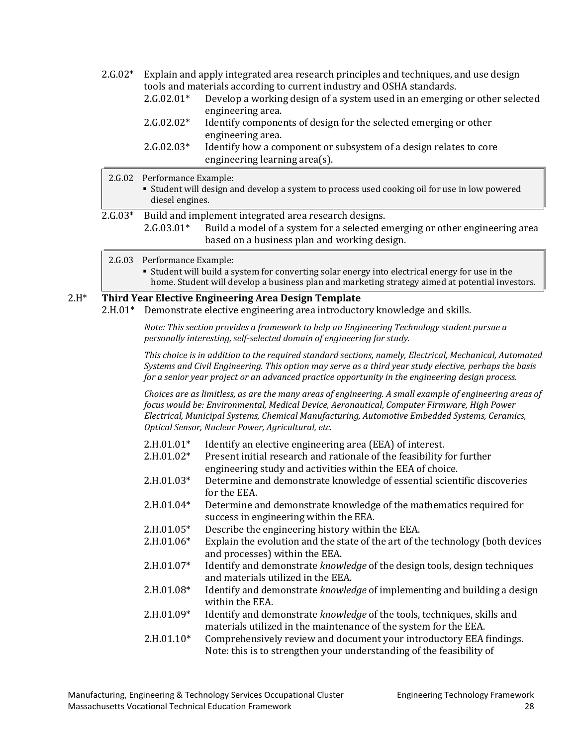- 2.G.02\* Explain and apply integrated area research principles and techniques, and use design tools and materials according to current industry and OSHA standards.<br>2.G.02.01\* Develon a working design of a system used in an emergin
	- Develop a working design of a system used in an emerging or other selected engineering area.
	- 2.G.02.02\* Identify components of design for the selected emerging or other engineering area.
	- 2.G.02.03\* Identify how a component or subsystem of a design relates to core engineering learning area(s).
- 2.G.02 Performance Example:
	- Student will design and develop a system to process used cooking oil for use in low powered diesel engines.
- 2.G.03\* Build and implement integrated area research designs.<br>2.G.03.01\* Build a model of a system for a selected example.
	- Build a model of a system for a selected emerging or other engineering area based on a business plan and working design.
	- 2.G.03 Performance Example:
		- Student will build a system for converting solar energy into electrical energy for use in the home. Student will develop a business plan and marketing strategy aimed at potential investors.

#### 2.H\* **Third Year Elective Engineering Area Design Template**

2.H.01\* Demonstrate elective engineering area introductory knowledge and skills.

*Note: This section provides a framework to help an Engineering Technology student pursue a personally interesting, self-selected domain of engineering for study.*

*This choice is in addition to the required standard sections, namely, Electrical, Mechanical, Automated Systems and Civil Engineering. This option may serve as a third year study elective, perhaps the basis for a senior year project or an advanced practice opportunity in the engineering design process.*

*Choices are as limitless, as are the many areas of engineering. A small example of engineering areas of focus would be: Environmental, Medical Device, Aeronautical*, *Computer Firmware, High Power Electrical, Municipal Systems, Chemical Manufacturing, Automotive Embedded Systems, Ceramics, Optical Sensor, Nuclear Power, Agricultural, etc.*

- $2.H.01.01*$  Identify an elective engineering area (EEA) of interest.<br> $2.H.01.02*$  Present initial research and rationale of the feasibility f
- Present initial research and rationale of the feasibility for further engineering study and activities within the EEA of choice.
- 2.H.01.03\* Determine and demonstrate knowledge of essential scientific discoveries for the EEA.
- 2.H.01.04\* Determine and demonstrate knowledge of the mathematics required for success in engineering within the EEA.
- 2.H.01.05\* Describe the engineering history within the EEA.<br>2.H.01.06\* Explain the evolution and the state of the art of th
- Explain the evolution and the state of the art of the technology (both devices and processes) within the EEA.
- 2.H.01.07\* Identify and demonstrate *knowledge* of the design tools, design techniques and materials utilized in the EEA.
- 2.H.01.08\* Identify and demonstrate *knowledge* of implementing and building a design within the EEA.
- 2.H.01.09\* Identify and demonstrate *knowledge* of the tools, techniques, skills and materials utilized in the maintenance of the system for the EEA.
- 2.H.01.10\* Comprehensively review and document your introductory EEA findings. Note: this is to strengthen your understanding of the feasibility of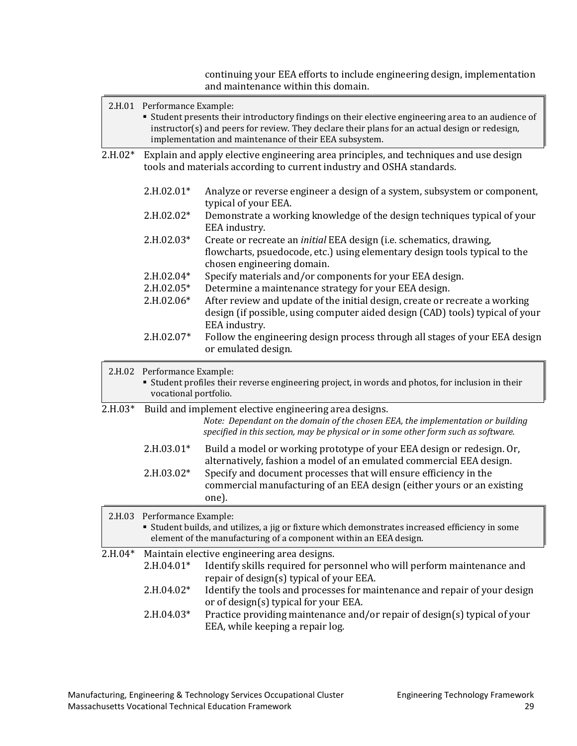continuing your EEA efforts to include engineering design, implementation and maintenance within this domain.

|                                                                     | 2.H.01 Performance Example:<br>" Student presents their introductory findings on their elective engineering area to an audience of<br>instructor(s) and peers for review. They declare their plans for an actual design or redesign,<br>implementation and maintenance of their EEA subsystem. |                                                                                                                                                                                 |
|---------------------------------------------------------------------|------------------------------------------------------------------------------------------------------------------------------------------------------------------------------------------------------------------------------------------------------------------------------------------------|---------------------------------------------------------------------------------------------------------------------------------------------------------------------------------|
| $2.H.02*$                                                           | Explain and apply elective engineering area principles, and techniques and use design<br>tools and materials according to current industry and OSHA standards.                                                                                                                                 |                                                                                                                                                                                 |
|                                                                     | $2.H.02.01*$                                                                                                                                                                                                                                                                                   | Analyze or reverse engineer a design of a system, subsystem or component,<br>typical of your EEA.                                                                               |
|                                                                     | 2.H.02.02*                                                                                                                                                                                                                                                                                     | Demonstrate a working knowledge of the design techniques typical of your<br>EEA industry.                                                                                       |
|                                                                     | 2.H.02.03*                                                                                                                                                                                                                                                                                     | Create or recreate an initial EEA design (i.e. schematics, drawing,<br>flowcharts, psuedocode, etc.) using elementary design tools typical to the<br>chosen engineering domain. |
|                                                                     | 2.H.02.04*                                                                                                                                                                                                                                                                                     | Specify materials and/or components for your EEA design.                                                                                                                        |
|                                                                     | 2.H.02.05*                                                                                                                                                                                                                                                                                     | Determine a maintenance strategy for your EEA design.                                                                                                                           |
|                                                                     | 2.H.02.06*                                                                                                                                                                                                                                                                                     | After review and update of the initial design, create or recreate a working<br>design (if possible, using computer aided design (CAD) tools) typical of your<br>EEA industry.   |
|                                                                     | 2.H.02.07*                                                                                                                                                                                                                                                                                     | Follow the engineering design process through all stages of your EEA design<br>or emulated design.                                                                              |
|                                                                     | 2.H.02 Performance Example:<br>" Student profiles their reverse engineering project, in words and photos, for inclusion in their<br>vocational portfolio.                                                                                                                                      |                                                                                                                                                                                 |
| $2.H.03*$<br>Build and implement elective engineering area designs. |                                                                                                                                                                                                                                                                                                | Note: Dependant on the domain of the chosen EEA, the implementation or building<br>specified in this section, may be physical or in some other form such as software.           |
|                                                                     | 2.H.03.01*                                                                                                                                                                                                                                                                                     | Build a model or working prototype of your EEA design or redesign. Or,<br>alternatively, fashion a model of an emulated commercial EEA design.                                  |
|                                                                     | 2.H.03.02*                                                                                                                                                                                                                                                                                     | Specify and document processes that will ensure efficiency in the<br>commercial manufacturing of an EEA design (either yours or an existing<br>one).                            |
|                                                                     | 2.H.03 Performance Example:<br>" Student builds, and utilizes, a jig or fixture which demonstrates increased efficiency in some<br>element of the manufacturing of a component within an EEA design.                                                                                           |                                                                                                                                                                                 |
| 2.H.04*                                                             | 2.H.04.01*                                                                                                                                                                                                                                                                                     | Maintain elective engineering area designs.<br>Identify skills required for personnel who will perform maintenance and<br>repair of design(s) typical of your EEA.              |
|                                                                     | 2.H.04.02*                                                                                                                                                                                                                                                                                     | Identify the tools and processes for maintenance and repair of your design<br>or of design(s) typical for your EEA.                                                             |
|                                                                     | 2.H.04.03*                                                                                                                                                                                                                                                                                     | Practice providing maintenance and/or repair of design(s) typical of your<br>EEA, while keeping a repair log.                                                                   |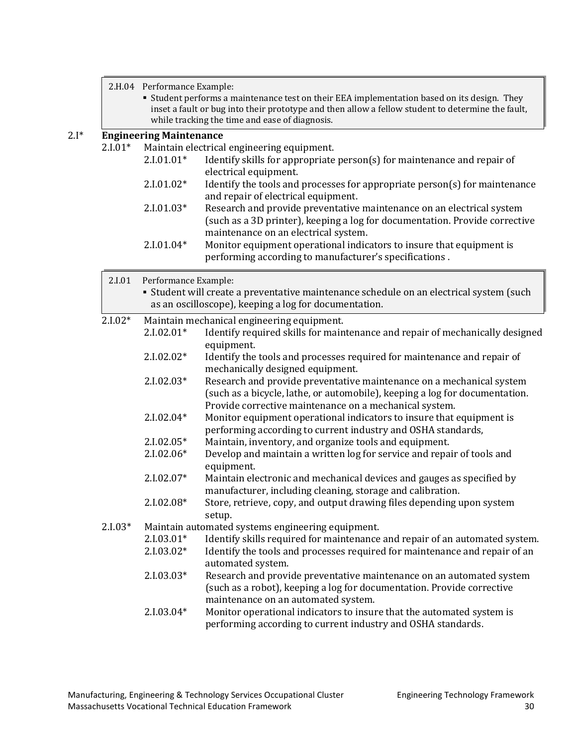2.H.04 Performance Example:

 Student performs a maintenance test on their EEA implementation based on its design. They inset a fault or bug into their prototype and then allow a fellow student to determine the fault, while tracking the time and ease of diagnosis.

# 2.I\* **Engineering Maintenance**

Maintain electrical engineering equipment.<br> $2.101.01*$  Mentify skills for appropriate

- Identify skills for appropriate person(s) for maintenance and repair of electrical equipment.
- 2.I.01.02\* Identify the tools and processes for appropriate person(s) for maintenance and repair of electrical equipment.
- 2.I.01.03\* Research and provide preventative maintenance on an electrical system (such as a 3D printer), keeping a log for documentation. Provide corrective maintenance on an electrical system.
- 2.I.01.04\* Monitor equipment operational indicators to insure that equipment is performing according to manufacturer's specifications .

| 2.I.01       | Performance Example:                                                                                                                             |                                                                                                                                                                                                               |  |
|--------------|--------------------------------------------------------------------------------------------------------------------------------------------------|---------------------------------------------------------------------------------------------------------------------------------------------------------------------------------------------------------------|--|
|              | • Student will create a preventative maintenance schedule on an electrical system (such<br>as an oscilloscope), keeping a log for documentation. |                                                                                                                                                                                                               |  |
| $2.1.02*$    | Maintain mechanical engineering equipment.                                                                                                       |                                                                                                                                                                                                               |  |
|              | $2.1.02.01*$                                                                                                                                     | Identify required skills for maintenance and repair of mechanically designed<br>equipment.                                                                                                                    |  |
|              | $2.1.02.02*$                                                                                                                                     | Identify the tools and processes required for maintenance and repair of<br>mechanically designed equipment.                                                                                                   |  |
| $2.1.02.03*$ |                                                                                                                                                  | Research and provide preventative maintenance on a mechanical system<br>(such as a bicycle, lathe, or automobile), keeping a log for documentation.<br>Provide corrective maintenance on a mechanical system. |  |
|              | $2.1.02.04*$                                                                                                                                     | Monitor equipment operational indicators to insure that equipment is<br>performing according to current industry and OSHA standards,                                                                          |  |
|              | 2.I.02.05*                                                                                                                                       | Maintain, inventory, and organize tools and equipment.                                                                                                                                                        |  |
|              | 2.I.02.06*                                                                                                                                       | Develop and maintain a written log for service and repair of tools and<br>equipment.                                                                                                                          |  |
|              | 2.I.02.07*                                                                                                                                       | Maintain electronic and mechanical devices and gauges as specified by<br>manufacturer, including cleaning, storage and calibration.                                                                           |  |
|              | 2.I.02.08*                                                                                                                                       | Store, retrieve, copy, and output drawing files depending upon system<br>setup.                                                                                                                               |  |
| $2.1.03*$    |                                                                                                                                                  | Maintain automated systems engineering equipment.                                                                                                                                                             |  |
|              | $2.1.03.01*$                                                                                                                                     | Identify skills required for maintenance and repair of an automated system.                                                                                                                                   |  |
|              | 2.I.03.02*                                                                                                                                       | Identify the tools and processes required for maintenance and repair of an<br>automated system.                                                                                                               |  |
|              | $2.1.03.03*$                                                                                                                                     | Research and provide preventative maintenance on an automated system<br>(such as a robot), keeping a log for documentation. Provide corrective<br>maintenance on an automated system.                         |  |
|              | $2.1.03.04*$                                                                                                                                     | Monitor operational indicators to insure that the automated system is<br>performing according to current industry and OSHA standards.                                                                         |  |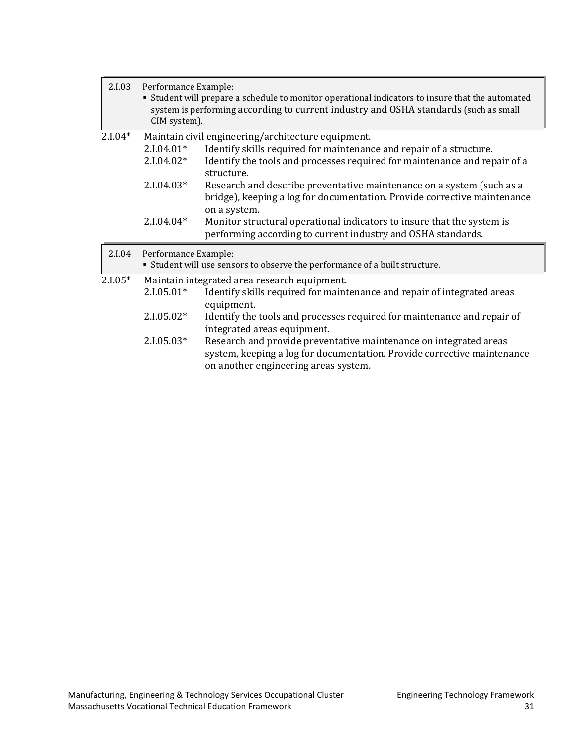| 2.I.03                                               | Performance Example:<br>" Student will prepare a schedule to monitor operational indicators to insure that the automated<br>system is performing according to current industry and OSHA standards (such as small<br>CIM system). |                                                                                                                                                        |  |
|------------------------------------------------------|----------------------------------------------------------------------------------------------------------------------------------------------------------------------------------------------------------------------------------|--------------------------------------------------------------------------------------------------------------------------------------------------------|--|
| $2.1.04*$                                            |                                                                                                                                                                                                                                  | Maintain civil engineering/architecture equipment.                                                                                                     |  |
|                                                      | $2.1.04.01*$                                                                                                                                                                                                                     | Identify skills required for maintenance and repair of a structure.                                                                                    |  |
|                                                      | $2.1.04.02*$                                                                                                                                                                                                                     | Identify the tools and processes required for maintenance and repair of a<br>structure.                                                                |  |
|                                                      | $2.1.04.03*$                                                                                                                                                                                                                     | Research and describe preventative maintenance on a system (such as a<br>bridge), keeping a log for documentation. Provide corrective maintenance      |  |
|                                                      | $2.1.04.04*$                                                                                                                                                                                                                     | on a system.<br>Monitor structural operational indicators to insure that the system is<br>performing according to current industry and OSHA standards. |  |
| 2.I.04                                               | Performance Example:<br>• Student will use sensors to observe the performance of a built structure.                                                                                                                              |                                                                                                                                                        |  |
| $2.1.05*$                                            |                                                                                                                                                                                                                                  | Maintain integrated area research equipment.                                                                                                           |  |
|                                                      | $2.1.05.01*$                                                                                                                                                                                                                     | Identify skills required for maintenance and repair of integrated areas<br>equipment.                                                                  |  |
|                                                      | $2.1.05.02*$                                                                                                                                                                                                                     | Identify the tools and processes required for maintenance and repair of<br>integrated areas equipment.                                                 |  |
| $2.1.05.03*$<br>on another engineering areas system. |                                                                                                                                                                                                                                  | Research and provide preventative maintenance on integrated areas<br>system, keeping a log for documentation. Provide corrective maintenance           |  |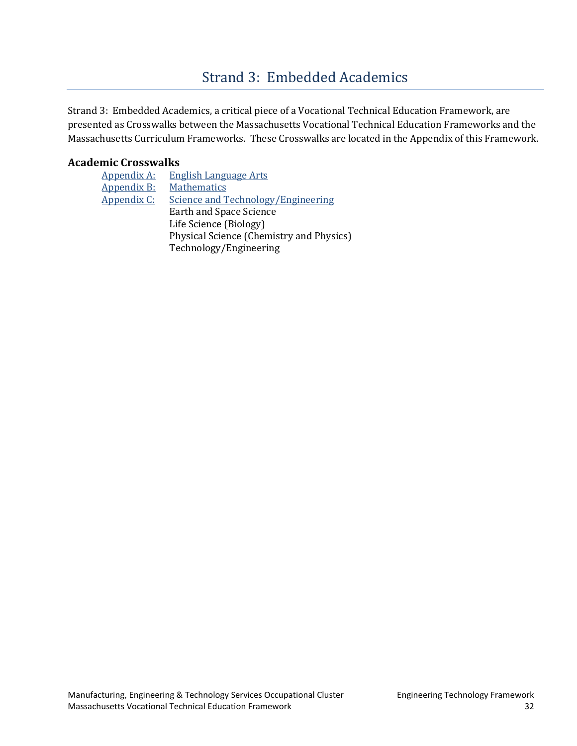# [Strand 3: Embedded Academics](#page-2-0)

<span id="page-34-0"></span>Strand 3: Embedded Academics, a critical piece of a Vocational Technical Education Framework, are presented as Crosswalks between the Massachusetts Vocational Technical Education Frameworks and the Massachusetts Curriculum Frameworks. These Crosswalks are located in the Appendix of this Framework.

## **Academic Crosswalks**

| <b>Appendix A:</b> | <b>English Language Arts</b>              |
|--------------------|-------------------------------------------|
| Appendix B:        | <b>Mathematics</b>                        |
| Appendix C:        | <b>Science and Technology/Engineering</b> |
|                    | <b>Earth and Space Science</b>            |
|                    | Life Science (Biology)                    |
|                    | Physical Science (Chemistry and Physics)  |
|                    | Technology/Engineering                    |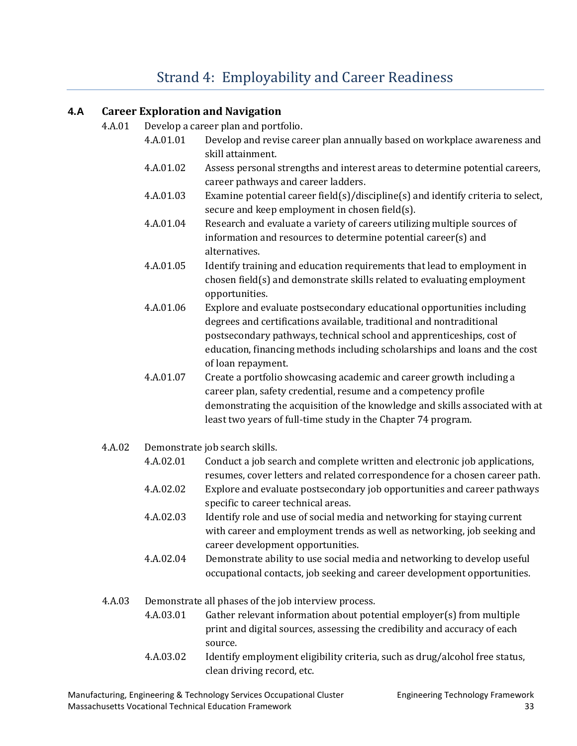# [Strand 4: Employability and](#page-2-0) Career Readiness

## <span id="page-35-0"></span>**4.A Career Exploration and Navigation**

- 4.A.01 Develop a career plan and portfolio.
	- 4.A.01.01 Develop and revise career plan annually based on workplace awareness and skill attainment.
	- 4.A.01.02 Assess personal strengths and interest areas to determine potential careers, career pathways and career ladders.
	- 4.A.01.03 Examine potential career field(s)/discipline(s) and identify criteria to select, secure and keep employment in chosen field(s).
	- 4.A.01.04 Research and evaluate a variety of careers utilizing multiple sources of information and resources to determine potential career(s) and alternatives.
	- 4.A.01.05 Identify training and education requirements that lead to employment in chosen field(s) and demonstrate skills related to evaluating employment opportunities.
	- 4.A.01.06 Explore and evaluate postsecondary educational opportunities including degrees and certifications available, traditional and nontraditional postsecondary pathways, technical school and apprenticeships, cost of education, financing methods including scholarships and loans and the cost of loan repayment.
	- 4.A.01.07 Create a portfolio showcasing academic and career growth including a career plan, safety credential, resume and a competency profile demonstrating the acquisition of the knowledge and skills associated with at least two years of full-time study in the Chapter 74 program.
- 4.A.02 Demonstrate job search skills.
	- 4.A.02.01 Conduct a job search and complete written and electronic job applications, resumes, cover letters and related correspondence for a chosen career path.
	- 4.A.02.02 Explore and evaluate postsecondary job opportunities and career pathways specific to career technical areas.
	- 4.A.02.03 Identify role and use of social media and networking for staying current with career and employment trends as well as networking, job seeking and career development opportunities.
	- 4.A.02.04 Demonstrate ability to use social media and networking to develop useful occupational contacts, job seeking and career development opportunities.
- 4.A.03 Demonstrate all phases of the job interview process.
	- 4.A.03.01 Gather relevant information about potential employer(s) from multiple print and digital sources, assessing the credibility and accuracy of each source.
	- 4.A.03.02 Identify employment eligibility criteria, such as drug/alcohol free status, clean driving record, etc.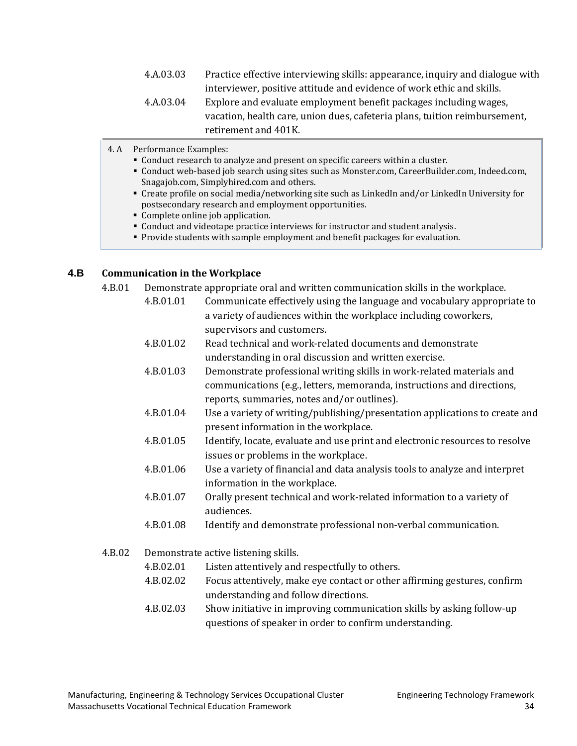- 4.A.03.03 Practice effective interviewing skills: appearance, inquiry and dialogue with interviewer, positive attitude and evidence of work ethic and skills.
- 4.A.03.04 Explore and evaluate employment benefit packages including wages, vacation, health care, union dues, cafeteria plans, tuition reimbursement, retirement and 401K.
- 4. A Performance Examples:
	- Conduct research to analyze and present on specific careers within a cluster.
	- Conduct web-based job search using sites such as Monster.com, CareerBuilder.com, Indeed.com, Snagajob.com, Simplyhired.com and others.
	- Create profile on social media/networking site such as LinkedIn and/or LinkedIn University for postsecondary research and employment opportunities.
	- Complete online job application.
	- Conduct and videotape practice interviews for instructor and student analysis.
	- **Provide students with sample employment and benefit packages for evaluation.**

#### **4.B Communication in the Workplace**

- 4.B.01 Demonstrate appropriate oral and written communication skills in the workplace.
	- 4.B.01.01 Communicate effectively using the language and vocabulary appropriate to a variety of audiences within the workplace including coworkers, supervisors and customers.
	- 4.B.01.02 Read technical and work-related documents and demonstrate understanding in oral discussion and written exercise.
	- 4.B.01.03 Demonstrate professional writing skills in work-related materials and communications (e.g., letters, memoranda, instructions and directions, reports, summaries, notes and/or outlines).
	- 4.B.01.04 Use a variety of writing/publishing/presentation applications to create and present information in the workplace.
	- 4.B.01.05 Identify, locate, evaluate and use print and electronic resources to resolve issues or problems in the workplace.
	- 4.B.01.06 Use a variety of financial and data analysis tools to analyze and interpret information in the workplace.
	- 4.B.01.07 Orally present technical and work-related information to a variety of audiences.
	- 4.B.01.08 Identify and demonstrate professional non-verbal communication.
- 4.B.02 Demonstrate active listening skills.
	- 4.B.02.01 Listen attentively and respectfully to others.
	- 4.B.02.02 Focus attentively, make eye contact or other affirming gestures, confirm understanding and follow directions.
	- 4.B.02.03 Show initiative in improving communication skills by asking follow-up questions of speaker in order to confirm understanding.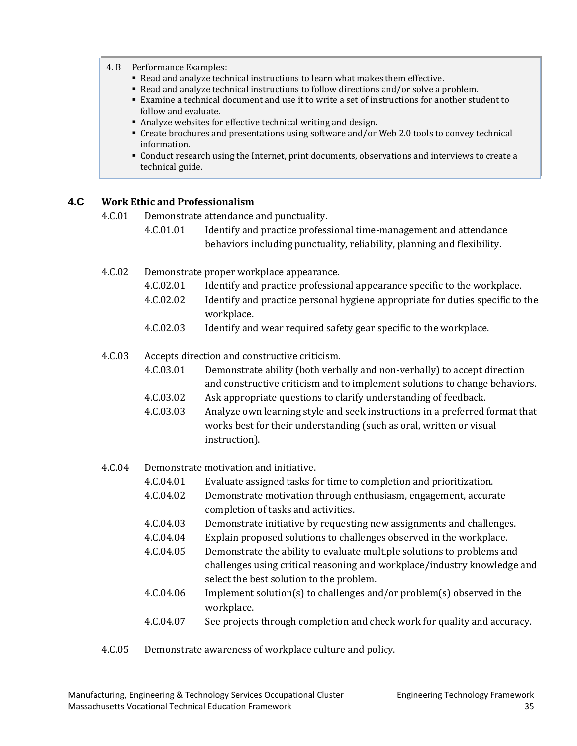#### 4. B Performance Examples:

- Read and analyze technical instructions to learn what makes them effective.
- Read and analyze technical instructions to follow directions and/or solve a problem.
- Examine a technical document and use it to write a set of instructions for another student to follow and evaluate.
- Analyze websites for effective technical writing and design.
- Create brochures and presentations using software and/or Web 2.0 tools to convey technical information.
- Conduct research using the Internet, print documents, observations and interviews to create a technical guide.

#### **4.C Work Ethic and Professionalism**

4.C.01 Demonstrate attendance and punctuality.

- 4.C.01.01 Identify and practice professional time-management and attendance behaviors including punctuality, reliability, planning and flexibility.
- 4.C.02 Demonstrate proper workplace appearance.
	- 4.C.02.01 Identify and practice professional appearance specific to the workplace.
	- 4.C.02.02 Identify and practice personal hygiene appropriate for duties specific to the workplace.
	- 4.C.02.03 Identify and wear required safety gear specific to the workplace.

#### 4.C.03 Accepts direction and constructive criticism.

- 4.C.03.01 Demonstrate ability (both verbally and non-verbally) to accept direction and constructive criticism and to implement solutions to change behaviors.
- 4.C.03.02 Ask appropriate questions to clarify understanding of feedback.
- 4.C.03.03 Analyze own learning style and seek instructions in a preferred format that works best for their understanding (such as oral, written or visual instruction).
- 4.C.04 Demonstrate motivation and initiative.<br>4.C.04.01 Evaluate assigned tasks fo
	- Evaluate assigned tasks for time to completion and prioritization.
	- 4.C.04.02 Demonstrate motivation through enthusiasm, engagement, accurate completion of tasks and activities.
	- 4.C.04.03 Demonstrate initiative by requesting new assignments and challenges.
	- 4.C.04.04 Explain proposed solutions to challenges observed in the workplace.<br>4.C.04.05 Demonstrate the ability to evaluate multiple solutions to problems are
	- Demonstrate the ability to evaluate multiple solutions to problems and challenges using critical reasoning and workplace/industry knowledge and select the best solution to the problem.
	- 4.C.04.06 Implement solution(s) to challenges and/or problem(s) observed in the workplace.
	- 4.C.04.07 See projects through completion and check work for quality and accuracy.
- 4.C.05 Demonstrate awareness of workplace culture and policy.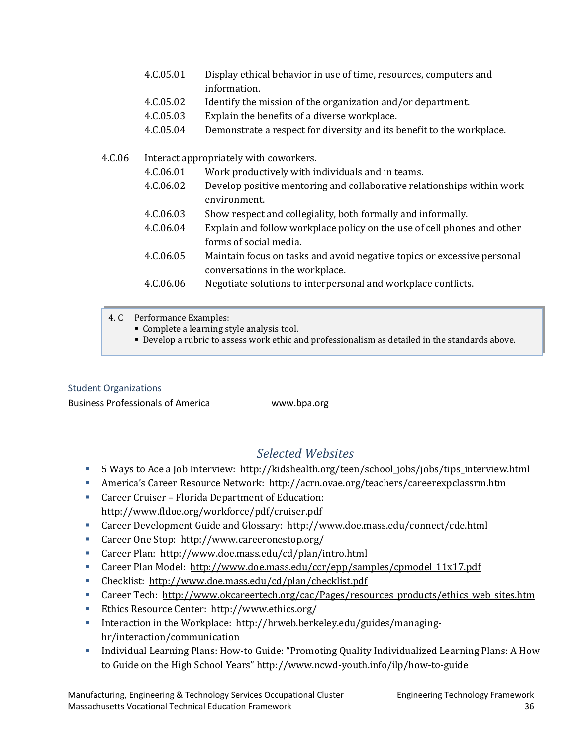- 4.C.05.01 Display ethical behavior in use of time, resources, computers and information.
- 4.C.05.02 Identify the mission of the organization and/or department.
- 4.C.05.03 Explain the benefits of a diverse workplace.
- 4.C.05.04 Demonstrate a respect for diversity and its benefit to the workplace.

### 4.C.06 Interact appropriately with coworkers.

- 4.C.06.01 Work productively with individuals and in teams.
- 4.C.06.02 Develop positive mentoring and collaborative relationships within work environment.
- 4.C.06.03 Show respect and collegiality, both formally and informally.<br>4.C.06.04 Explain and follow workplace policy on the use of cell phone
- Explain and follow workplace policy on the use of cell phones and other forms of social media.
- 4.C.06.05 Maintain focus on tasks and avoid negative topics or excessive personal conversations in the workplace.
- 4.C.06.06 Negotiate solutions to interpersonal and workplace conflicts.
- 4. C Performance Examples:
	- Complete a learning style analysis tool.
	- Develop a rubric to assess work ethic and professionalism as detailed in the standards above.

## [Student Organizations](#page-2-0)

Business Professionals of America www.bpa.org

## *Selected Websites*

- <span id="page-38-0"></span>5 Ways to Ace a Job Interview: http://kidshealth.org/teen/school\_jobs/jobs/tips\_interview.html
- America's Career Resource Network: http://acrn.ovae.org/teachers/careerexpclassrm.htm
- Career Cruiser Florida Department of Education: <http://www.fldoe.org/workforce/pdf/cruiser.pdf>
- Career Development Guide and Glossary: <http://www.doe.mass.edu/connect/cde.html>
- Career One Stop: <http://www.careeronestop.org/>
- Career Plan: <http://www.doe.mass.edu/cd/plan/intro.html>
- Career Plan Model: [http://www.doe.mass.edu/ccr/epp/samples/cpmodel\\_11x17.pdf](http://www.doe.mass.edu/ccr/epp/samples/cpmodel_11x17.pdf)
- Checklist:<http://www.doe.mass.edu/cd/plan/checklist.pdf>
- Career Tech: [http://www.okcareertech.org/cac/Pages/resources\\_products/ethics\\_web\\_sites.htm](http://www.okcareertech.org/cac/Pages/resources_products/ethics_web_sites.htm)
- Ethics Resource Center: http://www.ethics.org/
- Interaction in the Workplace: http://hrweb.berkeley.edu/guides/managinghr/interaction/communication
- Individual Learning Plans: How-to Guide: "Promoting Quality Individualized Learning Plans: A How to Guide on the High School Years" http://www.ncwd-youth.info/ilp/how-to-guide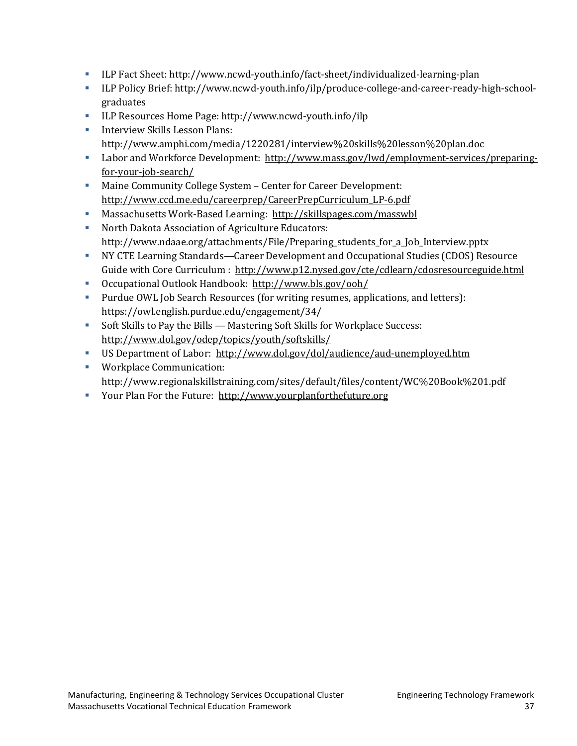- ILP Fact Sheet: http://www.ncwd-youth.info/fact-sheet/individualized-learning-plan
- ILP Policy Brief: http://www.ncwd-youth.info/ilp/produce-college-and-career-ready-high-schoolgraduates
- ILP Resources Home Page: http://www.ncwd-youth.info/ilp
- **Interview Skills Lesson Plans:** http://www.amphi.com/media/1220281/interview%20skills%20lesson%20plan.doc
- Labor and Workforce Development: [http://www.mass.gov/lwd/employment-services/preparing](http://www.mass.gov/lwd/employment-services/preparing-for-your-job-search/)[for-your-job-search/](http://www.mass.gov/lwd/employment-services/preparing-for-your-job-search/)
- Maine Community College System Center for Career Development: [http://www.ccd.me.edu/careerprep/CareerPrepCurriculum\\_LP-6.pdf](http://www.ccd.me.edu/careerprep/CareerPrepCurriculum_LP-6.pdf)
- Massachusetts Work-Based Learning: <http://skillspages.com/masswbl>
- North Dakota Association of Agriculture Educators: http://www.ndaae.org/attachments/File/Preparing\_students\_for\_a\_Job\_Interview.pptx
- NY CTE Learning Standards—Career Development and Occupational Studies (CDOS) Resource Guide with Core Curriculum :<http://www.p12.nysed.gov/cte/cdlearn/cdosresourceguide.html>
- Occupational Outlook Handbook: <http://www.bls.gov/ooh/>
- Purdue OWL Job Search Resources (for writing resumes, applications, and letters): https://owl.english.purdue.edu/engagement/34/
- Soft Skills to Pay the Bills Mastering Soft Skills for Workplace Success: <http://www.dol.gov/odep/topics/youth/softskills/>
- US Department of Labor: <http://www.dol.gov/dol/audience/aud-unemployed.htm>
- **Workplace Communication:** http://www.regionalskillstraining.com/sites/default/files/content/WC%20Book%201.pdf
- Your Plan For the Future: [http://www.yourplanforthefuture.org](http://www.yourplanforthefuture.org/)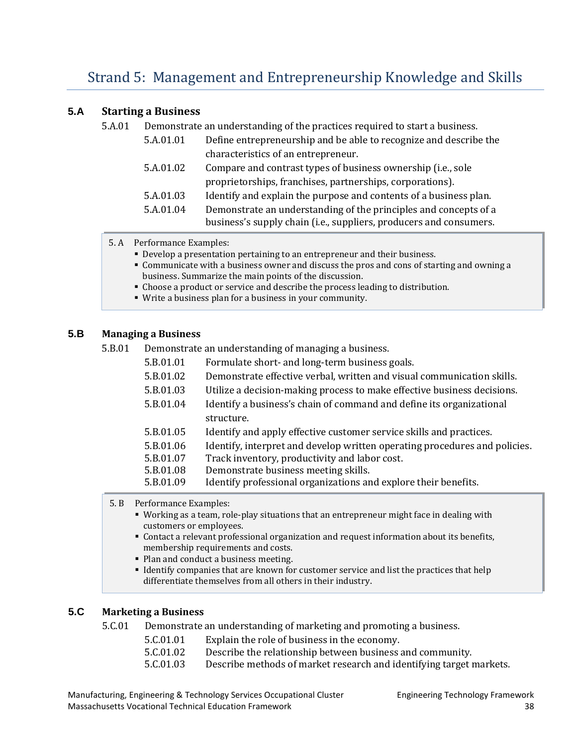### <span id="page-40-0"></span>**5.A Starting a Business**

5.A.01 Demonstrate an understanding of the practices required to start a business.

| 5.A.01.01 | Define entrepreneurship and be able to recognize and describe the                                                                      |  |
|-----------|----------------------------------------------------------------------------------------------------------------------------------------|--|
|           | characteristics of an entrepreneur.                                                                                                    |  |
| 5.A.01.02 | Compare and contrast types of business ownership (i.e., sole                                                                           |  |
|           | proprietorships, franchises, partnerships, corporations).                                                                              |  |
| 5.A.01.03 | Identify and explain the purpose and contents of a business plan.                                                                      |  |
| 5.A.01.04 | Demonstrate an understanding of the principles and concepts of a<br>business's supply chain (i.e., suppliers, producers and consumers. |  |

- 5. A Performance Examples:
	- Develop a presentation pertaining to an entrepreneur and their business.
	- Communicate with a business owner and discuss the pros and cons of starting and owning a business. Summarize the main points of the discussion.
	- Choose a product or service and describe the process leading to distribution.
	- Write a business plan for a business in your community.

#### **5.B Managing a Business**

5.B.01 Demonstrate an understanding of managing a business.

| 5.B.01.01 | Formulate short- and long-term business goals.                             |
|-----------|----------------------------------------------------------------------------|
| 5.B.01.02 | Demonstrate effective verbal, written and visual communication skills.     |
| 5.B.01.03 | Utilize a decision-making process to make effective business decisions.    |
| 5.B.01.04 | Identify a business's chain of command and define its organizational       |
|           | structure.                                                                 |
| 5.B.01.05 | Identify and apply effective customer service skills and practices.        |
| 5.B.01.06 | Identify, interpret and develop written operating procedures and policies. |
| 5.B.01.07 | Track inventory, productivity and labor cost.                              |
| 5.B.01.08 | Demonstrate business meeting skills.                                       |
| 5.B.01.09 | Identify professional organizations and explore their benefits.            |
|           |                                                                            |

5. B Performance Examples:

- Working as a team, role-play situations that an entrepreneur might face in dealing with customers or employees.
- Contact a relevant professional organization and request information about its benefits, membership requirements and costs.
- Plan and conduct a business meeting.
- Identify companies that are known for customer service and list the practices that help differentiate themselves from all others in their industry.

## **5.C Marketing a Business**

5.C.01 Demonstrate an understanding of marketing and promoting a business.

- 5.C.01.01 Explain the role of business in the economy.<br>5.C.01.02 Describe the relationship between business
- 5.C.01.02 Describe the relationship between business and community.<br>5.C.01.03 Describe methods of market research and identifying target is
	- Describe methods of market research and identifying target markets.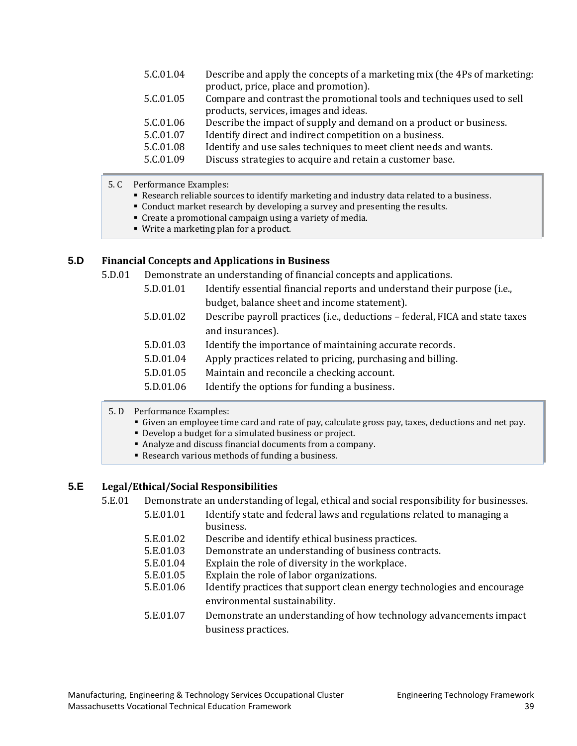| 5.C.01.04 | Describe and apply the concepts of a marketing mix (the 4Ps of marketing: |
|-----------|---------------------------------------------------------------------------|
|           | product, price, place and promotion).                                     |
| 5.C.01.05 | Compare and contrast the promotional tools and techniques used to sell    |
|           | products, services, images and ideas.                                     |
| 5.C.01.06 | Describe the impact of supply and demand on a product or business.        |
| 5.C.01.07 | Identify direct and indirect competition on a business.                   |
| 5.C.01.08 | Identify and use sales techniques to meet client needs and wants.         |
| 5.C.01.09 | Discuss strategies to acquire and retain a customer base.                 |
|           |                                                                           |

- 5. C Performance Examples:
	- Research reliable sources to identify marketing and industry data related to a business.
	- Conduct market research by developing a survey and presenting the results.
	- Create a promotional campaign using a variety of media.
	- Write a marketing plan for a product.

#### **5.D Financial Concepts and Applications in Business**

5.D.01 Demonstrate an understanding of financial concepts and applications.

- 5.D.01.01 Identify essential financial reports and understand their purpose (i.e., budget, balance sheet and income statement).
- 5.D.01.02 Describe payroll practices (i.e., deductions federal, FICA and state taxes and insurances).
- 5.D.01.03 Identify the importance of maintaining accurate records.
- 5.D.01.04 Apply practices related to pricing, purchasing and billing.
- 5.D.01.05 Maintain and reconcile a checking account.
- 5.D.01.06 Identify the options for funding a business.
- 5. D Performance Examples:
	- Given an employee time card and rate of pay, calculate gross pay, taxes, deductions and net pay.
	- Develop a budget for a simulated business or project.
	- Analyze and discuss financial documents from a company.
	- Research various methods of funding a business.

#### **5.E Legal/Ethical/Social Responsibilities**

- 5.E.01 Demonstrate an understanding of legal, ethical and social responsibility for businesses.
	- 5.E.01.01 Identify state and federal laws and regulations related to managing a business.
	- 5.E.01.02 Describe and identify ethical business practices.<br>5.E.01.03 Demonstrate an understanding of business contr
	- 5.E.01.03 Demonstrate an understanding of business contracts.<br>5.E.01.04 Explain the role of diversity in the workplace.
	- 5.E.01.04 Explain the role of diversity in the workplace.<br>5.E.01.05 Explain the role of labor organizations.
	- 5.E.01.05 Explain the role of labor organizations.<br>5.E.01.06 Identify practices that support clean en
	- Identify practices that support clean energy technologies and encourage environmental sustainability.
	- 5.E.01.07 Demonstrate an understanding of how technology advancements impact business practices.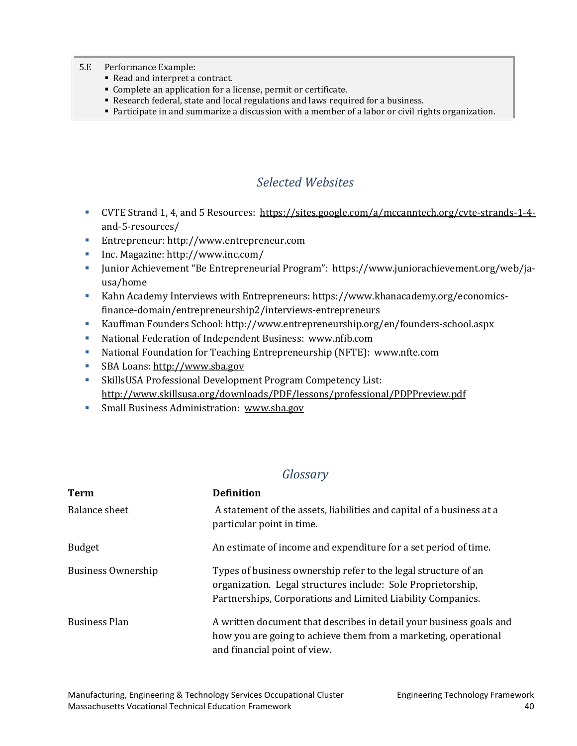- 5.E Performance Example:
	- Read and interpret a contract.
	- Complete an application for a license, permit or certificate.
	- Research federal, state and local regulations and laws required for a business.
	- Participate in and summarize a discussion with a member of a labor or civil rights organization.

## *Selected Websites*

- <span id="page-42-0"></span>CVTE Strand 1, 4, and 5 Resources: [https://sites.google.com/a/mccanntech.org/cvte-strands-1-4](https://sites.google.com/a/mccanntech.org/cvte-strands-1-4-and-5-resources/) [and-5-resources/](https://sites.google.com/a/mccanntech.org/cvte-strands-1-4-and-5-resources/)
- Entrepreneur: http://www.entrepreneur.com
- Inc. Magazine: http://www.inc.com/
- Junior Achievement "Be Entrepreneurial Program": https://www.juniorachievement.org/web/jausa/home
- Kahn Academy Interviews with Entrepreneurs: https://www.khanacademy.org/economicsfinance-domain/entrepreneurship2/interviews-entrepreneurs
- Kauffman Founders School: http://www.entrepreneurship.org/en/founders-school.aspx
- National Federation of Independent Business: www.nfib.com
- National Foundation for Teaching Entrepreneurship (NFTE): www.nfte.com
- SBA Loans: [http://www.sba.gov](http://www.sba.gov/)
- SkillsUSA Professional Development Program Competency List: <http://www.skillsusa.org/downloads/PDF/lessons/professional/PDPPreview.pdf>
- **Small Business Administration: [www.sba.gov](http://www.sba.gov/)**

## *Glossary*

<span id="page-42-1"></span>

| <b>Term</b>          | <b>Definition</b>                                                                                                                                                                             |
|----------------------|-----------------------------------------------------------------------------------------------------------------------------------------------------------------------------------------------|
| Balance sheet        | A statement of the assets, liabilities and capital of a business at a<br>particular point in time.                                                                                            |
| <b>Budget</b>        | An estimate of income and expenditure for a set period of time.                                                                                                                               |
| Business Ownership   | Types of business ownership refer to the legal structure of an<br>organization. Legal structures include: Sole Proprietorship,<br>Partnerships, Corporations and Limited Liability Companies. |
| <b>Business Plan</b> | A written document that describes in detail your business goals and<br>how you are going to achieve them from a marketing, operational<br>and financial point of view.                        |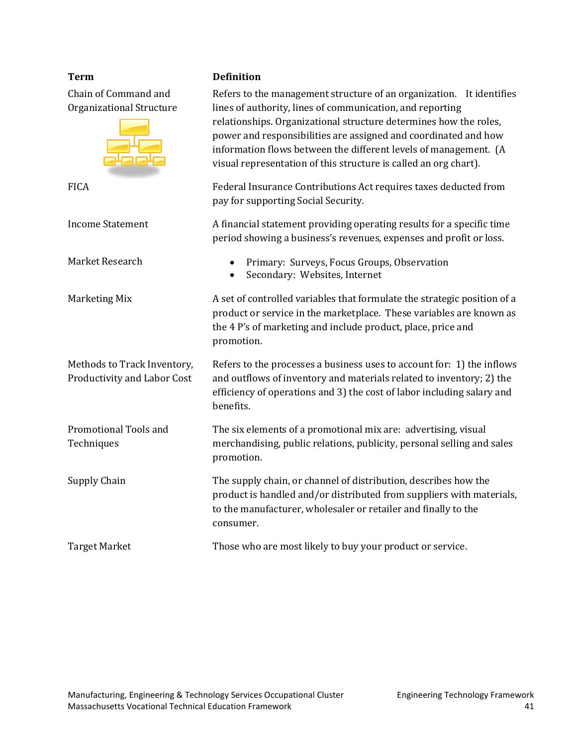Chain of Command and Organizational Structure

Methods to Track Inventory, Productivity and Labor Cost

Promotional Tools and **Techniques** 

**Term Definition**

Refers to the management structure of an organization. It identifies lines of authority, lines of communication, and reporting relationships. Organizational structure determines how the roles, power and responsibilities are assigned and coordinated and how information flows between the different levels of management. (A visual representation of this structure is called an org chart). FICA Federal Insurance Contributions Act requires taxes deducted from pay for supporting Social Security. Income Statement A financial statement providing operating results for a specific time period showing a business's revenues, expenses and profit or loss. Market Research • Primary: Surveys, Focus Groups, Observation • Secondary: Websites, Internet Marketing Mix **A** set of controlled variables that formulate the strategic position of a product or service in the marketplace. These variables are known as the 4 P's of marketing and include product, place, price and promotion. Refers to the processes a business uses to account for: 1) the inflows and outflows of inventory and materials related to inventory; 2) the efficiency of operations and 3) the cost of labor including salary and benefits. The six elements of a promotional mix are: advertising, visual merchandising, public relations, publicity, personal selling and sales promotion. Supply Chain The supply chain, or channel of distribution, describes how the product is handled and/or distributed from suppliers with materials, to the manufacturer, wholesaler or retailer and finally to the consumer. Target Market Those who are most likely to buy your product or service.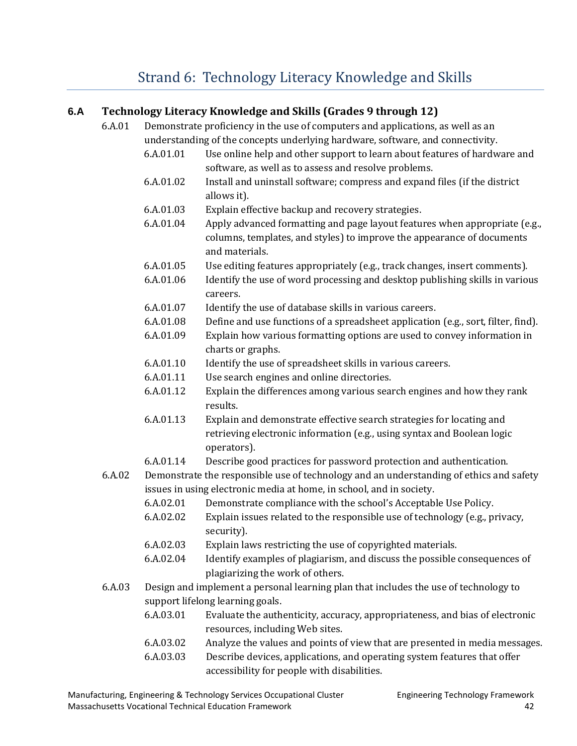# [Strand 6: Technology Literacy Knowledge and Skills](#page-2-0)

## <span id="page-44-0"></span>**6.A Technology Literacy Knowledge and Skills (Grades 9 through 12)**

- 6.A.01 Demonstrate proficiency in the use of computers and applications, as well as an understanding of the concepts underlying hardware, software, and connectivity.
	- 6.A.01.01 Use online help and other support to learn about features of hardware and software, as well as to assess and resolve problems.
	- 6.A.01.02 Install and uninstall software; compress and expand files (if the district allows it).
	- 6.A.01.03 Explain effective backup and recovery strategies.
	- 6.A.01.04 Apply advanced formatting and page layout features when appropriate (e.g., columns, templates, and styles) to improve the appearance of documents and materials.
	- 6.A.01.05 Use editing features appropriately (e.g., track changes, insert comments).
	- 6.A.01.06 Identify the use of word processing and desktop publishing skills in various careers.
	- 6.A.01.07 Identify the use of database skills in various careers.
	- 6.A.01.08 Define and use functions of a spreadsheet application (e.g., sort, filter, find).
	- 6.A.01.09 Explain how various formatting options are used to convey information in charts or graphs.
	- 6.A.01.10 Identify the use of spreadsheet skills in various careers.
	- 6.A.01.11 Use search engines and online directories.
	- 6.A.01.12 Explain the differences among various search engines and how they rank results.
	- 6.A.01.13 Explain and demonstrate effective search strategies for locating and retrieving electronic information (e.g., using syntax and Boolean logic operators).
	- 6.A.01.14 Describe good practices for password protection and authentication.
- 6.A.02 Demonstrate the responsible use of technology and an understanding of ethics and safety issues in using electronic media at home, in school, and in society.
	- 6.A.02.01 Demonstrate compliance with the school's Acceptable Use Policy.
	- 6.A.02.02 Explain issues related to the responsible use of technology (e.g., privacy, security).
	- 6.A.02.03 Explain laws restricting the use of copyrighted materials.
	- 6.A.02.04 Identify examples of plagiarism, and discuss the possible consequences of plagiarizing the work of others.
- 6.A.03 Design and implement a personal learning plan that includes the use of technology to support lifelong learning goals.
	- 6.A.03.01 Evaluate the authenticity, accuracy, appropriateness, and bias of electronic resources, including Web sites.
	- 6.A.03.02 Analyze the values and points of view that are presented in media messages.
	- 6.A.03.03 Describe devices, applications, and operating system features that offer accessibility for people with disabilities.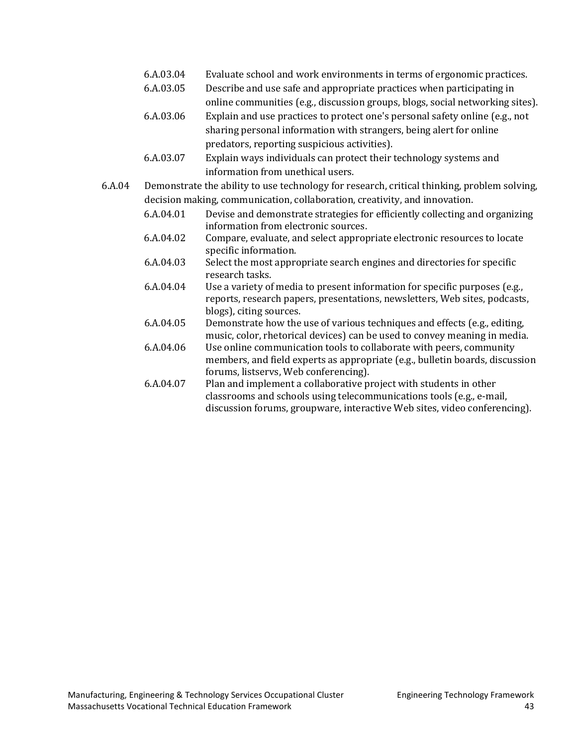- 6.A.03.04 Evaluate school and work environments in terms of ergonomic practices.
- 6.A.03.05 Describe and use safe and appropriate practices when participating in online communities (e.g., discussion groups, blogs, social networking sites).
- 6.A.03.06 Explain and use practices to protect one's personal safety online (e.g., not sharing personal information with strangers, being alert for online predators, reporting suspicious activities).
- 6.A.03.07 Explain ways individuals can protect their technology systems and information from unethical users.
- 6.A.04 Demonstrate the ability to use technology for research, critical thinking, problem solving, decision making, communication, collaboration, creativity, and innovation.
	- 6.A.04.01 Devise and demonstrate strategies for efficiently collecting and organizing information from electronic sources.
	- 6.A.04.02 Compare, evaluate, and select appropriate electronic resources to locate specific information.
	- 6.A.04.03 Select the most appropriate search engines and directories for specific research tasks.
	- 6.A.04.04 Use a variety of media to present information for specific purposes (e.g., reports, research papers, presentations, newsletters, Web sites, podcasts, blogs), citing sources.
	- 6.A.04.05 Demonstrate how the use of various techniques and effects (e.g., editing, music, color, rhetorical devices) can be used to convey meaning in media.
	- 6.A.04.06 Use online communication tools to collaborate with peers, community members, and field experts as appropriate (e.g., bulletin boards, discussion forums, listservs, Web conferencing).
	- 6.A.04.07 Plan and implement a collaborative project with students in other classrooms and schools using telecommunications tools (e.g., e-mail, discussion forums, groupware, interactive Web sites, video conferencing).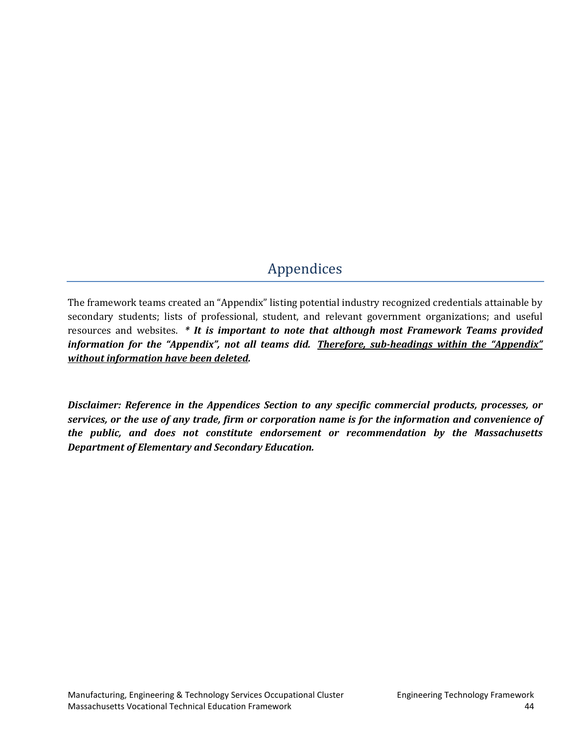# [Appendices](#page-2-0)

<span id="page-46-0"></span>The framework teams created an "Appendix" listing potential industry recognized credentials attainable by secondary students; lists of professional, student, and relevant government organizations; and useful resources and websites. *\* It is important to note that although most Framework Teams provided information for the "Appendix", not all teams did. Therefore, sub-headings within the "Appendix" without information have been deleted.*

*Disclaimer: Reference in the Appendices Section to any specific commercial products, processes, or services, or the use of any trade, firm or corporation name is for the information and convenience of the public, and does not constitute endorsement or recommendation by the Massachusetts Department of Elementary and Secondary Education.*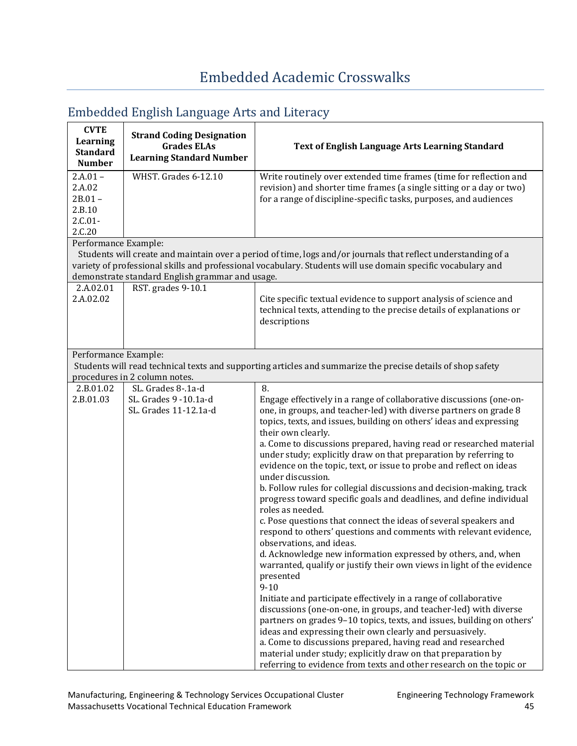| <b>CVTE</b><br>Learning<br><b>Standard</b>                                          | $\frac{1}{2}$<br><b>Strand Coding Designation</b><br><b>Grades ELAs</b><br><b>Learning Standard Number</b> | <b>Text of English Language Arts Learning Standard</b>                                                                                                                                                                                                                                                                                                                                                                                                                                                                                                                                                                                                                                                                                                                                                                                                                                                                                                                                                                                                                                                                                                                                                                                                                                                                                                                                                                                                                        |
|-------------------------------------------------------------------------------------|------------------------------------------------------------------------------------------------------------|-------------------------------------------------------------------------------------------------------------------------------------------------------------------------------------------------------------------------------------------------------------------------------------------------------------------------------------------------------------------------------------------------------------------------------------------------------------------------------------------------------------------------------------------------------------------------------------------------------------------------------------------------------------------------------------------------------------------------------------------------------------------------------------------------------------------------------------------------------------------------------------------------------------------------------------------------------------------------------------------------------------------------------------------------------------------------------------------------------------------------------------------------------------------------------------------------------------------------------------------------------------------------------------------------------------------------------------------------------------------------------------------------------------------------------------------------------------------------------|
| <b>Number</b><br>$2.A.01 -$<br>2.A.02<br>$2B.01 -$<br>2.B.10<br>$2.C.01-$<br>2.C.20 | WHST. Grades 6-12.10                                                                                       | Write routinely over extended time frames (time for reflection and<br>revision) and shorter time frames (a single sitting or a day or two)<br>for a range of discipline-specific tasks, purposes, and audiences                                                                                                                                                                                                                                                                                                                                                                                                                                                                                                                                                                                                                                                                                                                                                                                                                                                                                                                                                                                                                                                                                                                                                                                                                                                               |
| Performance Example:                                                                | demonstrate standard English grammar and usage.                                                            | Students will create and maintain over a period of time, logs and/or journals that reflect understanding of a<br>variety of professional skills and professional vocabulary. Students will use domain specific vocabulary and                                                                                                                                                                                                                                                                                                                                                                                                                                                                                                                                                                                                                                                                                                                                                                                                                                                                                                                                                                                                                                                                                                                                                                                                                                                 |
| 2.A.02.01<br>2.A.02.02                                                              | RST. grades 9-10.1                                                                                         | Cite specific textual evidence to support analysis of science and<br>technical texts, attending to the precise details of explanations or<br>descriptions                                                                                                                                                                                                                                                                                                                                                                                                                                                                                                                                                                                                                                                                                                                                                                                                                                                                                                                                                                                                                                                                                                                                                                                                                                                                                                                     |
| Performance Example:                                                                | procedures in 2 column notes.                                                                              | Students will read technical texts and supporting articles and summarize the precise details of shop safety                                                                                                                                                                                                                                                                                                                                                                                                                                                                                                                                                                                                                                                                                                                                                                                                                                                                                                                                                                                                                                                                                                                                                                                                                                                                                                                                                                   |
| 2.B.01.02                                                                           | SL. Grades 8-.1a-d                                                                                         | 8.                                                                                                                                                                                                                                                                                                                                                                                                                                                                                                                                                                                                                                                                                                                                                                                                                                                                                                                                                                                                                                                                                                                                                                                                                                                                                                                                                                                                                                                                            |
| 2.B.01.03                                                                           | SL. Grades 9 - 10.1a-d<br>SL. Grades 11-12.1a-d                                                            | Engage effectively in a range of collaborative discussions (one-on-<br>one, in groups, and teacher-led) with diverse partners on grade 8<br>topics, texts, and issues, building on others' ideas and expressing<br>their own clearly.<br>a. Come to discussions prepared, having read or researched material<br>under study; explicitly draw on that preparation by referring to<br>evidence on the topic, text, or issue to probe and reflect on ideas<br>under discussion.<br>b. Follow rules for collegial discussions and decision-making, track<br>progress toward specific goals and deadlines, and define individual<br>roles as needed.<br>c. Pose questions that connect the ideas of several speakers and<br>respond to others' questions and comments with relevant evidence,<br>observations, and ideas.<br>d. Acknowledge new information expressed by others, and, when<br>warranted, qualify or justify their own views in light of the evidence<br>presented<br>$9 - 10$<br>Initiate and participate effectively in a range of collaborative<br>discussions (one-on-one, in groups, and teacher-led) with diverse<br>partners on grades 9-10 topics, texts, and issues, building on others'<br>ideas and expressing their own clearly and persuasively.<br>a. Come to discussions prepared, having read and researched<br>material under study; explicitly draw on that preparation by<br>referring to evidence from texts and other research on the topic or |

## <span id="page-47-1"></span><span id="page-47-0"></span>[Embedded English Language Arts and Literacy](#page-2-0)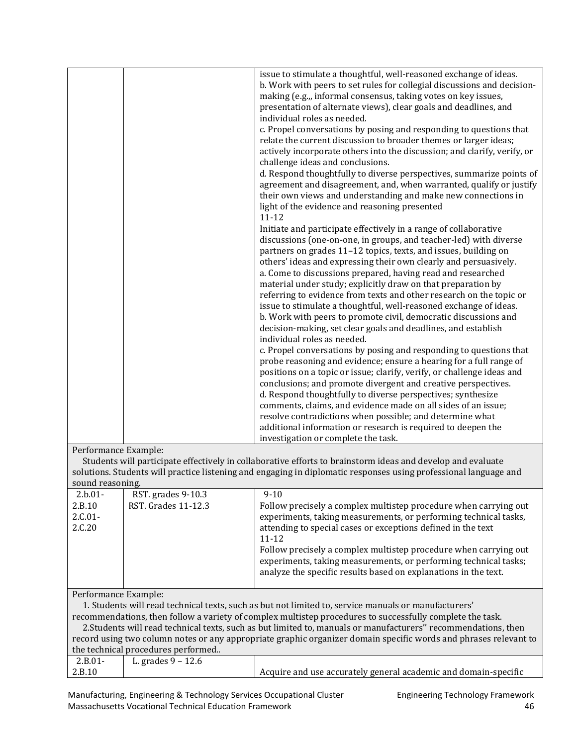|                                                                                                                  |                     | issue to stimulate a thoughtful, well-reasoned exchange of ideas.<br>b. Work with peers to set rules for collegial discussions and decision-<br>making (e.g.,, informal consensus, taking votes on key issues,<br>presentation of alternate views), clear goals and deadlines, and<br>individual roles as needed.<br>c. Propel conversations by posing and responding to questions that<br>relate the current discussion to broader themes or larger ideas;<br>actively incorporate others into the discussion; and clarify, verify, or<br>challenge ideas and conclusions.<br>d. Respond thoughtfully to diverse perspectives, summarize points of<br>agreement and disagreement, and, when warranted, qualify or justify<br>their own views and understanding and make new connections in<br>light of the evidence and reasoning presented<br>$11 - 12$<br>Initiate and participate effectively in a range of collaborative<br>discussions (one-on-one, in groups, and teacher-led) with diverse<br>partners on grades 11-12 topics, texts, and issues, building on<br>others' ideas and expressing their own clearly and persuasively.<br>a. Come to discussions prepared, having read and researched<br>material under study; explicitly draw on that preparation by<br>referring to evidence from texts and other research on the topic or<br>issue to stimulate a thoughtful, well-reasoned exchange of ideas.<br>b. Work with peers to promote civil, democratic discussions and<br>decision-making, set clear goals and deadlines, and establish<br>individual roles as needed.<br>c. Propel conversations by posing and responding to questions that<br>probe reasoning and evidence; ensure a hearing for a full range of<br>positions on a topic or issue; clarify, verify, or challenge ideas and<br>conclusions; and promote divergent and creative perspectives.<br>d. Respond thoughtfully to diverse perspectives; synthesize<br>comments, claims, and evidence made on all sides of an issue;<br>resolve contradictions when possible; and determine what<br>additional information or research is required to deepen the |  |
|------------------------------------------------------------------------------------------------------------------|---------------------|--------------------------------------------------------------------------------------------------------------------------------------------------------------------------------------------------------------------------------------------------------------------------------------------------------------------------------------------------------------------------------------------------------------------------------------------------------------------------------------------------------------------------------------------------------------------------------------------------------------------------------------------------------------------------------------------------------------------------------------------------------------------------------------------------------------------------------------------------------------------------------------------------------------------------------------------------------------------------------------------------------------------------------------------------------------------------------------------------------------------------------------------------------------------------------------------------------------------------------------------------------------------------------------------------------------------------------------------------------------------------------------------------------------------------------------------------------------------------------------------------------------------------------------------------------------------------------------------------------------------------------------------------------------------------------------------------------------------------------------------------------------------------------------------------------------------------------------------------------------------------------------------------------------------------------------------------------------------------------------------------------------------------------------------------------------------------------------------------------------------------------------------|--|
|                                                                                                                  |                     | investigation or complete the task.                                                                                                                                                                                                                                                                                                                                                                                                                                                                                                                                                                                                                                                                                                                                                                                                                                                                                                                                                                                                                                                                                                                                                                                                                                                                                                                                                                                                                                                                                                                                                                                                                                                                                                                                                                                                                                                                                                                                                                                                                                                                                                        |  |
| Performance Example:                                                                                             |                     |                                                                                                                                                                                                                                                                                                                                                                                                                                                                                                                                                                                                                                                                                                                                                                                                                                                                                                                                                                                                                                                                                                                                                                                                                                                                                                                                                                                                                                                                                                                                                                                                                                                                                                                                                                                                                                                                                                                                                                                                                                                                                                                                            |  |
|                                                                                                                  |                     | Students will participate effectively in collaborative efforts to brainstorm ideas and develop and evaluate                                                                                                                                                                                                                                                                                                                                                                                                                                                                                                                                                                                                                                                                                                                                                                                                                                                                                                                                                                                                                                                                                                                                                                                                                                                                                                                                                                                                                                                                                                                                                                                                                                                                                                                                                                                                                                                                                                                                                                                                                                |  |
|                                                                                                                  |                     | solutions. Students will practice listening and engaging in diplomatic responses using professional language and                                                                                                                                                                                                                                                                                                                                                                                                                                                                                                                                                                                                                                                                                                                                                                                                                                                                                                                                                                                                                                                                                                                                                                                                                                                                                                                                                                                                                                                                                                                                                                                                                                                                                                                                                                                                                                                                                                                                                                                                                           |  |
| sound reasoning.                                                                                                 |                     |                                                                                                                                                                                                                                                                                                                                                                                                                                                                                                                                                                                                                                                                                                                                                                                                                                                                                                                                                                                                                                                                                                                                                                                                                                                                                                                                                                                                                                                                                                                                                                                                                                                                                                                                                                                                                                                                                                                                                                                                                                                                                                                                            |  |
| $2.b.01-$                                                                                                        | RST. grades 9-10.3  | $9 - 10$                                                                                                                                                                                                                                                                                                                                                                                                                                                                                                                                                                                                                                                                                                                                                                                                                                                                                                                                                                                                                                                                                                                                                                                                                                                                                                                                                                                                                                                                                                                                                                                                                                                                                                                                                                                                                                                                                                                                                                                                                                                                                                                                   |  |
| 2.B.10<br>$2.C.01-$<br>2.C.20                                                                                    | RST. Grades 11-12.3 | Follow precisely a complex multistep procedure when carrying out<br>experiments, taking measurements, or performing technical tasks,<br>attending to special cases or exceptions defined in the text<br>11-12<br>Follow precisely a complex multistep procedure when carrying out<br>experiments, taking measurements, or performing technical tasks;<br>analyze the specific results based on explanations in the text.                                                                                                                                                                                                                                                                                                                                                                                                                                                                                                                                                                                                                                                                                                                                                                                                                                                                                                                                                                                                                                                                                                                                                                                                                                                                                                                                                                                                                                                                                                                                                                                                                                                                                                                   |  |
| Performance Example:                                                                                             |                     |                                                                                                                                                                                                                                                                                                                                                                                                                                                                                                                                                                                                                                                                                                                                                                                                                                                                                                                                                                                                                                                                                                                                                                                                                                                                                                                                                                                                                                                                                                                                                                                                                                                                                                                                                                                                                                                                                                                                                                                                                                                                                                                                            |  |
| 1. Students will read technical texts, such as but not limited to, service manuals or manufacturers'             |                     |                                                                                                                                                                                                                                                                                                                                                                                                                                                                                                                                                                                                                                                                                                                                                                                                                                                                                                                                                                                                                                                                                                                                                                                                                                                                                                                                                                                                                                                                                                                                                                                                                                                                                                                                                                                                                                                                                                                                                                                                                                                                                                                                            |  |
| recommendations, then follow a variety of complex multistep procedures to successfully complete the task.        |                     |                                                                                                                                                                                                                                                                                                                                                                                                                                                                                                                                                                                                                                                                                                                                                                                                                                                                                                                                                                                                                                                                                                                                                                                                                                                                                                                                                                                                                                                                                                                                                                                                                                                                                                                                                                                                                                                                                                                                                                                                                                                                                                                                            |  |
| 2. Students will read technical texts, such as but limited to, manuals or manufacturers" recommendations, then   |                     |                                                                                                                                                                                                                                                                                                                                                                                                                                                                                                                                                                                                                                                                                                                                                                                                                                                                                                                                                                                                                                                                                                                                                                                                                                                                                                                                                                                                                                                                                                                                                                                                                                                                                                                                                                                                                                                                                                                                                                                                                                                                                                                                            |  |
| record using two column notes or any appropriate graphic organizer domain specific words and phrases relevant to |                     |                                                                                                                                                                                                                                                                                                                                                                                                                                                                                                                                                                                                                                                                                                                                                                                                                                                                                                                                                                                                                                                                                                                                                                                                                                                                                                                                                                                                                                                                                                                                                                                                                                                                                                                                                                                                                                                                                                                                                                                                                                                                                                                                            |  |

| the technical procedures performed |                      |                                                                 |  |
|------------------------------------|----------------------|-----------------------------------------------------------------|--|
| $2.B.01-$                          | L. grades $9 - 12.6$ |                                                                 |  |
| 2.B.10                             |                      | Acquire and use accurately general academic and domain-specific |  |

Manufacturing, Engineering & Technology Services Occupational Cluster Funder Engineering Technology Framework Massachusetts Vocational Technical Education Framework 46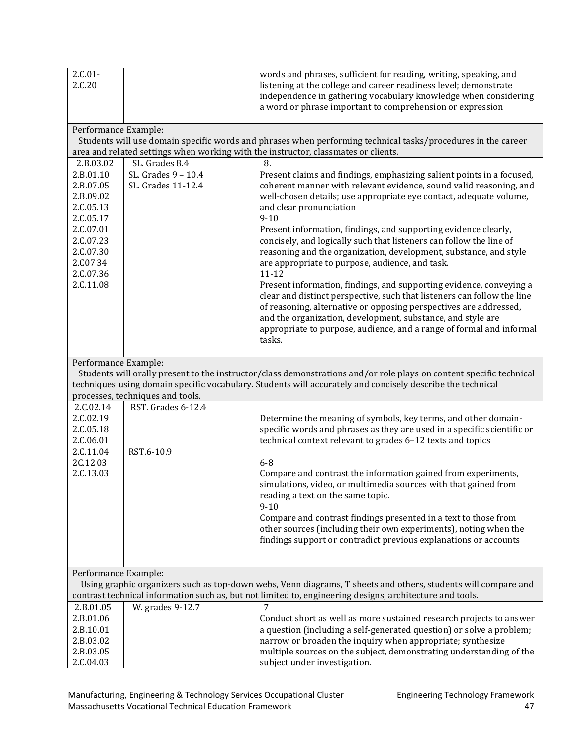| $2.C.01-$<br>2.C.20                                                                                              |                                           | words and phrases, sufficient for reading, writing, speaking, and<br>listening at the college and career readiness level; demonstrate<br>independence in gathering vocabulary knowledge when considering<br>a word or phrase important to comprehension or expression                                                                                                                                                                                                                                                      |
|------------------------------------------------------------------------------------------------------------------|-------------------------------------------|----------------------------------------------------------------------------------------------------------------------------------------------------------------------------------------------------------------------------------------------------------------------------------------------------------------------------------------------------------------------------------------------------------------------------------------------------------------------------------------------------------------------------|
| Performance Example:                                                                                             |                                           | Students will use domain specific words and phrases when performing technical tasks/procedures in the career<br>area and related settings when working with the instructor, classmates or clients.                                                                                                                                                                                                                                                                                                                         |
| 2.B.03.02                                                                                                        | SL. Grades 8.4                            | 8.                                                                                                                                                                                                                                                                                                                                                                                                                                                                                                                         |
| 2.B.01.10<br>2.B.07.05<br>2.B.09.02<br>2.C.05.13<br>2.C.05.17<br>2.C.07.01<br>2.C.07.23<br>2.C.07.30<br>2.C07.34 | SL. Grades 9 - 10.4<br>SL. Grades 11-12.4 | Present claims and findings, emphasizing salient points in a focused,<br>coherent manner with relevant evidence, sound valid reasoning, and<br>well-chosen details; use appropriate eye contact, adequate volume,<br>and clear pronunciation<br>$9 - 10$<br>Present information, findings, and supporting evidence clearly,<br>concisely, and logically such that listeners can follow the line of<br>reasoning and the organization, development, substance, and style<br>are appropriate to purpose, audience, and task. |
| 2.C.07.36<br>2.C.11.08                                                                                           |                                           | $11 - 12$<br>Present information, findings, and supporting evidence, conveying a<br>clear and distinct perspective, such that listeners can follow the line<br>of reasoning, alternative or opposing perspectives are addressed,<br>and the organization, development, substance, and style are<br>appropriate to purpose, audience, and a range of formal and informal<br>tasks.                                                                                                                                          |
| Performance Example:                                                                                             |                                           |                                                                                                                                                                                                                                                                                                                                                                                                                                                                                                                            |
|                                                                                                                  |                                           | Students will orally present to the instructor/class demonstrations and/or role plays on content specific technical<br>techniques using domain specific vocabulary. Students will accurately and concisely describe the technical                                                                                                                                                                                                                                                                                          |
|                                                                                                                  | processes, techniques and tools.          |                                                                                                                                                                                                                                                                                                                                                                                                                                                                                                                            |
| 2.C.02.14<br>2.C.02.19<br>2.C.05.18<br>2.C.06.01<br>2.C.11.04                                                    | RST. Grades 6-12.4<br>RST.6-10.9          | Determine the meaning of symbols, key terms, and other domain-<br>specific words and phrases as they are used in a specific scientific or<br>technical context relevant to grades 6-12 texts and topics                                                                                                                                                                                                                                                                                                                    |
| 2C.12.03                                                                                                         |                                           | $6-8$                                                                                                                                                                                                                                                                                                                                                                                                                                                                                                                      |
| 2.C.13.03                                                                                                        |                                           | Compare and contrast the information gained from experiments,<br>simulations, video, or multimedia sources with that gained from<br>reading a text on the same topic.<br>$9 - 10$                                                                                                                                                                                                                                                                                                                                          |
|                                                                                                                  |                                           | Compare and contrast findings presented in a text to those from<br>other sources (including their own experiments), noting when the<br>findings support or contradict previous explanations or accounts                                                                                                                                                                                                                                                                                                                    |
| Performance Example:                                                                                             |                                           |                                                                                                                                                                                                                                                                                                                                                                                                                                                                                                                            |
|                                                                                                                  |                                           | Using graphic organizers such as top-down webs, Venn diagrams, T sheets and others, students will compare and<br>contrast technical information such as, but not limited to, engineering designs, architecture and tools.                                                                                                                                                                                                                                                                                                  |
| 2.B.01.05                                                                                                        | W. grades 9-12.7                          | 7                                                                                                                                                                                                                                                                                                                                                                                                                                                                                                                          |
| 2.B.01.06                                                                                                        |                                           | Conduct short as well as more sustained research projects to answer                                                                                                                                                                                                                                                                                                                                                                                                                                                        |
| 2.B.10.01                                                                                                        |                                           | a question (including a self-generated question) or solve a problem;                                                                                                                                                                                                                                                                                                                                                                                                                                                       |
| 2.B.03.02                                                                                                        |                                           | narrow or broaden the inquiry when appropriate; synthesize                                                                                                                                                                                                                                                                                                                                                                                                                                                                 |
| 2.B.03.05                                                                                                        |                                           | multiple sources on the subject, demonstrating understanding of the                                                                                                                                                                                                                                                                                                                                                                                                                                                        |
| 2.C.04.03                                                                                                        |                                           | subject under investigation.                                                                                                                                                                                                                                                                                                                                                                                                                                                                                               |

Manufacturing, Engineering & Technology Services Occupational Cluster Funder Engineering Technology Framework Massachusetts Vocational Technical Education Framework 47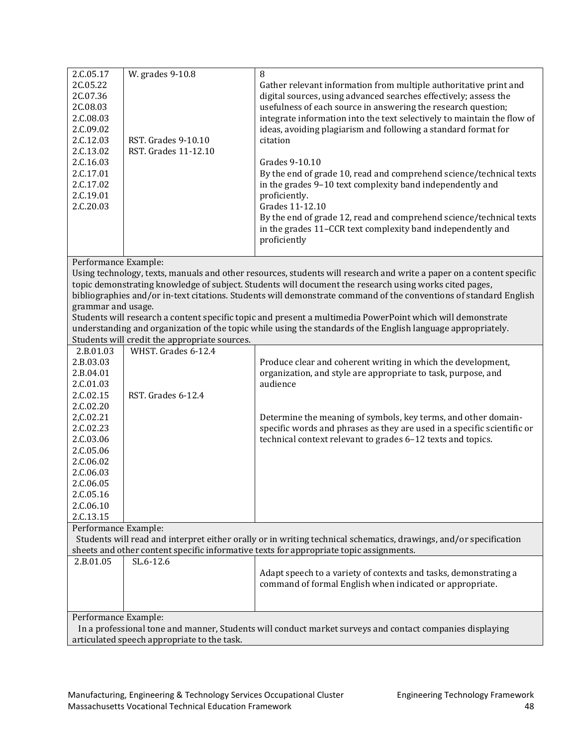| 2.C.05.17                                                                                                | W. grades 9-10.8                              | 8                                                                                                                    |  |
|----------------------------------------------------------------------------------------------------------|-----------------------------------------------|----------------------------------------------------------------------------------------------------------------------|--|
| 2C.05.22                                                                                                 |                                               | Gather relevant information from multiple authoritative print and                                                    |  |
| 2C.07.36                                                                                                 |                                               | digital sources, using advanced searches effectively; assess the                                                     |  |
| 2C.08.03                                                                                                 |                                               | usefulness of each source in answering the research question;                                                        |  |
| 2.C.08.03                                                                                                |                                               |                                                                                                                      |  |
|                                                                                                          |                                               | integrate information into the text selectively to maintain the flow of                                              |  |
| 2.C.09.02                                                                                                |                                               | ideas, avoiding plagiarism and following a standard format for                                                       |  |
| 2.C.12.03                                                                                                | RST. Grades 9-10.10                           | citation                                                                                                             |  |
| 2.C.13.02                                                                                                | RST. Grades 11-12.10                          |                                                                                                                      |  |
| 2.C.16.03                                                                                                |                                               | Grades 9-10.10                                                                                                       |  |
| 2.C.17.01                                                                                                |                                               | By the end of grade 10, read and comprehend science/technical texts                                                  |  |
| 2.C.17.02                                                                                                |                                               | in the grades 9-10 text complexity band independently and                                                            |  |
| 2.C.19.01                                                                                                |                                               | proficiently.                                                                                                        |  |
| 2.C.20.03                                                                                                |                                               | Grades 11-12.10                                                                                                      |  |
|                                                                                                          |                                               | By the end of grade 12, read and comprehend science/technical texts                                                  |  |
|                                                                                                          |                                               | in the grades 11-CCR text complexity band independently and                                                          |  |
|                                                                                                          |                                               | proficiently                                                                                                         |  |
|                                                                                                          |                                               |                                                                                                                      |  |
| Performance Example:                                                                                     |                                               |                                                                                                                      |  |
|                                                                                                          |                                               | Using technology, texts, manuals and other resources, students will research and write a paper on a content specific |  |
|                                                                                                          |                                               |                                                                                                                      |  |
|                                                                                                          |                                               | topic demonstrating knowledge of subject. Students will document the research using works cited pages,               |  |
|                                                                                                          |                                               | bibliographies and/or in-text citations. Students will demonstrate command of the conventions of standard English    |  |
| grammar and usage.                                                                                       |                                               |                                                                                                                      |  |
|                                                                                                          |                                               | Students will research a content specific topic and present a multimedia PowerPoint which will demonstrate           |  |
|                                                                                                          |                                               | understanding and organization of the topic while using the standards of the English language appropriately.         |  |
|                                                                                                          | Students will credit the appropriate sources. |                                                                                                                      |  |
| 2.B.01.03                                                                                                | WHST. Grades 6-12.4                           |                                                                                                                      |  |
| 2.B.03.03                                                                                                |                                               | Produce clear and coherent writing in which the development,                                                         |  |
| 2.B.04.01                                                                                                |                                               | organization, and style are appropriate to task, purpose, and                                                        |  |
| 2.C.01.03                                                                                                |                                               | audience                                                                                                             |  |
| 2.C.02.15                                                                                                | RST. Grades 6-12.4                            |                                                                                                                      |  |
| 2.C.02.20                                                                                                |                                               |                                                                                                                      |  |
| 2, C. 02. 21                                                                                             |                                               | Determine the meaning of symbols, key terms, and other domain-                                                       |  |
| 2.C.02.23                                                                                                |                                               | specific words and phrases as they are used in a specific scientific or                                              |  |
| 2.C.03.06                                                                                                |                                               | technical context relevant to grades 6-12 texts and topics.                                                          |  |
| 2.C.05.06                                                                                                |                                               |                                                                                                                      |  |
|                                                                                                          |                                               |                                                                                                                      |  |
| 2.C.06.02                                                                                                |                                               |                                                                                                                      |  |
| 2.C.06.03                                                                                                |                                               |                                                                                                                      |  |
| 2.C.06.05                                                                                                |                                               |                                                                                                                      |  |
| 2.C.05.16                                                                                                |                                               |                                                                                                                      |  |
| 2.C.06.10                                                                                                |                                               |                                                                                                                      |  |
| 2.C.13.15                                                                                                |                                               |                                                                                                                      |  |
| Performance Example:                                                                                     |                                               |                                                                                                                      |  |
|                                                                                                          |                                               | Students will read and interpret either orally or in writing technical schematics, drawings, and/or specification    |  |
|                                                                                                          |                                               | sheets and other content specific informative texts for appropriate topic assignments.                               |  |
| 2.B.01.05                                                                                                | SL.6-12.6                                     |                                                                                                                      |  |
|                                                                                                          |                                               | Adapt speech to a variety of contexts and tasks, demonstrating a                                                     |  |
|                                                                                                          |                                               | command of formal English when indicated or appropriate.                                                             |  |
|                                                                                                          |                                               |                                                                                                                      |  |
|                                                                                                          |                                               |                                                                                                                      |  |
|                                                                                                          | Performance Example:                          |                                                                                                                      |  |
| In a professional tone and manner, Students will conduct market surveys and contact companies displaying |                                               |                                                                                                                      |  |
|                                                                                                          | articulated speech appropriate to the task.   |                                                                                                                      |  |
|                                                                                                          |                                               |                                                                                                                      |  |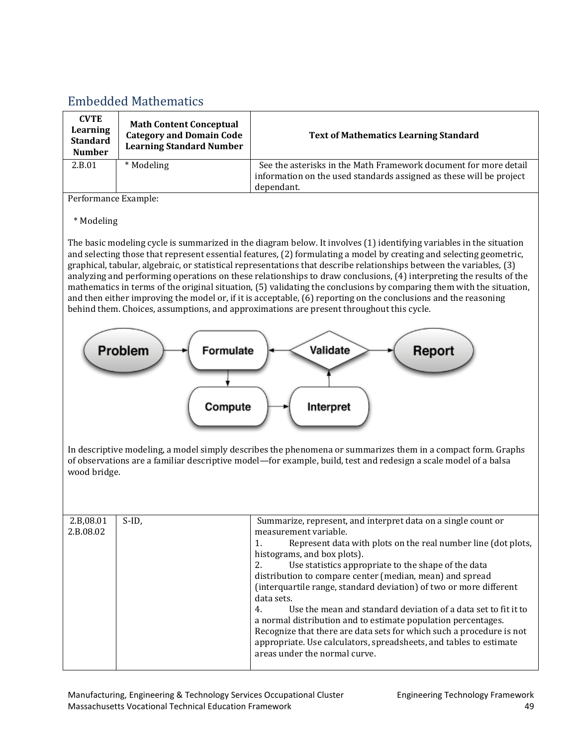## <span id="page-51-0"></span>Embedded [Mathematics](#page-2-0)

| <b>CVTE</b><br>Learning<br><b>Standard</b><br><b>Number</b> | <b>Math Content Conceptual</b><br><b>Category and Domain Code</b><br><b>Learning Standard Number</b> | <b>Text of Mathematics Learning Standard</b>                                                                                                          |
|-------------------------------------------------------------|------------------------------------------------------------------------------------------------------|-------------------------------------------------------------------------------------------------------------------------------------------------------|
| 2.B.01                                                      | * Modeling                                                                                           | See the asterisks in the Math Framework document for more detail<br>information on the used standards assigned as these will be project<br>dependant. |

Performance Example:

#### \* Modeling

The basic modeling cycle is summarized in the diagram below. It involves (1) identifying variables in the situation and selecting those that represent essential features, (2) formulating a model by creating and selecting geometric, graphical, tabular, algebraic, or statistical representations that describe relationships between the variables, (3) analyzing and performing operations on these relationships to draw conclusions, (4) interpreting the results of the mathematics in terms of the original situation, (5) validating the conclusions by comparing them with the situation, and then either improving the model or, if it is acceptable, (6) reporting on the conclusions and the reasoning behind them. Choices, assumptions, and approximations are present throughout this cycle.



In descriptive modeling, a model simply describes the phenomena or summarizes them in a compact form. Graphs of observations are a familiar descriptive model—for example, build, test and redesign a scale model of a balsa wood bridge.

| 2.B,08.01<br>2.B.08.02 | $S$ -ID. | Summarize, represent, and interpret data on a single count or<br>measurement variable.<br>Represent data with plots on the real number line (dot plots,<br>histograms, and box plots).<br>Use statistics appropriate to the shape of the data<br>distribution to compare center (median, mean) and spread<br>(interquartile range, standard deviation) of two or more different<br>data sets.<br>Use the mean and standard deviation of a data set to fit it to<br>4.<br>a normal distribution and to estimate population percentages.<br>Recognize that there are data sets for which such a procedure is not<br>appropriate. Use calculators, spreadsheets, and tables to estimate<br>areas under the normal curve. |
|------------------------|----------|-----------------------------------------------------------------------------------------------------------------------------------------------------------------------------------------------------------------------------------------------------------------------------------------------------------------------------------------------------------------------------------------------------------------------------------------------------------------------------------------------------------------------------------------------------------------------------------------------------------------------------------------------------------------------------------------------------------------------|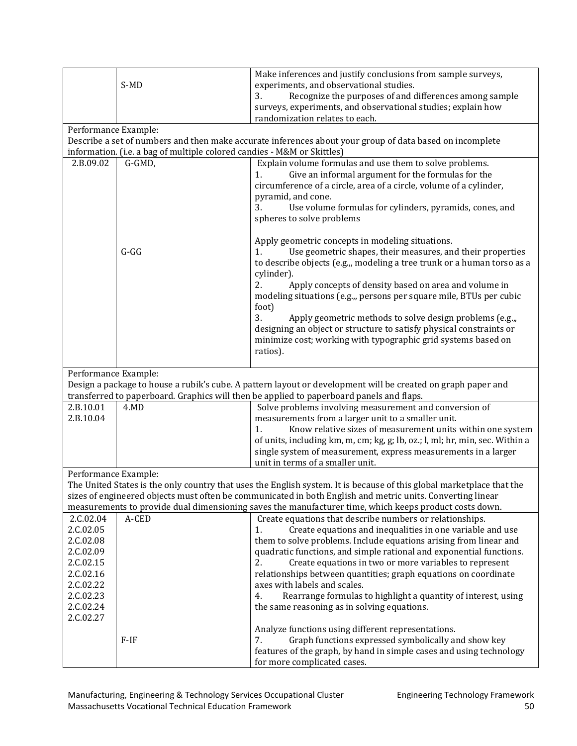|                        | S-MD                                                                    | Make inferences and justify conclusions from sample surveys,<br>experiments, and observational studies.<br>Recognize the purposes of and differences among sample<br>3.                                                                                                          |
|------------------------|-------------------------------------------------------------------------|----------------------------------------------------------------------------------------------------------------------------------------------------------------------------------------------------------------------------------------------------------------------------------|
|                        |                                                                         | surveys, experiments, and observational studies; explain how<br>randomization relates to each.                                                                                                                                                                                   |
| Performance Example:   |                                                                         |                                                                                                                                                                                                                                                                                  |
|                        |                                                                         | Describe a set of numbers and then make accurate inferences about your group of data based on incomplete                                                                                                                                                                         |
|                        | information. (i.e. a bag of multiple colored candies - M&M or Skittles) |                                                                                                                                                                                                                                                                                  |
| 2.B.09.02              | G-GMD,                                                                  | Explain volume formulas and use them to solve problems.<br>Give an informal argument for the formulas for the<br>1.<br>circumference of a circle, area of a circle, volume of a cylinder,<br>pyramid, and cone.<br>3.<br>Use volume formulas for cylinders, pyramids, cones, and |
|                        |                                                                         | spheres to solve problems                                                                                                                                                                                                                                                        |
|                        | $G-GG$                                                                  | Apply geometric concepts in modeling situations.<br>Use geometric shapes, their measures, and their properties<br>1.<br>to describe objects (e.g.,, modeling a tree trunk or a human torso as a<br>cylinder).                                                                    |
|                        |                                                                         | 2.<br>Apply concepts of density based on area and volume in<br>modeling situations (e.g.,, persons per square mile, BTUs per cubic<br>foot)                                                                                                                                      |
|                        |                                                                         | 3.<br>Apply geometric methods to solve design problems (e.g.,,<br>designing an object or structure to satisfy physical constraints or                                                                                                                                            |
|                        |                                                                         | minimize cost; working with typographic grid systems based on<br>ratios).                                                                                                                                                                                                        |
|                        |                                                                         |                                                                                                                                                                                                                                                                                  |
|                        |                                                                         |                                                                                                                                                                                                                                                                                  |
| Performance Example:   |                                                                         | Design a package to house a rubik's cube. A pattern layout or development will be created on graph paper and<br>transferred to paperboard. Graphics will then be applied to paperboard panels and flaps.                                                                         |
| 2.B.10.01              | 4.MD                                                                    | Solve problems involving measurement and conversion of                                                                                                                                                                                                                           |
| 2.B.10.04              |                                                                         | measurements from a larger unit to a smaller unit.                                                                                                                                                                                                                               |
|                        |                                                                         | Know relative sizes of measurement units within one system<br>1.                                                                                                                                                                                                                 |
|                        |                                                                         | of units, including km, m, cm; kg, g; lb, oz.; l, ml; hr, min, sec. Within a                                                                                                                                                                                                     |
|                        |                                                                         | single system of measurement, express measurements in a larger                                                                                                                                                                                                                   |
|                        |                                                                         | unit in terms of a smaller unit.                                                                                                                                                                                                                                                 |
| Performance Example:   |                                                                         |                                                                                                                                                                                                                                                                                  |
|                        |                                                                         | The United States is the only country that uses the English system. It is because of this global marketplace that the                                                                                                                                                            |
|                        |                                                                         | sizes of engineered objects must often be communicated in both English and metric units. Converting linear                                                                                                                                                                       |
|                        |                                                                         | measurements to provide dual dimensioning saves the manufacturer time, which keeps product costs down.                                                                                                                                                                           |
| 2.C.02.04              | A-CED                                                                   | Create equations that describe numbers or relationships.                                                                                                                                                                                                                         |
| 2.C.02.05              |                                                                         | Create equations and inequalities in one variable and use<br>1.                                                                                                                                                                                                                  |
| 2.C.02.08<br>2.C.02.09 |                                                                         | them to solve problems. Include equations arising from linear and<br>quadratic functions, and simple rational and exponential functions.                                                                                                                                         |
| 2.C.02.15              |                                                                         | 2.<br>Create equations in two or more variables to represent                                                                                                                                                                                                                     |
| 2.C.02.16              |                                                                         | relationships between quantities; graph equations on coordinate                                                                                                                                                                                                                  |
| 2.C.02.22              |                                                                         | axes with labels and scales.                                                                                                                                                                                                                                                     |
| 2.C.02.23              |                                                                         | Rearrange formulas to highlight a quantity of interest, using<br>4.                                                                                                                                                                                                              |
| 2.C.02.24              |                                                                         | the same reasoning as in solving equations.                                                                                                                                                                                                                                      |
| 2.C.02.27              |                                                                         | Analyze functions using different representations.                                                                                                                                                                                                                               |
|                        | $F-IF$                                                                  | Graph functions expressed symbolically and show key<br>7.                                                                                                                                                                                                                        |
|                        |                                                                         | features of the graph, by hand in simple cases and using technology<br>for more complicated cases.                                                                                                                                                                               |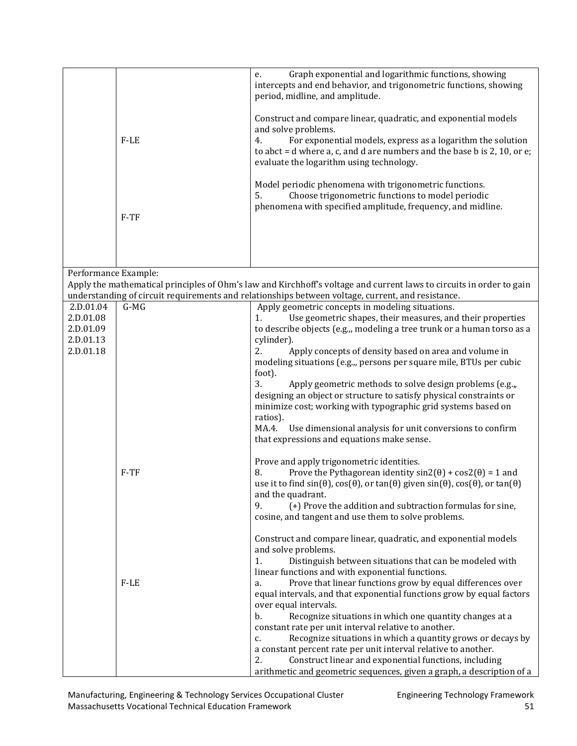|                      | $F-LE$ | Graph exponential and logarithmic functions, showing<br>e.<br>intercepts and end behavior, and trigonometric functions, showing<br>period, midline, and amplitude.<br>Construct and compare linear, quadratic, and exponential models<br>and solve problems.<br>For exponential models, express as a logarithm the solution<br>4.<br>to abct = $d$ where a, c, and $d$ are numbers and the base $b$ is 2, 10, or $e$ ;<br>evaluate the logarithm using technology.<br>Model periodic phenomena with trigonometric functions.<br>Choose trigonometric functions to model periodic<br>5. |
|----------------------|--------|----------------------------------------------------------------------------------------------------------------------------------------------------------------------------------------------------------------------------------------------------------------------------------------------------------------------------------------------------------------------------------------------------------------------------------------------------------------------------------------------------------------------------------------------------------------------------------------|
|                      | $F-TF$ | phenomena with specified amplitude, frequency, and midline.                                                                                                                                                                                                                                                                                                                                                                                                                                                                                                                            |
| Performance Example: |        |                                                                                                                                                                                                                                                                                                                                                                                                                                                                                                                                                                                        |
|                      |        | Apply the mathematical principles of Ohm's law and Kirchhoff's voltage and current laws to circuits in order to gain<br>understanding of circuit requirements and relationships between voltage, current, and resistance.                                                                                                                                                                                                                                                                                                                                                              |
| 2.D.01.04            | $G-MG$ | Apply geometric concepts in modeling situations.                                                                                                                                                                                                                                                                                                                                                                                                                                                                                                                                       |
| 2.D.01.08            |        | Use geometric shapes, their measures, and their properties<br>1.                                                                                                                                                                                                                                                                                                                                                                                                                                                                                                                       |
| 2.D.01.09            |        | to describe objects (e.g.,, modeling a tree trunk or a human torso as a                                                                                                                                                                                                                                                                                                                                                                                                                                                                                                                |
| 2.D.01.13            |        | cylinder).                                                                                                                                                                                                                                                                                                                                                                                                                                                                                                                                                                             |
| 2.D.01.18            |        | 2.<br>Apply concepts of density based on area and volume in<br>modeling situations (e.g.,, persons per square mile, BTUs per cubic                                                                                                                                                                                                                                                                                                                                                                                                                                                     |
|                      |        | foot).                                                                                                                                                                                                                                                                                                                                                                                                                                                                                                                                                                                 |
|                      |        | 3.<br>Apply geometric methods to solve design problems (e.g.,,                                                                                                                                                                                                                                                                                                                                                                                                                                                                                                                         |
|                      |        | designing an object or structure to satisfy physical constraints or                                                                                                                                                                                                                                                                                                                                                                                                                                                                                                                    |
|                      |        | minimize cost; working with typographic grid systems based on<br>ratios).                                                                                                                                                                                                                                                                                                                                                                                                                                                                                                              |
|                      |        | MA.4.<br>Use dimensional analysis for unit conversions to confirm                                                                                                                                                                                                                                                                                                                                                                                                                                                                                                                      |
|                      |        | that expressions and equations make sense.                                                                                                                                                                                                                                                                                                                                                                                                                                                                                                                                             |
|                      |        |                                                                                                                                                                                                                                                                                                                                                                                                                                                                                                                                                                                        |
|                      | F-TF   | Prove and apply trigonometric identities.<br>Prove the Pythagorean identity $sin2(\theta) + cos2(\theta) = 1$ and<br>8.                                                                                                                                                                                                                                                                                                                                                                                                                                                                |
|                      |        | use it to find $sin(\theta)$ , $cos(\theta)$ , or $tan(\theta)$ given $sin(\theta)$ , $cos(\theta)$ , or $tan(\theta)$                                                                                                                                                                                                                                                                                                                                                                                                                                                                 |
|                      |        | and the quadrant.                                                                                                                                                                                                                                                                                                                                                                                                                                                                                                                                                                      |
|                      |        | 9.<br>(+) Prove the addition and subtraction formulas for sine,                                                                                                                                                                                                                                                                                                                                                                                                                                                                                                                        |
|                      |        | cosine, and tangent and use them to solve problems.                                                                                                                                                                                                                                                                                                                                                                                                                                                                                                                                    |
|                      |        | Construct and compare linear, quadratic, and exponential models                                                                                                                                                                                                                                                                                                                                                                                                                                                                                                                        |
|                      |        | and solve problems.<br>Distinguish between situations that can be modeled with<br>1.                                                                                                                                                                                                                                                                                                                                                                                                                                                                                                   |
|                      |        | linear functions and with exponential functions.                                                                                                                                                                                                                                                                                                                                                                                                                                                                                                                                       |
|                      | F-LE   | Prove that linear functions grow by equal differences over<br>a.                                                                                                                                                                                                                                                                                                                                                                                                                                                                                                                       |
|                      |        | equal intervals, and that exponential functions grow by equal factors                                                                                                                                                                                                                                                                                                                                                                                                                                                                                                                  |
|                      |        | over equal intervals.<br>b.                                                                                                                                                                                                                                                                                                                                                                                                                                                                                                                                                            |
|                      |        | Recognize situations in which one quantity changes at a<br>constant rate per unit interval relative to another.                                                                                                                                                                                                                                                                                                                                                                                                                                                                        |
|                      |        | Recognize situations in which a quantity grows or decays by<br>c.                                                                                                                                                                                                                                                                                                                                                                                                                                                                                                                      |
|                      |        | a constant percent rate per unit interval relative to another.                                                                                                                                                                                                                                                                                                                                                                                                                                                                                                                         |
|                      |        | Construct linear and exponential functions, including<br>2.                                                                                                                                                                                                                                                                                                                                                                                                                                                                                                                            |
|                      |        | arithmetic and geometric sequences, given a graph, a description of a                                                                                                                                                                                                                                                                                                                                                                                                                                                                                                                  |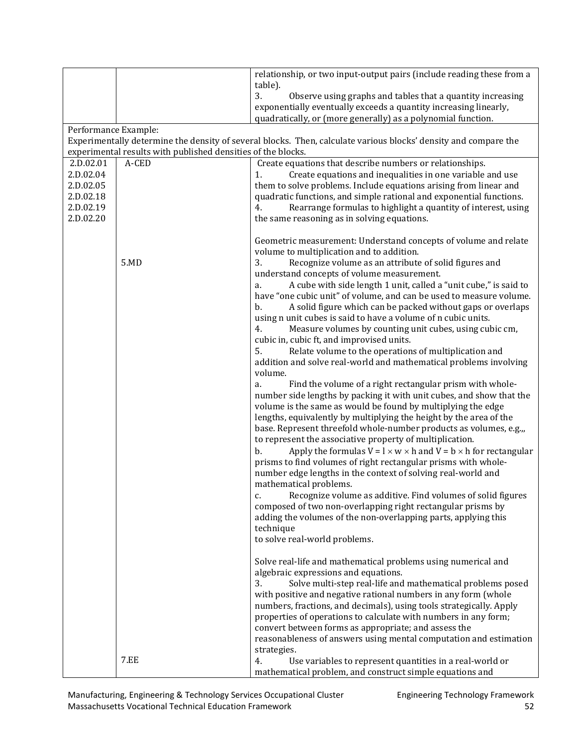|                        |                                                              | relationship, or two input-output pairs (include reading these from a<br>table).                                                         |
|------------------------|--------------------------------------------------------------|------------------------------------------------------------------------------------------------------------------------------------------|
|                        |                                                              | 3.<br>Observe using graphs and tables that a quantity increasing                                                                         |
|                        |                                                              | exponentially eventually exceeds a quantity increasing linearly,                                                                         |
|                        |                                                              | quadratically, or (more generally) as a polynomial function.                                                                             |
| Performance Example:   |                                                              |                                                                                                                                          |
|                        |                                                              | Experimentally determine the density of several blocks. Then, calculate various blocks' density and compare the                          |
|                        | experimental results with published densities of the blocks. |                                                                                                                                          |
| 2.D.02.01              | A-CED                                                        | Create equations that describe numbers or relationships.                                                                                 |
| 2.D.02.04              |                                                              | Create equations and inequalities in one variable and use<br>1.                                                                          |
| 2.D.02.05              |                                                              | them to solve problems. Include equations arising from linear and                                                                        |
| 2.D.02.18<br>2.D.02.19 |                                                              | quadratic functions, and simple rational and exponential functions.<br>4.                                                                |
| 2.D.02.20              |                                                              | Rearrange formulas to highlight a quantity of interest, using<br>the same reasoning as in solving equations.                             |
|                        |                                                              |                                                                                                                                          |
|                        |                                                              | Geometric measurement: Understand concepts of volume and relate                                                                          |
|                        |                                                              | volume to multiplication and to addition.                                                                                                |
|                        | 5.MD                                                         | 3.<br>Recognize volume as an attribute of solid figures and                                                                              |
|                        |                                                              | understand concepts of volume measurement.                                                                                               |
|                        |                                                              | A cube with side length 1 unit, called a "unit cube," is said to<br>a.                                                                   |
|                        |                                                              | have "one cubic unit" of volume, and can be used to measure volume.<br>A solid figure which can be packed without gaps or overlaps<br>b. |
|                        |                                                              | using n unit cubes is said to have a volume of n cubic units.                                                                            |
|                        |                                                              | 4.<br>Measure volumes by counting unit cubes, using cubic cm,                                                                            |
|                        |                                                              | cubic in, cubic ft, and improvised units.                                                                                                |
|                        |                                                              | 5.<br>Relate volume to the operations of multiplication and                                                                              |
|                        |                                                              | addition and solve real-world and mathematical problems involving                                                                        |
|                        |                                                              | volume.                                                                                                                                  |
|                        |                                                              | Find the volume of a right rectangular prism with whole-<br>a.                                                                           |
|                        |                                                              | number side lengths by packing it with unit cubes, and show that the<br>volume is the same as would be found by multiplying the edge     |
|                        |                                                              | lengths, equivalently by multiplying the height by the area of the                                                                       |
|                        |                                                              | base. Represent threefold whole-number products as volumes, e.g.,,                                                                       |
|                        |                                                              | to represent the associative property of multiplication.                                                                                 |
|                        |                                                              | Apply the formulas $V = l \times w \times h$ and $V = b \times h$ for rectangular<br>b.                                                  |
|                        |                                                              | prisms to find volumes of right rectangular prisms with whole-                                                                           |
|                        |                                                              | number edge lengths in the context of solving real-world and                                                                             |
|                        |                                                              | mathematical problems.                                                                                                                   |
|                        |                                                              | Recognize volume as additive. Find volumes of solid figures<br>c.<br>composed of two non-overlapping right rectangular prisms by         |
|                        |                                                              | adding the volumes of the non-overlapping parts, applying this                                                                           |
|                        |                                                              | technique                                                                                                                                |
|                        |                                                              | to solve real-world problems.                                                                                                            |
|                        |                                                              |                                                                                                                                          |
|                        |                                                              | Solve real-life and mathematical problems using numerical and                                                                            |
|                        |                                                              | algebraic expressions and equations.                                                                                                     |
|                        |                                                              | 3.<br>Solve multi-step real-life and mathematical problems posed                                                                         |
|                        |                                                              | with positive and negative rational numbers in any form (whole<br>numbers, fractions, and decimals), using tools strategically. Apply    |
|                        |                                                              | properties of operations to calculate with numbers in any form;                                                                          |
|                        |                                                              | convert between forms as appropriate; and assess the                                                                                     |
|                        |                                                              | reasonableness of answers using mental computation and estimation                                                                        |
|                        |                                                              | strategies.                                                                                                                              |
|                        | <b>7.EE</b>                                                  | Use variables to represent quantities in a real-world or<br>4.                                                                           |
|                        |                                                              | mathematical problem, and construct simple equations and                                                                                 |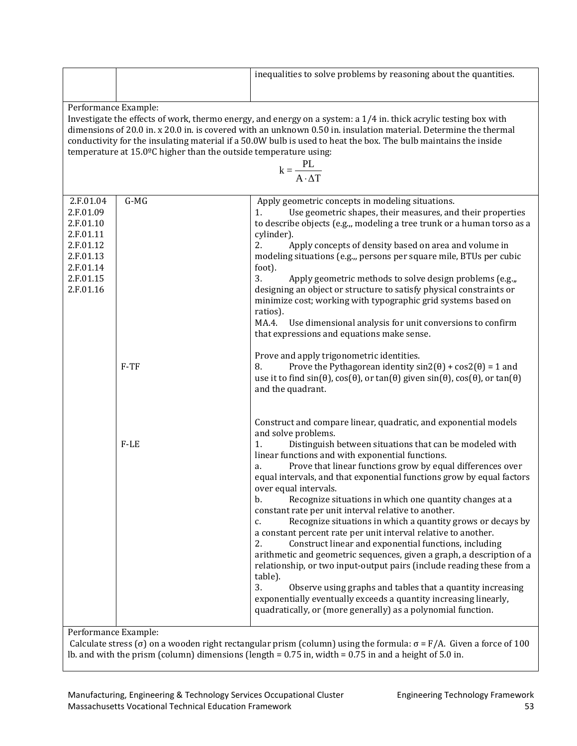|                                                                                                                                                                                                                                                                          |                                                                                                                                                                                                                                                                                                                                                                                                                                                                                            | inequalities to solve problems by reasoning about the quantities.                                                                                                                                                                                                                                                                                                                                                                                                                                                                                                                                                                                                                                                                                                                                                                                                                                                                                                                                                                                                                     |  |  |
|--------------------------------------------------------------------------------------------------------------------------------------------------------------------------------------------------------------------------------------------------------------------------|--------------------------------------------------------------------------------------------------------------------------------------------------------------------------------------------------------------------------------------------------------------------------------------------------------------------------------------------------------------------------------------------------------------------------------------------------------------------------------------------|---------------------------------------------------------------------------------------------------------------------------------------------------------------------------------------------------------------------------------------------------------------------------------------------------------------------------------------------------------------------------------------------------------------------------------------------------------------------------------------------------------------------------------------------------------------------------------------------------------------------------------------------------------------------------------------------------------------------------------------------------------------------------------------------------------------------------------------------------------------------------------------------------------------------------------------------------------------------------------------------------------------------------------------------------------------------------------------|--|--|
|                                                                                                                                                                                                                                                                          |                                                                                                                                                                                                                                                                                                                                                                                                                                                                                            |                                                                                                                                                                                                                                                                                                                                                                                                                                                                                                                                                                                                                                                                                                                                                                                                                                                                                                                                                                                                                                                                                       |  |  |
|                                                                                                                                                                                                                                                                          | Performance Example:<br>Investigate the effects of work, thermo energy, and energy on a system: a $1/4$ in. thick acrylic testing box with<br>dimensions of 20.0 in. x 20.0 in. is covered with an unknown 0.50 in. insulation material. Determine the thermal<br>conductivity for the insulating material if a 50.0W bulb is used to heat the box. The bulb maintains the inside<br>temperature at 15.0°C higher than the outside temperature using:<br>$k = \frac{PL}{A \cdot \Delta T}$ |                                                                                                                                                                                                                                                                                                                                                                                                                                                                                                                                                                                                                                                                                                                                                                                                                                                                                                                                                                                                                                                                                       |  |  |
| 2.F.01.04<br>2.F.01.09<br>2.F.01.10<br>2.F.01.11<br>2.F.01.12<br>2.F.01.13<br>2.F.01.14<br>2.F.01.15<br>2.F.01.16                                                                                                                                                        | $G-MG$                                                                                                                                                                                                                                                                                                                                                                                                                                                                                     | Apply geometric concepts in modeling situations.<br>Use geometric shapes, their measures, and their properties<br>1.<br>to describe objects (e.g.,, modeling a tree trunk or a human torso as a<br>cylinder).<br>2.<br>Apply concepts of density based on area and volume in<br>modeling situations (e.g.,, persons per square mile, BTUs per cubic<br>foot).<br>3.<br>Apply geometric methods to solve design problems (e.g.,,<br>designing an object or structure to satisfy physical constraints or<br>minimize cost; working with typographic grid systems based on<br>ratios).<br>MA.4.<br>Use dimensional analysis for unit conversions to confirm<br>that expressions and equations make sense.                                                                                                                                                                                                                                                                                                                                                                                |  |  |
|                                                                                                                                                                                                                                                                          | $F-TF$                                                                                                                                                                                                                                                                                                                                                                                                                                                                                     | Prove and apply trigonometric identities.<br>Prove the Pythagorean identity $sin2(\theta) + cos2(\theta) = 1$ and<br>8.<br>use it to find $sin(\theta)$ , $cos(\theta)$ , or $tan(\theta)$ given $sin(\theta)$ , $cos(\theta)$ , or $tan(\theta)$<br>and the quadrant.                                                                                                                                                                                                                                                                                                                                                                                                                                                                                                                                                                                                                                                                                                                                                                                                                |  |  |
|                                                                                                                                                                                                                                                                          | $F-LE$                                                                                                                                                                                                                                                                                                                                                                                                                                                                                     | Construct and compare linear, quadratic, and exponential models<br>and solve problems.<br>Distinguish between situations that can be modeled with<br>1.<br>linear functions and with exponential functions.<br>Prove that linear functions grow by equal differences over<br>a.<br>equal intervals, and that exponential functions grow by equal factors<br>over equal intervals.<br>Recognize situations in which one quantity changes at a<br>b.<br>constant rate per unit interval relative to another.<br>Recognize situations in which a quantity grows or decays by<br>c.<br>a constant percent rate per unit interval relative to another.<br>2.<br>Construct linear and exponential functions, including<br>arithmetic and geometric sequences, given a graph, a description of a<br>relationship, or two input-output pairs (include reading these from a<br>table).<br>3.<br>Observe using graphs and tables that a quantity increasing<br>exponentially eventually exceeds a quantity increasing linearly,<br>quadratically, or (more generally) as a polynomial function. |  |  |
| Performance Example:<br>Calculate stress ( $\sigma$ ) on a wooden right rectangular prism (column) using the formula: $\sigma = F/A$ . Given a force of 100<br>lb. and with the prism (column) dimensions (length = $0.75$ in, width = $0.75$ in and a height of 5.0 in. |                                                                                                                                                                                                                                                                                                                                                                                                                                                                                            |                                                                                                                                                                                                                                                                                                                                                                                                                                                                                                                                                                                                                                                                                                                                                                                                                                                                                                                                                                                                                                                                                       |  |  |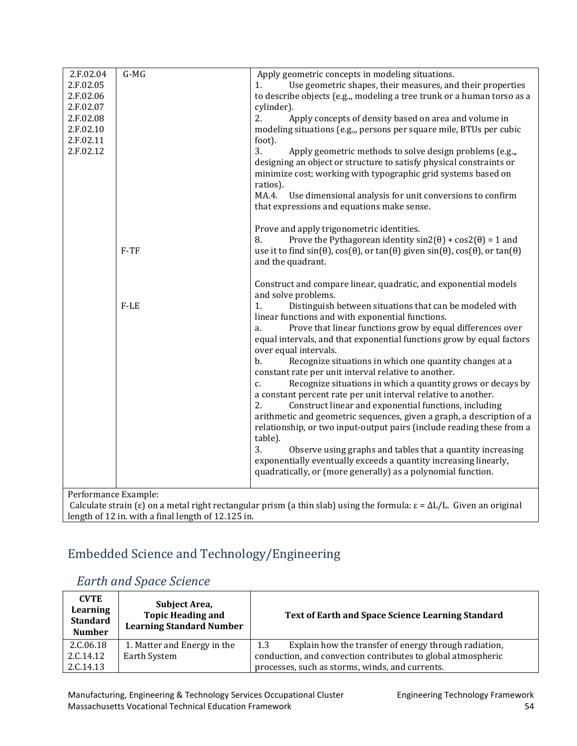| 2.F.02.04            | $G-MG$ | Apply geometric concepts in modeling situations.                                                                                                      |
|----------------------|--------|-------------------------------------------------------------------------------------------------------------------------------------------------------|
| 2.F.02.05            |        | Use geometric shapes, their measures, and their properties<br>1.                                                                                      |
| 2.F.02.06            |        | to describe objects (e.g.,, modeling a tree trunk or a human torso as a                                                                               |
| 2.F.02.07            |        | cylinder).                                                                                                                                            |
| 2.F.02.08            |        | 2.<br>Apply concepts of density based on area and volume in                                                                                           |
| 2.F.02.10            |        | modeling situations (e.g.,, persons per square mile, BTUs per cubic                                                                                   |
| 2.F.02.11            |        | foot).                                                                                                                                                |
| 2.F.02.12            |        | 3.<br>Apply geometric methods to solve design problems (e.g.,,                                                                                        |
|                      |        | designing an object or structure to satisfy physical constraints or                                                                                   |
|                      |        |                                                                                                                                                       |
|                      |        | minimize cost; working with typographic grid systems based on                                                                                         |
|                      |        | ratios).                                                                                                                                              |
|                      |        | MA.4.<br>Use dimensional analysis for unit conversions to confirm                                                                                     |
|                      |        | that expressions and equations make sense.                                                                                                            |
|                      |        |                                                                                                                                                       |
|                      |        | Prove and apply trigonometric identities.                                                                                                             |
|                      |        | Prove the Pythagorean identity $sin2(\theta) + cos2(\theta) = 1$ and<br>8.                                                                            |
|                      | $F-TF$ | use it to find $sin(\theta)$ , $cos(\theta)$ , or $tan(\theta)$ given $sin(\theta)$ , $cos(\theta)$ , or $tan(\theta)$                                |
|                      |        | and the quadrant.                                                                                                                                     |
|                      |        |                                                                                                                                                       |
|                      |        | Construct and compare linear, quadratic, and exponential models                                                                                       |
|                      |        | and solve problems.                                                                                                                                   |
|                      | $F-LE$ | Distinguish between situations that can be modeled with<br>1.                                                                                         |
|                      |        | linear functions and with exponential functions.                                                                                                      |
|                      |        | Prove that linear functions grow by equal differences over<br>a.                                                                                      |
|                      |        | equal intervals, and that exponential functions grow by equal factors                                                                                 |
|                      |        | over equal intervals.                                                                                                                                 |
|                      |        | b.<br>Recognize situations in which one quantity changes at a                                                                                         |
|                      |        | constant rate per unit interval relative to another.                                                                                                  |
|                      |        | Recognize situations in which a quantity grows or decays by<br>c.                                                                                     |
|                      |        | a constant percent rate per unit interval relative to another.                                                                                        |
|                      |        | 2.<br>Construct linear and exponential functions, including                                                                                           |
|                      |        | arithmetic and geometric sequences, given a graph, a description of a                                                                                 |
|                      |        | relationship, or two input-output pairs (include reading these from a                                                                                 |
|                      |        | table).                                                                                                                                               |
|                      |        | 3.<br>Observe using graphs and tables that a quantity increasing                                                                                      |
|                      |        | exponentially eventually exceeds a quantity increasing linearly,                                                                                      |
|                      |        | quadratically, or (more generally) as a polynomial function.                                                                                          |
|                      |        |                                                                                                                                                       |
| Performance Example: |        |                                                                                                                                                       |
|                      |        | Calculate strain ( $\varepsilon$ ) on a metal right rectangular prism (a thin slab) using the formula: $\varepsilon = \Delta L/L$ . Given an original |
|                      |        |                                                                                                                                                       |

length of 12 in. with a final length of 12.125 in.

# <span id="page-56-0"></span>Embedded [Science and Technology/Engineering](#page-2-0)

## <span id="page-56-1"></span> *[Earth and Space Science](#page-2-0)*

| <b>CVTE</b><br>Learning<br><b>Standard</b><br><b>Number</b> | Subject Area,<br><b>Topic Heading and</b><br><b>Learning Standard Number</b> | Text of Earth and Space Science Learning Standard            |
|-------------------------------------------------------------|------------------------------------------------------------------------------|--------------------------------------------------------------|
| 2.C.06.18                                                   | 1. Matter and Energy in the                                                  | Explain how the transfer of energy through radiation,<br>1.3 |
| 2.C.14.12                                                   | Earth System                                                                 | conduction, and convection contributes to global atmospheric |
| 2.C.14.13                                                   |                                                                              | processes, such as storms, winds, and currents.              |

Manufacturing, Engineering & Technology Services Occupational Cluster Funding Engineering Technology Framework Massachusetts Vocational Technical Education Framework 54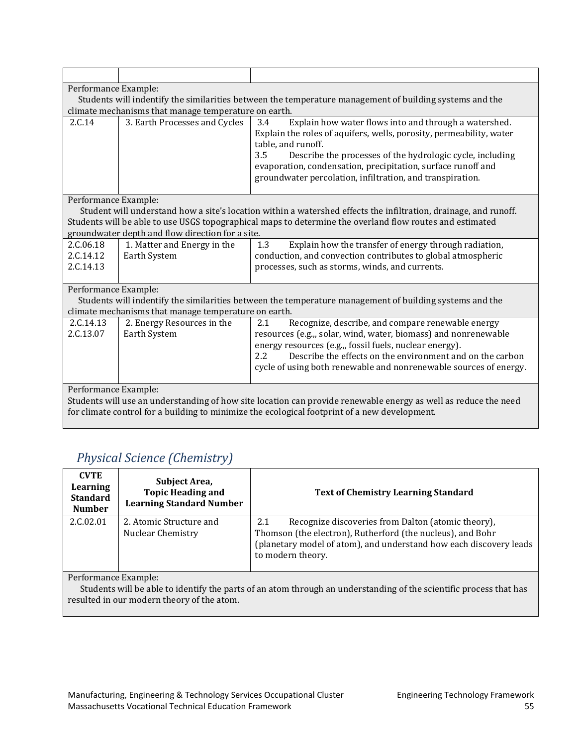|                                                                                                                 | Performance Example:                                                                                    |                                                                                                                                                                                                                                                                                                                                                            |  |  |
|-----------------------------------------------------------------------------------------------------------------|---------------------------------------------------------------------------------------------------------|------------------------------------------------------------------------------------------------------------------------------------------------------------------------------------------------------------------------------------------------------------------------------------------------------------------------------------------------------------|--|--|
|                                                                                                                 | Students will indentify the similarities between the temperature management of building systems and the |                                                                                                                                                                                                                                                                                                                                                            |  |  |
|                                                                                                                 | climate mechanisms that manage temperature on earth.                                                    |                                                                                                                                                                                                                                                                                                                                                            |  |  |
| 2.C.14                                                                                                          | 3. Earth Processes and Cycles                                                                           | Explain how water flows into and through a watershed.<br>3.4<br>Explain the roles of aquifers, wells, porosity, permeability, water<br>table, and runoff.<br>3.5<br>Describe the processes of the hydrologic cycle, including<br>evaporation, condensation, precipitation, surface runoff and<br>groundwater percolation, infiltration, and transpiration. |  |  |
| Performance Example:                                                                                            |                                                                                                         |                                                                                                                                                                                                                                                                                                                                                            |  |  |
|                                                                                                                 |                                                                                                         | Student will understand how a site's location within a watershed effects the infiltration, drainage, and runoff.                                                                                                                                                                                                                                           |  |  |
|                                                                                                                 |                                                                                                         | Students will be able to use USGS topographical maps to determine the overland flow routes and estimated                                                                                                                                                                                                                                                   |  |  |
|                                                                                                                 | groundwater depth and flow direction for a site.                                                        |                                                                                                                                                                                                                                                                                                                                                            |  |  |
| 2.C.06.18                                                                                                       | 1. Matter and Energy in the                                                                             | 1.3<br>Explain how the transfer of energy through radiation,                                                                                                                                                                                                                                                                                               |  |  |
| 2.C.14.12                                                                                                       | Earth System                                                                                            | conduction, and convection contributes to global atmospheric                                                                                                                                                                                                                                                                                               |  |  |
| 2.C.14.13                                                                                                       |                                                                                                         | processes, such as storms, winds, and currents.                                                                                                                                                                                                                                                                                                            |  |  |
| Performance Example:                                                                                            |                                                                                                         |                                                                                                                                                                                                                                                                                                                                                            |  |  |
|                                                                                                                 | Students will indentify the similarities between the temperature management of building systems and the |                                                                                                                                                                                                                                                                                                                                                            |  |  |
|                                                                                                                 | climate mechanisms that manage temperature on earth.                                                    |                                                                                                                                                                                                                                                                                                                                                            |  |  |
| 2.C.14.13                                                                                                       | 2. Energy Resources in the                                                                              | Recognize, describe, and compare renewable energy<br>2.1                                                                                                                                                                                                                                                                                                   |  |  |
| 2.C.13.07                                                                                                       | Earth System                                                                                            | resources (e.g.,, solar, wind, water, biomass) and nonrenewable                                                                                                                                                                                                                                                                                            |  |  |
|                                                                                                                 |                                                                                                         | energy resources (e.g.,, fossil fuels, nuclear energy).                                                                                                                                                                                                                                                                                                    |  |  |
|                                                                                                                 |                                                                                                         | Describe the effects on the environment and on the carbon<br>$2.2\phantom{0}$                                                                                                                                                                                                                                                                              |  |  |
|                                                                                                                 |                                                                                                         | cycle of using both renewable and nonrenewable sources of energy.                                                                                                                                                                                                                                                                                          |  |  |
|                                                                                                                 | Performance Example:                                                                                    |                                                                                                                                                                                                                                                                                                                                                            |  |  |
| Students will use an understanding of how site location can provide renewable energy as well as reduce the need |                                                                                                         |                                                                                                                                                                                                                                                                                                                                                            |  |  |
| for climate control for a building to minimize the ecological footprint of a new development.                   |                                                                                                         |                                                                                                                                                                                                                                                                                                                                                            |  |  |

# <span id="page-57-0"></span> *Physical Science [\(Chemistry\)](#page-2-0)*

| <b>CVTE</b><br>Learning<br><b>Standard</b><br><b>Number</b> | Subject Area,<br><b>Topic Heading and</b><br><b>Learning Standard Number</b> | <b>Text of Chemistry Learning Standard</b>                                                                                                                                                                         |
|-------------------------------------------------------------|------------------------------------------------------------------------------|--------------------------------------------------------------------------------------------------------------------------------------------------------------------------------------------------------------------|
| 2.C.02.01                                                   | 2. Atomic Structure and<br>Nuclear Chemistry                                 | Recognize discoveries from Dalton (atomic theory),<br>2.1<br>Thomson (the electron), Rutherford (the nucleus), and Bohr<br>(planetary model of atom), and understand how each discovery leads<br>to modern theory. |

Performance Example:

 $\overline{a}$ 

 Students will be able to identify the parts of an atom through an understanding of the scientific process that has resulted in our modern theory of the atom.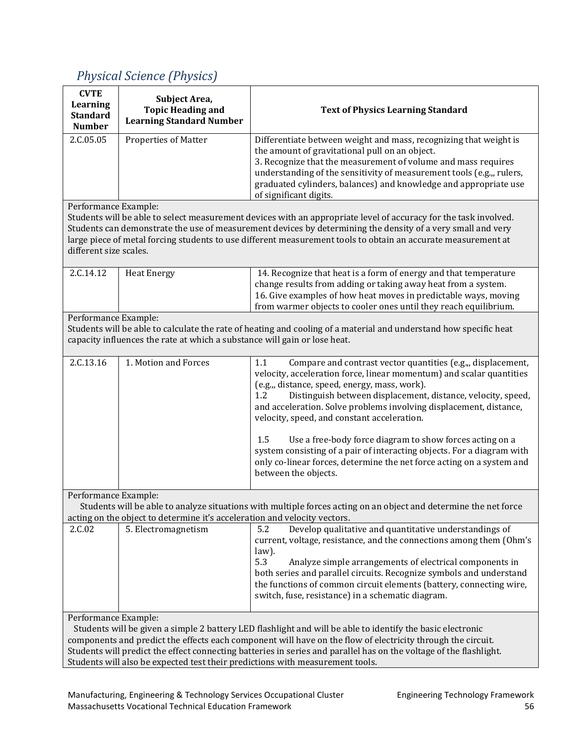# <span id="page-58-0"></span> *Physical [Science \(Physics\)](#page-2-0)*

| <b>CVTE</b><br>Learning<br><b>Standard</b>                                                                                                                                                          | Subject Area,<br><b>Topic Heading and</b><br><b>Learning Standard Number</b> | <b>Text of Physics Learning Standard</b>                                                                                                                                                                                                                                                                                                                                                                                                                                                                                                                                                                                               |
|-----------------------------------------------------------------------------------------------------------------------------------------------------------------------------------------------------|------------------------------------------------------------------------------|----------------------------------------------------------------------------------------------------------------------------------------------------------------------------------------------------------------------------------------------------------------------------------------------------------------------------------------------------------------------------------------------------------------------------------------------------------------------------------------------------------------------------------------------------------------------------------------------------------------------------------------|
| <b>Number</b>                                                                                                                                                                                       |                                                                              |                                                                                                                                                                                                                                                                                                                                                                                                                                                                                                                                                                                                                                        |
| 2.C.05.05                                                                                                                                                                                           | Properties of Matter                                                         | Differentiate between weight and mass, recognizing that weight is<br>the amount of gravitational pull on an object.<br>3. Recognize that the measurement of volume and mass requires<br>understanding of the sensitivity of measurement tools (e.g.,, rulers,<br>graduated cylinders, balances) and knowledge and appropriate use<br>of significant digits.                                                                                                                                                                                                                                                                            |
| Performance Example:<br>different size scales.                                                                                                                                                      |                                                                              | Students will be able to select measurement devices with an appropriate level of accuracy for the task involved.<br>Students can demonstrate the use of measurement devices by determining the density of a very small and very<br>large piece of metal forcing students to use different measurement tools to obtain an accurate measurement at                                                                                                                                                                                                                                                                                       |
| 2.C.14.12                                                                                                                                                                                           | <b>Heat Energy</b>                                                           | 14. Recognize that heat is a form of energy and that temperature<br>change results from adding or taking away heat from a system.<br>16. Give examples of how heat moves in predictable ways, moving<br>from warmer objects to cooler ones until they reach equilibrium.                                                                                                                                                                                                                                                                                                                                                               |
| Performance Example:                                                                                                                                                                                |                                                                              |                                                                                                                                                                                                                                                                                                                                                                                                                                                                                                                                                                                                                                        |
|                                                                                                                                                                                                     |                                                                              | Students will be able to calculate the rate of heating and cooling of a material and understand how specific heat                                                                                                                                                                                                                                                                                                                                                                                                                                                                                                                      |
|                                                                                                                                                                                                     | capacity influences the rate at which a substance will gain or lose heat.    |                                                                                                                                                                                                                                                                                                                                                                                                                                                                                                                                                                                                                                        |
| 2.C.13.16                                                                                                                                                                                           | 1. Motion and Forces                                                         | 1.1<br>Compare and contrast vector quantities (e.g.,, displacement,<br>velocity, acceleration force, linear momentum) and scalar quantities<br>(e.g.,, distance, speed, energy, mass, work).<br>Distinguish between displacement, distance, velocity, speed,<br>1.2<br>and acceleration. Solve problems involving displacement, distance,<br>velocity, speed, and constant acceleration.<br>1.5<br>Use a free-body force diagram to show forces acting on a<br>system consisting of a pair of interacting objects. For a diagram with<br>only co-linear forces, determine the net force acting on a system and<br>between the objects. |
| Performance Example:                                                                                                                                                                                |                                                                              |                                                                                                                                                                                                                                                                                                                                                                                                                                                                                                                                                                                                                                        |
|                                                                                                                                                                                                     | acting on the object to determine it's acceleration and velocity vectors.    | Students will be able to analyze situations with multiple forces acting on an object and determine the net force                                                                                                                                                                                                                                                                                                                                                                                                                                                                                                                       |
| 2.C.02                                                                                                                                                                                              | 5. Electromagnetism                                                          | 5.2<br>Develop qualitative and quantitative understandings of<br>current, voltage, resistance, and the connections among them (Ohm's<br>law).<br>5.3<br>Analyze simple arrangements of electrical components in<br>both series and parallel circuits. Recognize symbols and understand<br>the functions of common circuit elements (battery, connecting wire,<br>switch, fuse, resistance) in a schematic diagram.                                                                                                                                                                                                                     |
| Performance Example:                                                                                                                                                                                |                                                                              |                                                                                                                                                                                                                                                                                                                                                                                                                                                                                                                                                                                                                                        |
|                                                                                                                                                                                                     |                                                                              | Students will be given a simple 2 battery LED flashlight and will be able to identify the basic electronic                                                                                                                                                                                                                                                                                                                                                                                                                                                                                                                             |
| components and predict the effects each component will have on the flow of electricity through the circuit.                                                                                         |                                                                              |                                                                                                                                                                                                                                                                                                                                                                                                                                                                                                                                                                                                                                        |
| Students will predict the effect connecting batteries in series and parallel has on the voltage of the flashlight.<br>Students will also be expected test their predictions with measurement tools. |                                                                              |                                                                                                                                                                                                                                                                                                                                                                                                                                                                                                                                                                                                                                        |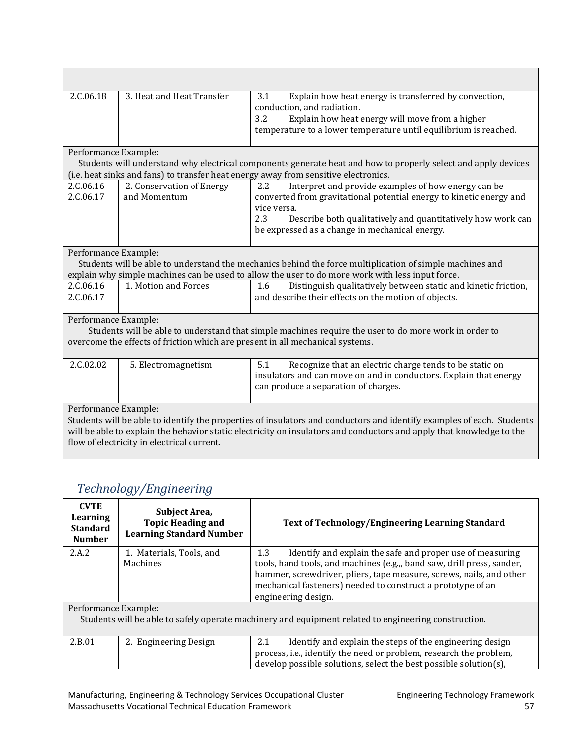| 2.C.06.18                                                                                                                                                                                                                            | 3. Heat and Heat Transfer                  | 3.1<br>Explain how heat energy is transferred by convection,<br>conduction, and radiation.<br>3.2<br>Explain how heat energy will move from a higher<br>temperature to a lower temperature until equilibrium is reached.                                                 |  |
|--------------------------------------------------------------------------------------------------------------------------------------------------------------------------------------------------------------------------------------|--------------------------------------------|--------------------------------------------------------------------------------------------------------------------------------------------------------------------------------------------------------------------------------------------------------------------------|--|
| Performance Example:                                                                                                                                                                                                                 |                                            | Students will understand why electrical components generate heat and how to properly select and apply devices<br>(i.e. heat sinks and fans) to transfer heat energy away from sensitive electronics.                                                                     |  |
| 2.C.06.16<br>2.C.06.17                                                                                                                                                                                                               | 2. Conservation of Energy<br>and Momentum  | Interpret and provide examples of how energy can be<br>2.2<br>converted from gravitational potential energy to kinetic energy and<br>vice versa.<br>2.3<br>Describe both qualitatively and quantitatively how work can<br>be expressed as a change in mechanical energy. |  |
| Performance Example:<br>Students will be able to understand the mechanics behind the force multiplication of simple machines and<br>explain why simple machines can be used to allow the user to do more work with less input force. |                                            |                                                                                                                                                                                                                                                                          |  |
| 2.C.06.16<br>2.C.06.17                                                                                                                                                                                                               | 1. Motion and Forces                       | Distinguish qualitatively between static and kinetic friction,<br>1.6<br>and describe their effects on the motion of objects.                                                                                                                                            |  |
| Performance Example:<br>Students will be able to understand that simple machines require the user to do more work in order to<br>overcome the effects of friction which are present in all mechanical systems.                       |                                            |                                                                                                                                                                                                                                                                          |  |
| 2.C.02.02                                                                                                                                                                                                                            | 5. Electromagnetism                        | Recognize that an electric charge tends to be static on<br>5.1<br>insulators and can move on and in conductors. Explain that energy<br>can produce a separation of charges.                                                                                              |  |
| Performance Example:                                                                                                                                                                                                                 | flow of electricity in electrical current. | Students will be able to identify the properties of insulators and conductors and identify examples of each. Students<br>will be able to explain the behavior static electricity on insulators and conductors and apply that knowledge to the                            |  |

# <span id="page-59-0"></span> *[Technology/Engineering](#page-2-0)*

| <b>CVTE</b><br>Learning<br><b>Standard</b><br><b>Number</b>                                          | Subject Area,<br><b>Topic Heading and</b><br><b>Learning Standard Number</b> | <b>Text of Technology/Engineering Learning Standard</b>                                                                                                                                                                             |
|------------------------------------------------------------------------------------------------------|------------------------------------------------------------------------------|-------------------------------------------------------------------------------------------------------------------------------------------------------------------------------------------------------------------------------------|
| 2.A.2                                                                                                | 1. Materials, Tools, and                                                     | 1.3<br>Identify and explain the safe and proper use of measuring                                                                                                                                                                    |
|                                                                                                      | Machines                                                                     | tools, hand tools, and machines (e.g.,, band saw, drill press, sander,<br>hammer, screwdriver, pliers, tape measure, screws, nails, and other<br>mechanical fasteners) needed to construct a prototype of an<br>engineering design. |
| Performance Example:                                                                                 |                                                                              |                                                                                                                                                                                                                                     |
| Students will be able to safely operate machinery and equipment related to engineering construction. |                                                                              |                                                                                                                                                                                                                                     |
| 2.B.01                                                                                               | 2. Engineering Design                                                        | 2.1<br>Identify and explain the steps of the engineering design                                                                                                                                                                     |
|                                                                                                      |                                                                              | process, i.e., identify the need or problem, research the problem,                                                                                                                                                                  |
|                                                                                                      |                                                                              | develop possible solutions, select the best possible solution(s),                                                                                                                                                                   |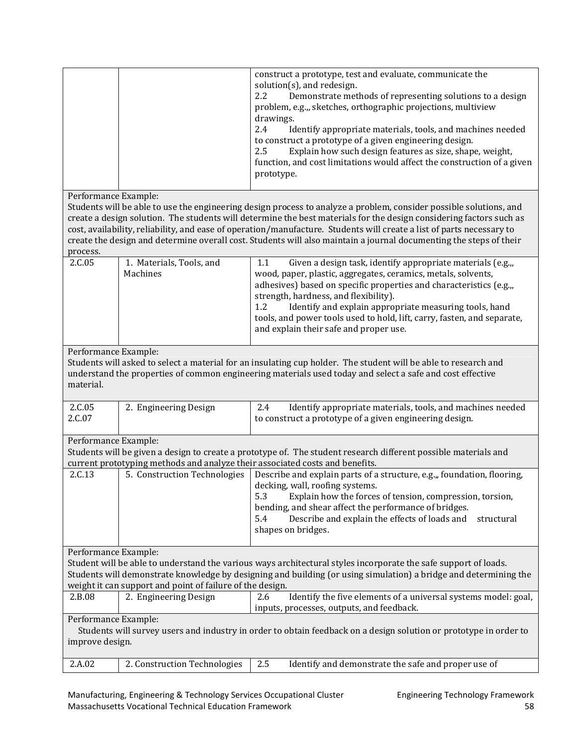|                                                                                                                                                                                                                                                                                                                          |                                                                              | construct a prototype, test and evaluate, communicate the<br>solution(s), and redesign.<br>2.2<br>Demonstrate methods of representing solutions to a design<br>problem, e.g.,, sketches, orthographic projections, multiview<br>drawings.<br>2.4<br>Identify appropriate materials, tools, and machines needed<br>to construct a prototype of a given engineering design.<br>2.5<br>Explain how such design features as size, shape, weight,<br>function, and cost limitations would affect the construction of a given<br>prototype. |  |
|--------------------------------------------------------------------------------------------------------------------------------------------------------------------------------------------------------------------------------------------------------------------------------------------------------------------------|------------------------------------------------------------------------------|---------------------------------------------------------------------------------------------------------------------------------------------------------------------------------------------------------------------------------------------------------------------------------------------------------------------------------------------------------------------------------------------------------------------------------------------------------------------------------------------------------------------------------------|--|
| Performance Example:<br>process.                                                                                                                                                                                                                                                                                         |                                                                              | Students will be able to use the engineering design process to analyze a problem, consider possible solutions, and<br>create a design solution. The students will determine the best materials for the design considering factors such as<br>cost, availability, reliability, and ease of operation/manufacture. Students will create a list of parts necessary to<br>create the design and determine overall cost. Students will also maintain a journal documenting the steps of their                                              |  |
| 2.C.05                                                                                                                                                                                                                                                                                                                   | 1. Materials, Tools, and<br>Machines                                         | 1.1<br>Given a design task, identify appropriate materials (e.g.,,<br>wood, paper, plastic, aggregates, ceramics, metals, solvents,<br>adhesives) based on specific properties and characteristics (e.g.,,<br>strength, hardness, and flexibility).<br>1.2<br>Identify and explain appropriate measuring tools, hand<br>tools, and power tools used to hold, lift, carry, fasten, and separate,<br>and explain their safe and proper use.                                                                                             |  |
| Performance Example:<br>Students will asked to select a material for an insulating cup holder. The student will be able to research and<br>understand the properties of common engineering materials used today and select a safe and cost effective<br>material.                                                        |                                                                              |                                                                                                                                                                                                                                                                                                                                                                                                                                                                                                                                       |  |
| 2.C.05<br>2.C.07                                                                                                                                                                                                                                                                                                         | 2. Engineering Design                                                        | Identify appropriate materials, tools, and machines needed<br>2.4<br>to construct a prototype of a given engineering design.                                                                                                                                                                                                                                                                                                                                                                                                          |  |
| Performance Example:                                                                                                                                                                                                                                                                                                     | current prototyping methods and analyze their associated costs and benefits. | Students will be given a design to create a prototype of. The student research different possible materials and                                                                                                                                                                                                                                                                                                                                                                                                                       |  |
| 2.C.13                                                                                                                                                                                                                                                                                                                   | 5. Construction Technologies                                                 | Describe and explain parts of a structure, e.g.,, foundation, flooring,<br>decking, wall, roofing systems.<br>5.3<br>Explain how the forces of tension, compression, torsion,<br>bending, and shear affect the performance of bridges.<br>Describe and explain the effects of loads and<br>5.4<br>structural<br>shapes on bridges.                                                                                                                                                                                                    |  |
| Performance Example:<br>Student will be able to understand the various ways architectural styles incorporate the safe support of loads.<br>Students will demonstrate knowledge by designing and building (or using simulation) a bridge and determining the<br>weight it can support and point of failure of the design. |                                                                              |                                                                                                                                                                                                                                                                                                                                                                                                                                                                                                                                       |  |
| 2.B.08                                                                                                                                                                                                                                                                                                                   | 2. Engineering Design                                                        | Identify the five elements of a universal systems model: goal,<br>2.6<br>inputs, processes, outputs, and feedback.                                                                                                                                                                                                                                                                                                                                                                                                                    |  |
| Performance Example:<br>improve design.                                                                                                                                                                                                                                                                                  |                                                                              | Students will survey users and industry in order to obtain feedback on a design solution or prototype in order to                                                                                                                                                                                                                                                                                                                                                                                                                     |  |
| 2.A.02                                                                                                                                                                                                                                                                                                                   | 2. Construction Technologies                                                 | Identify and demonstrate the safe and proper use of<br>2.5                                                                                                                                                                                                                                                                                                                                                                                                                                                                            |  |

Manufacturing, Engineering & Technology Services Occupational Cluster Funder Engineering Technology Framework Massachusetts Vocational Technical Education Framework 58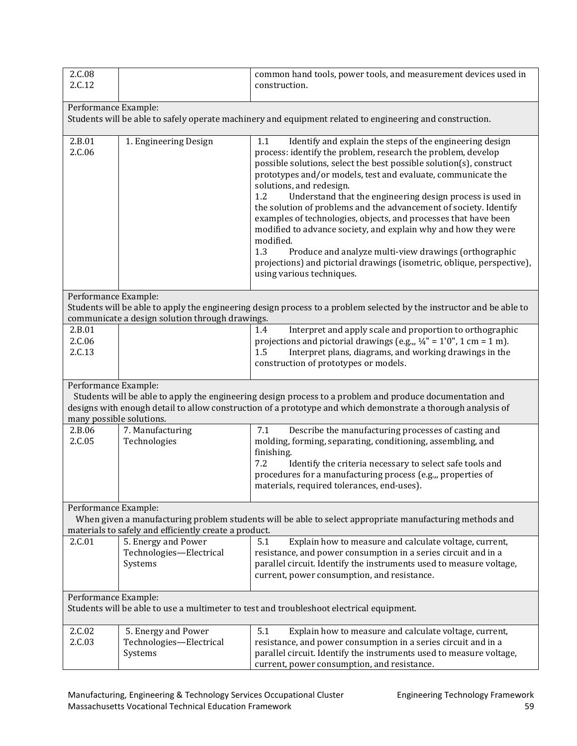| 2.C.08<br>2.C.12                                                                                                                                                                                                                                                             |                                                                                                                                  | common hand tools, power tools, and measurement devices used in<br>construction.                                                                                                                                                                                                                                                                                                                                                                                                                                                                                                                                                                                                                                                                                     |  |  |  |
|------------------------------------------------------------------------------------------------------------------------------------------------------------------------------------------------------------------------------------------------------------------------------|----------------------------------------------------------------------------------------------------------------------------------|----------------------------------------------------------------------------------------------------------------------------------------------------------------------------------------------------------------------------------------------------------------------------------------------------------------------------------------------------------------------------------------------------------------------------------------------------------------------------------------------------------------------------------------------------------------------------------------------------------------------------------------------------------------------------------------------------------------------------------------------------------------------|--|--|--|
|                                                                                                                                                                                                                                                                              | Performance Example:<br>Students will be able to safely operate machinery and equipment related to engineering and construction. |                                                                                                                                                                                                                                                                                                                                                                                                                                                                                                                                                                                                                                                                                                                                                                      |  |  |  |
| 2.B.01<br>2.C.06                                                                                                                                                                                                                                                             | 1. Engineering Design                                                                                                            | Identify and explain the steps of the engineering design<br>1.1<br>process: identify the problem, research the problem, develop<br>possible solutions, select the best possible solution(s), construct<br>prototypes and/or models, test and evaluate, communicate the<br>solutions, and redesign.<br>Understand that the engineering design process is used in<br>1.2<br>the solution of problems and the advancement of society. Identify<br>examples of technologies, objects, and processes that have been<br>modified to advance society, and explain why and how they were<br>modified.<br>1.3<br>Produce and analyze multi-view drawings (orthographic<br>projections) and pictorial drawings (isometric, oblique, perspective),<br>using various techniques. |  |  |  |
| Performance Example:                                                                                                                                                                                                                                                         | communicate a design solution through drawings.                                                                                  | Students will be able to apply the engineering design process to a problem selected by the instructor and be able to                                                                                                                                                                                                                                                                                                                                                                                                                                                                                                                                                                                                                                                 |  |  |  |
| 2.B.01<br>2.C.06<br>2.C.13                                                                                                                                                                                                                                                   |                                                                                                                                  | Interpret and apply scale and proportion to orthographic<br>1.4<br>projections and pictorial drawings (e.g.,, $\frac{1}{4}$ " = 1'0", 1 cm = 1 m).<br>1.5<br>Interpret plans, diagrams, and working drawings in the<br>construction of prototypes or models.                                                                                                                                                                                                                                                                                                                                                                                                                                                                                                         |  |  |  |
| Performance Example:<br>Students will be able to apply the engineering design process to a problem and produce documentation and<br>designs with enough detail to allow construction of a prototype and which demonstrate a thorough analysis of<br>many possible solutions. |                                                                                                                                  |                                                                                                                                                                                                                                                                                                                                                                                                                                                                                                                                                                                                                                                                                                                                                                      |  |  |  |
| 2.B.06<br>2.C.05                                                                                                                                                                                                                                                             | 7. Manufacturing<br>Technologies                                                                                                 | Describe the manufacturing processes of casting and<br>7.1<br>molding, forming, separating, conditioning, assembling, and<br>finishing.<br>7.2<br>Identify the criteria necessary to select safe tools and<br>procedures for a manufacturing process (e.g.,, properties of<br>materials, required tolerances, end-uses).                                                                                                                                                                                                                                                                                                                                                                                                                                             |  |  |  |
| Performance Example:                                                                                                                                                                                                                                                         | materials to safely and efficiently create a product.                                                                            | When given a manufacturing problem students will be able to select appropriate manufacturing methods and                                                                                                                                                                                                                                                                                                                                                                                                                                                                                                                                                                                                                                                             |  |  |  |
| 2.C.01                                                                                                                                                                                                                                                                       | 5. Energy and Power<br>Technologies-Electrical<br>Systems                                                                        | Explain how to measure and calculate voltage, current,<br>5.1<br>resistance, and power consumption in a series circuit and in a<br>parallel circuit. Identify the instruments used to measure voltage,<br>current, power consumption, and resistance.                                                                                                                                                                                                                                                                                                                                                                                                                                                                                                                |  |  |  |
|                                                                                                                                                                                                                                                                              | Performance Example:<br>Students will be able to use a multimeter to test and troubleshoot electrical equipment.                 |                                                                                                                                                                                                                                                                                                                                                                                                                                                                                                                                                                                                                                                                                                                                                                      |  |  |  |
| 2.C.02<br>2.C.03                                                                                                                                                                                                                                                             | 5. Energy and Power<br>Technologies-Electrical<br>Systems                                                                        | 5.1<br>Explain how to measure and calculate voltage, current,<br>resistance, and power consumption in a series circuit and in a<br>parallel circuit. Identify the instruments used to measure voltage,<br>current, power consumption, and resistance.                                                                                                                                                                                                                                                                                                                                                                                                                                                                                                                |  |  |  |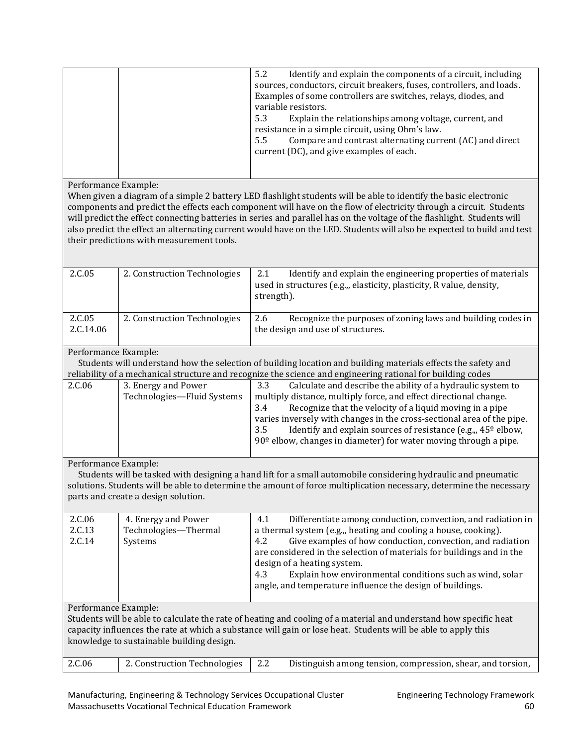| Identify and explain the components of a circuit, including<br>5.2    |
|-----------------------------------------------------------------------|
| sources, conductors, circuit breakers, fuses, controllers, and loads. |
|                                                                       |
| Examples of some controllers are switches, relays, diodes, and        |
| variable resistors.                                                   |
| Explain the relationships among voltage, current, and<br>5.3          |
| resistance in a simple circuit, using Ohm's law.                      |
|                                                                       |
| Compare and contrast alternating current (AC) and direct<br>5.5       |
| current (DC), and give examples of each.                              |
|                                                                       |
|                                                                       |
|                                                                       |

Performance Example:

When given a diagram of a simple 2 battery LED flashlight students will be able to identify the basic electronic components and predict the effects each component will have on the flow of electricity through a circuit. Students will predict the effect connecting batteries in series and parallel has on the voltage of the flashlight. Students will also predict the effect an alternating current would have on the LED. Students will also be expected to build and test their predictions with measurement tools.

| 2.C.05              | 2. Construction Technologies | Identify and explain the engineering properties of materials<br>2.1<br>used in structures (e.g.,, elasticity, plasticity, R value, density,<br>strength). |
|---------------------|------------------------------|-----------------------------------------------------------------------------------------------------------------------------------------------------------|
| 2.C.05<br>2.C.14.06 | 2. Construction Technologies | Recognize the purposes of zoning laws and building codes in<br>2.6<br>the design and use of structures.                                                   |

#### Performance Example:

 Students will understand how the selection of building location and building materials effects the safety and reliability of a mechanical structure and recognize the science and engineering rational for building codes

| 2.C.06 | 3. Energy and Power        | Calculate and describe the ability of a hydraulic system to<br>3.3              |
|--------|----------------------------|---------------------------------------------------------------------------------|
|        | Technologies-Fluid Systems | multiply distance, multiply force, and effect directional change.               |
|        |                            | Recognize that the velocity of a liquid moving in a pipe<br>3.4                 |
|        |                            | varies inversely with changes in the cross-sectional area of the pipe.          |
|        |                            | Identify and explain sources of resistance (e.g., 45 <sup>o</sup> elbow,<br>3.5 |
|        |                            | $90^{\circ}$ elbow, changes in diameter) for water moving through a pipe.       |
|        |                            |                                                                                 |

Performance Example:

 Students will be tasked with designing a hand lift for a small automobile considering hydraulic and pneumatic solutions. Students will be able to determine the amount of force multiplication necessary, determine the necessary parts and create a design solution.

| 2.C.06                | 4. Energy and Power  | Differentiate among conduction, convection, and radiation in<br>4.1                                                                                                                                                                                                                                       |
|-----------------------|----------------------|-----------------------------------------------------------------------------------------------------------------------------------------------------------------------------------------------------------------------------------------------------------------------------------------------------------|
| 2.C.13                | Technologies-Thermal | a thermal system (e.g.,, heating and cooling a house, cooking).                                                                                                                                                                                                                                           |
| 2.C.14                | Systems              | Give examples of how conduction, convection, and radiation<br>4.2<br>are considered in the selection of materials for buildings and in the<br>design of a heating system.<br>Explain how environmental conditions such as wind, solar<br>4.3<br>angle, and temperature influence the design of buildings. |
| $\mathbf{r}$ $\alpha$ | $\blacksquare$       |                                                                                                                                                                                                                                                                                                           |

Performance Example:

Students will be able to calculate the rate of heating and cooling of a material and understand how specific heat capacity influences the rate at which a substance will gain or lose heat. Students will be able to apply this knowledge to sustainable building design.

|  | 2.C.06 | 2.2 Construction Technologies 2.2 |  | Distinguish among tension, compression, shear, and torsion, |
|--|--------|-----------------------------------|--|-------------------------------------------------------------|
|--|--------|-----------------------------------|--|-------------------------------------------------------------|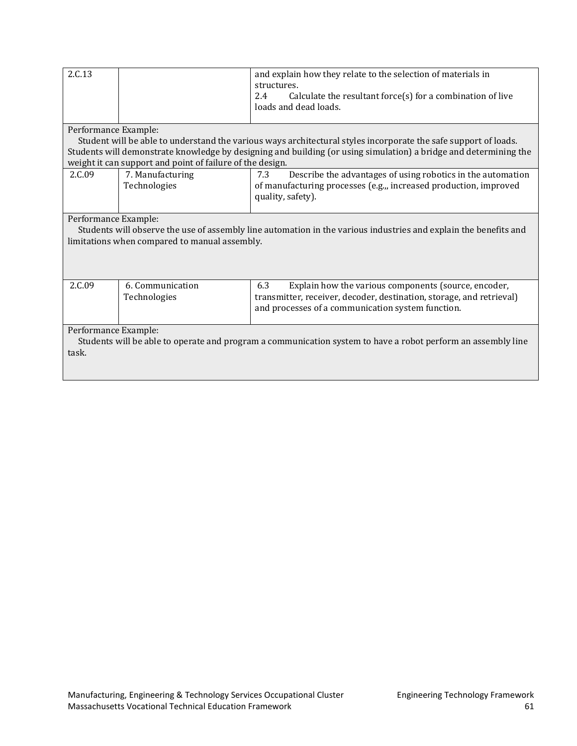| 2.C.13                                                                                                                                                                                    |                                                           | and explain how they relate to the selection of materials in<br>structures.<br>Calculate the resultant force $(s)$ for a combination of live<br>2.4<br>loads and dead loads. |  |
|-------------------------------------------------------------------------------------------------------------------------------------------------------------------------------------------|-----------------------------------------------------------|------------------------------------------------------------------------------------------------------------------------------------------------------------------------------|--|
| Performance Example:                                                                                                                                                                      |                                                           |                                                                                                                                                                              |  |
|                                                                                                                                                                                           |                                                           | Student will be able to understand the various ways architectural styles incorporate the safe support of loads.                                                              |  |
|                                                                                                                                                                                           | weight it can support and point of failure of the design. | Students will demonstrate knowledge by designing and building (or using simulation) a bridge and determining the                                                             |  |
|                                                                                                                                                                                           |                                                           |                                                                                                                                                                              |  |
| 2.C.09                                                                                                                                                                                    | 7. Manufacturing<br>Technologies                          | Describe the advantages of using robotics in the automation<br>7.3<br>of manufacturing processes (e.g.,, increased production, improved                                      |  |
|                                                                                                                                                                                           |                                                           | quality, safety).                                                                                                                                                            |  |
|                                                                                                                                                                                           |                                                           |                                                                                                                                                                              |  |
| Performance Example:<br>Students will observe the use of assembly line automation in the various industries and explain the benefits and<br>limitations when compared to manual assembly. |                                                           |                                                                                                                                                                              |  |
| 2.C.09                                                                                                                                                                                    | 6. Communication                                          | 6.3<br>Explain how the various components (source, encoder,                                                                                                                  |  |
|                                                                                                                                                                                           | Technologies                                              | transmitter, receiver, decoder, destination, storage, and retrieval)                                                                                                         |  |
|                                                                                                                                                                                           |                                                           | and processes of a communication system function.                                                                                                                            |  |
| Performance Example:                                                                                                                                                                      |                                                           |                                                                                                                                                                              |  |
|                                                                                                                                                                                           |                                                           | Students will be able to operate and program a communication system to have a robot perform an assembly line                                                                 |  |
| task.                                                                                                                                                                                     |                                                           |                                                                                                                                                                              |  |
|                                                                                                                                                                                           |                                                           |                                                                                                                                                                              |  |
|                                                                                                                                                                                           |                                                           |                                                                                                                                                                              |  |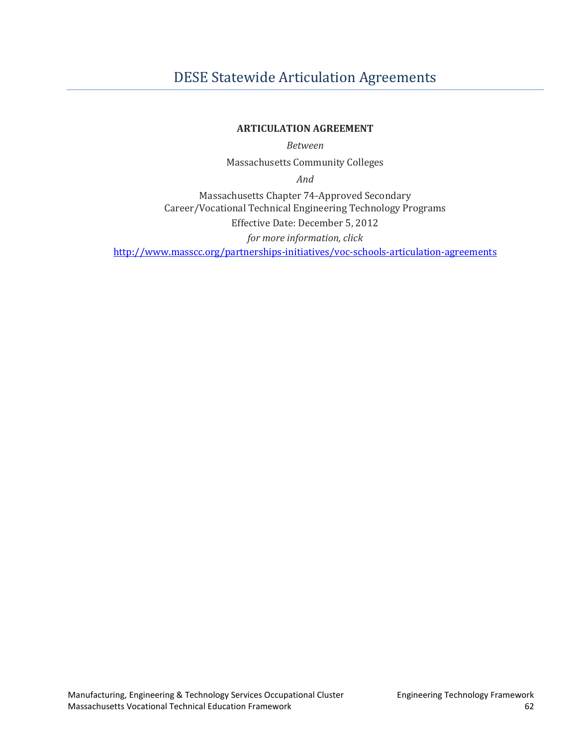# <span id="page-64-0"></span>[DESE Statewide Articulation Agreements](#page-2-0)

#### **ARTICULATION AGREEMENT**

*Between* 

Massachusetts Community Colleges

*And* 

Massachusetts Chapter 74-Approved Secondary Career/Vocational Technical Engineering Technology Programs Effective Date: December 5, 2012 *for more information, click* <http://www.masscc.org/partnerships-initiatives/voc-schools-articulation-agreements>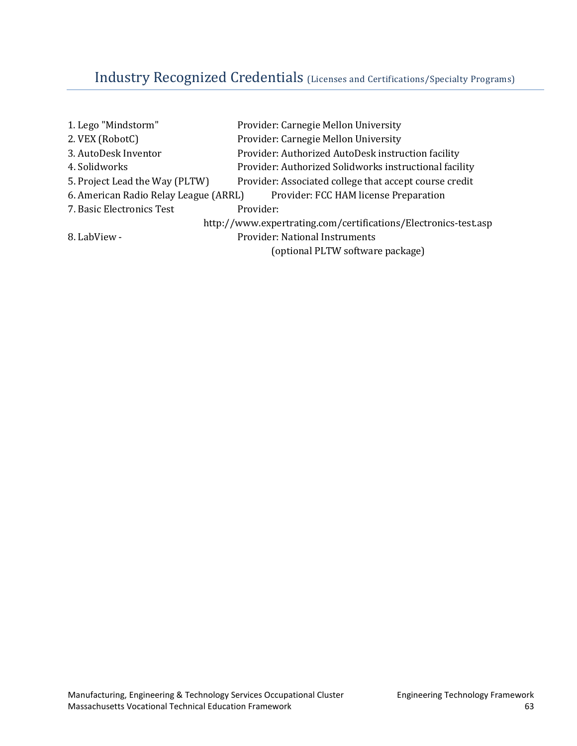# <span id="page-65-0"></span>[Industry Recognized Credentials](#page-2-0) (Licenses and Certifications/Specialty Programs)

| Provider: Carnegie Mellon University                                           |
|--------------------------------------------------------------------------------|
| Provider: Carnegie Mellon University                                           |
| Provider: Authorized AutoDesk instruction facility                             |
| Provider: Authorized Solidworks instructional facility                         |
| Provider: Associated college that accept course credit                         |
| 6. American Radio Relay League (ARRL)<br>Provider: FCC HAM license Preparation |
| Provider:                                                                      |
| http://www.expertrating.com/certifications/Electronics-test.asp                |
| <b>Provider: National Instruments</b>                                          |
| (optional PLTW software package)                                               |
|                                                                                |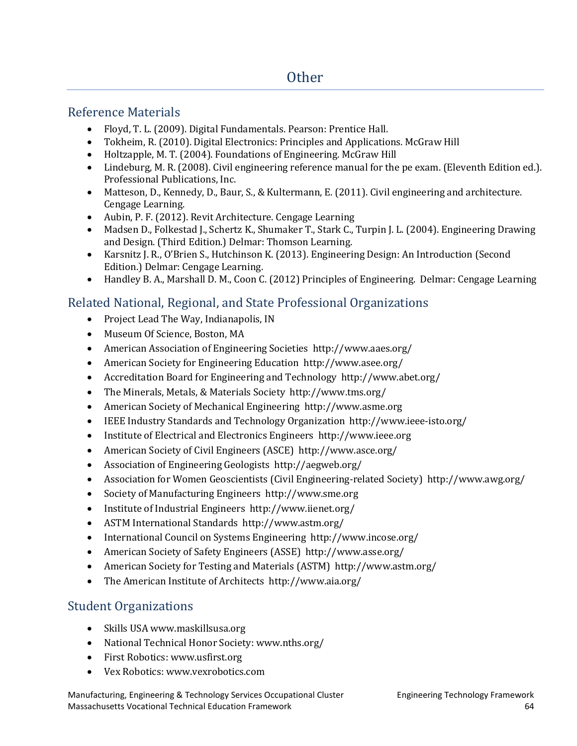## <span id="page-66-1"></span><span id="page-66-0"></span>[Reference Materials](#page-2-0)

- Floyd, T. L. (2009). Digital Fundamentals. Pearson: Prentice Hall.
- Tokheim, R. (2010). Digital Electronics: Principles and Applications. McGraw Hill
- Holtzapple, M. T. (2004). Foundations of Engineering. McGraw Hill
- Lindeburg, M. R. (2008). Civil engineering reference manual for the pe exam. (Eleventh Edition ed.). Professional Publications, Inc.
- Matteson, D., Kennedy, D., Baur, S., & Kultermann, E. (2011). Civil engineering and architecture. Cengage Learning.
- Aubin, P. F. (2012). Revit Architecture. Cengage Learning
- Madsen D., Folkestad J., Schertz K., Shumaker T., Stark C., Turpin J. L. (2004). Engineering Drawing and Design. (Third Edition.) Delmar: Thomson Learning.
- Karsnitz J. R., O'Brien S., Hutchinson K. (2013). Engineering Design: An Introduction (Second Edition.) Delmar: Cengage Learning.
- Handley B. A., Marshall D. M., Coon C. (2012) Principles of Engineering. Delmar: Cengage Learning

## <span id="page-66-2"></span>[Related National, Regional, and State Professional Organizations](#page-2-0)

- Project Lead The Way, Indianapolis, IN
- Museum Of Science, Boston, MA
- American Association of Engineering Societies http://www.aaes.org/
- American Society for Engineering Education http://www.asee.org/
- Accreditation Board for Engineering and Technology http://www.abet.org/
- The Minerals, Metals, & Materials Society http://www.tms.org/
- American Society of Mechanical Engineering http://www.asme.org
- IEEE Industry Standards and Technology Organization http://www.ieee-isto.org/
- Institute of Electrical and Electronics Engineers http://www.ieee.org
- American Society of Civil Engineers (ASCE) http://www.asce.org/
- Association of Engineering Geologists http://aegweb.org/
- Association for Women Geoscientists (Civil Engineering-related Society) http://www.awg.org/
- Society of Manufacturing Engineers http://www.sme.org
- Institute of Industrial Engineers http://www.iienet.org/
- ASTM International Standards http://www.astm.org/
- International Council on Systems Engineering http://www.incose.org/
- American Society of Safety Engineers (ASSE) http://www.asse.org/
- American Society for Testing and Materials (ASTM) http://www.astm.org/
- The American Institute of Architects http://www.aia.org/

## <span id="page-66-3"></span>[Student Organizations](#page-2-0)

- Skills USA www.maskillsusa.org
- National Technical Honor Society: www.nths.org/
- First Robotics: www.usfirst.org
- Vex Robotics: www.vexrobotics.com